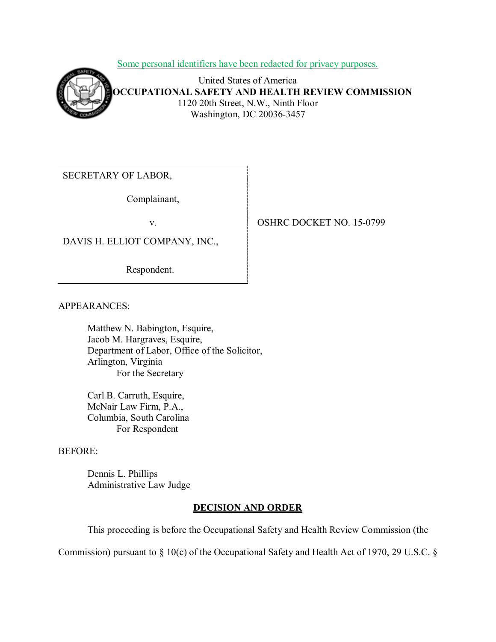Some personal identifiers have been redacted for privacy purposes.



United States of America **OCCUPATIONAL SAFETY AND HEALTH REVIEW COMMISSION** 1120 20th Street, N.W., Ninth Floor Washington, DC 20036-3457

SECRETARY OF LABOR,

Complainant,

DAVIS H. ELLIOT COMPANY, INC.,

Respondent.

APPEARANCES:

Matthew N. Babington, Esquire, Jacob M. Hargraves, Esquire, Department of Labor, Office of the Solicitor, Arlington, Virginia For the Secretary

Carl B. Carruth, Esquire, McNair Law Firm, P.A., Columbia, South Carolina For Respondent

### BEFORE:

Dennis L. Phillips Administrative Law Judge

# **DECISION AND ORDER**

This proceeding is before the Occupational Safety and Health Review Commission (the

Commission) pursuant to § 10(c) of the Occupational Safety and Health Act of 1970, 29 U.S.C. §

## v. **COSHRC DOCKET NO. 15-0799**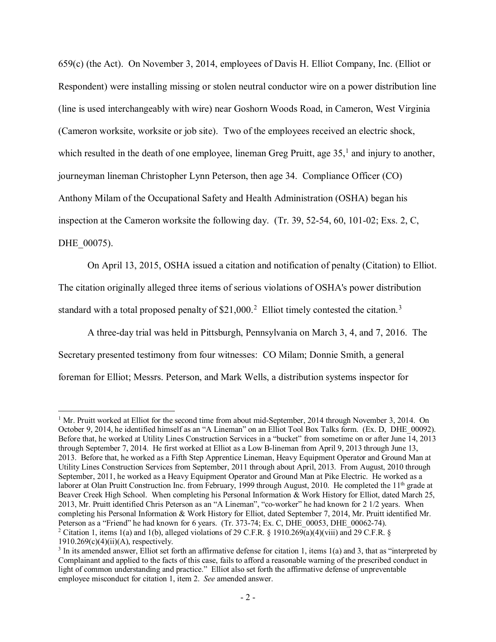659(c) (the Act). On November 3, 2014, employees of Davis H. Elliot Company, Inc. (Elliot or Respondent) were installing missing or stolen neutral conductor wire on a power distribution line (line is used interchangeably with wire) near Goshorn Woods Road, in Cameron, West Virginia (Cameron worksite, worksite or job site). Two of the employees received an electric shock, which resulted in the death of one employee, lineman Greg Pruitt, age  $35<sup>1</sup>$  $35<sup>1</sup>$  $35<sup>1</sup>$  and injury to another, journeyman lineman Christopher Lynn Peterson, then age 34. Compliance Officer (CO) Anthony Milam of the Occupational Safety and Health Administration (OSHA) began his inspection at the Cameron worksite the following day. (Tr. 39, 52-54, 60, 101-02; Exs. 2, C, DHE 00075).

On April 13, 2015, OSHA issued a citation and notification of penalty (Citation) to Elliot. The citation originally alleged three items of serious violations of OSHA's power distribution standard with a total proposed penalty of  $$21,000.<sup>2</sup>$  $$21,000.<sup>2</sup>$  $$21,000.<sup>2</sup>$  Elliot timely contested the citation.<sup>[3](#page-1-2)</sup>

A three-day trial was held in Pittsburgh, Pennsylvania on March 3, 4, and 7, 2016. The Secretary presented testimony from four witnesses: CO Milam; Donnie Smith, a general foreman for Elliot; Messrs. Peterson, and Mark Wells, a distribution systems inspector for

<span id="page-1-0"></span><sup>&</sup>lt;sup>1</sup> Mr. Pruitt worked at Elliot for the second time from about mid-September, 2014 through November 3, 2014. On October 9, 2014, he identified himself as an "A Lineman" on an Elliot Tool Box Talks form. (Ex. D, DHE\_00092). Before that, he worked at Utility Lines Construction Services in a "bucket" from sometime on or after June 14, 2013 through September 7, 2014. He first worked at Elliot as a Low B-lineman from April 9, 2013 through June 13, 2013. Before that, he worked as a Fifth Step Apprentice Lineman, Heavy Equipment Operator and Ground Man at Utility Lines Construction Services from September, 2011 through about April, 2013. From August, 2010 through September, 2011, he worked as a Heavy Equipment Operator and Ground Man at Pike Electric. He worked as a laborer at Olan Pruitt Construction Inc. from February, 1999 through August, 2010. He completed the 11<sup>th</sup> grade at Beaver Creek High School. When completing his Personal Information & Work History for Elliot, dated March 25, 2013, Mr. Pruitt identified Chris Peterson as an "A Lineman", "co-worker" he had known for 2 1/2 years. When completing his Personal Information & Work History for Elliot, dated September 7, 2014, Mr. Pruitt identified Mr. Peterson as a "Friend" he had known for 6 years. (Tr. 373-74; Ex. C, DHE 00053, DHE 00062-74). <sup>2</sup> Citation 1, items 1(a) and 1(b), alleged violations of 29 C.F.R. § 1910.269(a)(4)(viii) and 29 C.F.R. §  $1910.269(c)(4)(ii)(A)$ , respectively.

<span id="page-1-2"></span><span id="page-1-1"></span> $3$  In its amended answer, Elliot set forth an affirmative defense for citation 1, items 1(a) and 3, that as "interpreted by Complainant and applied to the facts of this case, fails to afford a reasonable warning of the prescribed conduct in light of common understanding and practice." Elliot also set forth the affirmative defense of unpreventable employee misconduct for citation 1, item 2. *See* amended answer.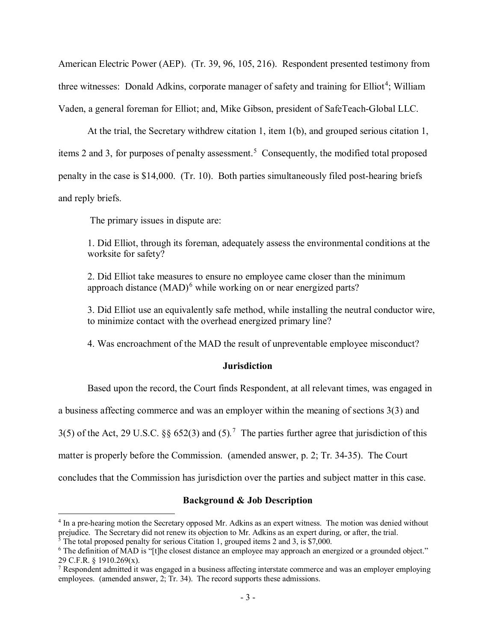American Electric Power (AEP). (Tr. 39, 96, 105, 216). Respondent presented testimony from three witnesses: Donald Adkins, corporate manager of safety and training for Elliot<sup>[4](#page-2-0)</sup>; William Vaden, a general foreman for Elliot; and, Mike Gibson, president of SafeTeach-Global LLC.

At the trial, the Secretary withdrew citation 1, item 1(b), and grouped serious citation 1, items 2 and 3, for purposes of penalty assessment. [5](#page-2-1) Consequently, the modified total proposed penalty in the case is \$14,000. (Tr. 10). Both parties simultaneously filed post-hearing briefs and reply briefs.

The primary issues in dispute are:

1. Did Elliot, through its foreman, adequately assess the environmental conditions at the worksite for safety?

2. Did Elliot take measures to ensure no employee came closer than the minimum approach distance  $(MAD)^6$  $(MAD)^6$  while working on or near energized parts?

3. Did Elliot use an equivalently safe method, while installing the neutral conductor wire, to minimize contact with the overhead energized primary line?

4. Was encroachment of the MAD the result of unpreventable employee misconduct?

### **Jurisdiction**

Based upon the record, the Court finds Respondent, at all relevant times, was engaged in

a business affecting commerce and was an employer within the meaning of sections 3(3) and

3(5) of the Act, 29 U.S.C. §§ 652(3) and (5)*.* [7](#page-2-3) The parties further agree that jurisdiction of this

matter is properly before the Commission. (amended answer, p. 2; Tr. 34-35). The Court

concludes that the Commission has jurisdiction over the parties and subject matter in this case.

### **Background & Job Description**

<span id="page-2-0"></span><sup>4</sup> In a pre-hearing motion the Secretary opposed Mr. Adkins as an expert witness. The motion was denied without prejudice. The Secretary did not renew its objection to Mr. Adkins as an expert during, or after, the trial.  $\frac{5}{10}$  The total proposed penalty for serious Citation 1, grouped items 2 and 3, is \$7,000.

<span id="page-2-1"></span>

<span id="page-2-2"></span><sup>&</sup>lt;sup>6</sup> The definition of MAD is "[t]he closest distance an employee may approach an energized or a grounded object." 29 C.F.R. § 1910.269(x).

<span id="page-2-3"></span><sup>7</sup> Respondent admitted it was engaged in a business affecting interstate commerce and was an employer employing employees. (amended answer, 2; Tr. 34). The record supports these admissions.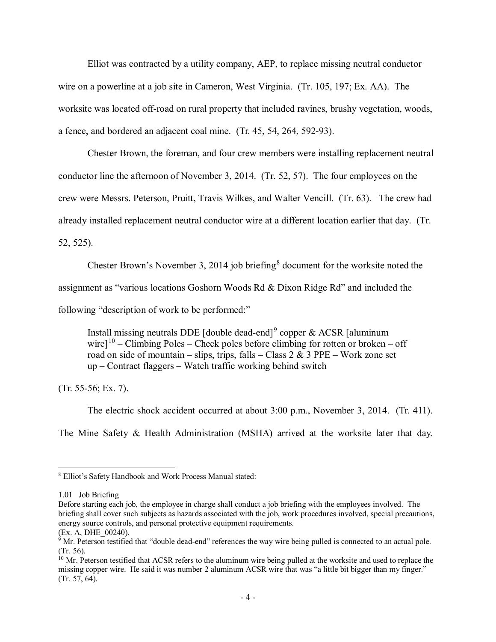Elliot was contracted by a utility company, AEP, to replace missing neutral conductor wire on a powerline at a job site in Cameron, West Virginia. (Tr. 105, 197; Ex. AA). The worksite was located off-road on rural property that included ravines, brushy vegetation, woods, a fence, and bordered an adjacent coal mine. (Tr. 45, 54, 264, 592-93).

Chester Brown, the foreman, and four crew members were installing replacement neutral conductor line the afternoon of November 3, 2014. (Tr. 52, 57). The four employees on the crew were Messrs. Peterson, Pruitt, Travis Wilkes, and Walter Vencill. (Tr. 63). The crew had already installed replacement neutral conductor wire at a different location earlier that day. (Tr. 52, 525).

Chester Brown's November 3, 2014 job briefing<sup>[8](#page-3-0)</sup> document for the worksite noted the assignment as "various locations Goshorn Woods Rd & Dixon Ridge Rd" and included the following "description of work to be performed:"

Install missing neutrals DDE [double dead-end]<sup>[9](#page-3-1)</sup> copper & ACSR [aluminum] wire]<sup>[10](#page-3-2)</sup> – Climbing Poles – Check poles before climbing for rotten or broken – off road on side of mountain – slips, trips, falls – Class 2 & 3 PPE – Work zone set up – Contract flaggers – Watch traffic working behind switch

(Tr. 55-56; Ex. 7).

The electric shock accident occurred at about 3:00 p.m., November 3, 2014. (Tr. 411). The Mine Safety & Health Administration (MSHA) arrived at the worksite later that day.

<span id="page-3-0"></span><sup>8</sup> Elliot's Safety Handbook and Work Process Manual stated:

<sup>1.01</sup> Job Briefing

Before starting each job, the employee in charge shall conduct a job briefing with the employees involved. The briefing shall cover such subjects as hazards associated with the job, work procedures involved, special precautions, energy source controls, and personal protective equipment requirements.

<sup>(</sup>Ex. A, DHE\_00240).

<span id="page-3-1"></span> $9 \text{ Mr. Peterson}$  testified that "double dead-end" references the way wire being pulled is connected to an actual pole. (Tr. 56).

<span id="page-3-2"></span> $10$  Mr. Peterson testified that ACSR refers to the aluminum wire being pulled at the worksite and used to replace the missing copper wire. He said it was number 2 aluminum ACSR wire that was "a little bit bigger than my finger." (Tr. 57, 64).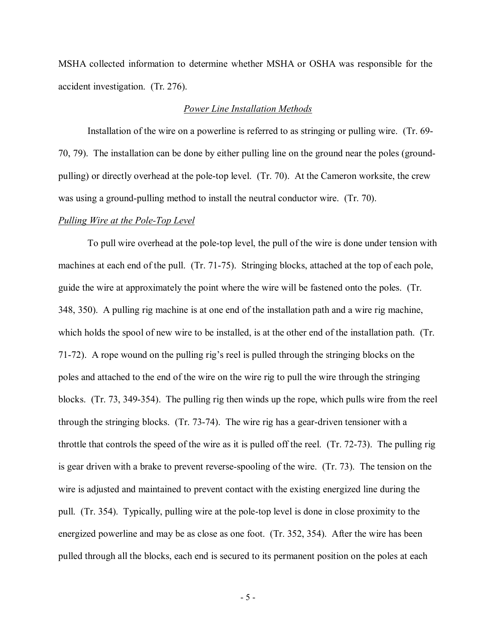MSHA collected information to determine whether MSHA or OSHA was responsible for the accident investigation. (Tr. 276).

#### *Power Line Installation Methods*

Installation of the wire on a powerline is referred to as stringing or pulling wire. (Tr. 69- 70, 79). The installation can be done by either pulling line on the ground near the poles (groundpulling) or directly overhead at the pole-top level. (Tr. 70). At the Cameron worksite, the crew was using a ground-pulling method to install the neutral conductor wire. (Tr. 70).

#### *Pulling Wire at the Pole-Top Level*

To pull wire overhead at the pole-top level, the pull of the wire is done under tension with machines at each end of the pull. (Tr. 71-75). Stringing blocks, attached at the top of each pole, guide the wire at approximately the point where the wire will be fastened onto the poles. (Tr. 348, 350). A pulling rig machine is at one end of the installation path and a wire rig machine, which holds the spool of new wire to be installed, is at the other end of the installation path. (Tr. 71-72). A rope wound on the pulling rig's reel is pulled through the stringing blocks on the poles and attached to the end of the wire on the wire rig to pull the wire through the stringing blocks. (Tr. 73, 349-354). The pulling rig then winds up the rope, which pulls wire from the reel through the stringing blocks. (Tr. 73-74). The wire rig has a gear-driven tensioner with a throttle that controls the speed of the wire as it is pulled off the reel. (Tr. 72-73). The pulling rig is gear driven with a brake to prevent reverse-spooling of the wire. (Tr. 73). The tension on the wire is adjusted and maintained to prevent contact with the existing energized line during the pull. (Tr. 354). Typically, pulling wire at the pole-top level is done in close proximity to the energized powerline and may be as close as one foot. (Tr. 352, 354). After the wire has been pulled through all the blocks, each end is secured to its permanent position on the poles at each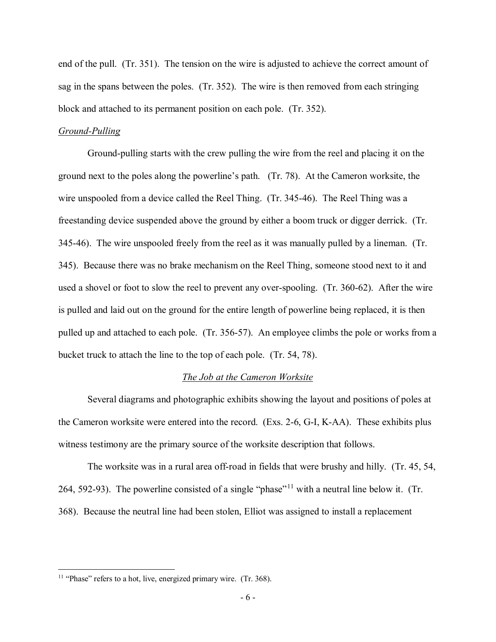end of the pull. (Tr. 351). The tension on the wire is adjusted to achieve the correct amount of sag in the spans between the poles. (Tr. 352). The wire is then removed from each stringing block and attached to its permanent position on each pole. (Tr. 352).

### *Ground-Pulling*

Ground-pulling starts with the crew pulling the wire from the reel and placing it on the ground next to the poles along the powerline's path. (Tr. 78). At the Cameron worksite, the wire unspooled from a device called the Reel Thing. (Tr. 345-46). The Reel Thing was a freestanding device suspended above the ground by either a boom truck or digger derrick. (Tr. 345-46). The wire unspooled freely from the reel as it was manually pulled by a lineman. (Tr. 345). Because there was no brake mechanism on the Reel Thing, someone stood next to it and used a shovel or foot to slow the reel to prevent any over-spooling. (Tr. 360-62). After the wire is pulled and laid out on the ground for the entire length of powerline being replaced, it is then pulled up and attached to each pole. (Tr. 356-57). An employee climbs the pole or works from a bucket truck to attach the line to the top of each pole. (Tr. 54, 78).

### *The Job at the Cameron Worksite*

Several diagrams and photographic exhibits showing the layout and positions of poles at the Cameron worksite were entered into the record. (Exs. 2-6, G-I, K-AA). These exhibits plus witness testimony are the primary source of the worksite description that follows.

The worksite was in a rural area off-road in fields that were brushy and hilly. (Tr. 45, 54, 264, 592-93). The powerline consisted of a single "phase"<sup>[11](#page-5-0)</sup> with a neutral line below it. (Tr. 368). Because the neutral line had been stolen, Elliot was assigned to install a replacement

<span id="page-5-0"></span> $11$  "Phase" refers to a hot, live, energized primary wire. (Tr. 368).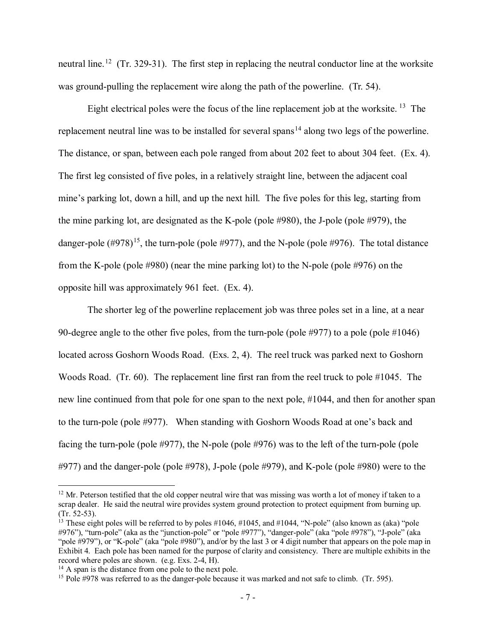neutral line.<sup>[12](#page-6-0)</sup> (Tr. 329-31). The first step in replacing the neutral conductor line at the worksite was ground-pulling the replacement wire along the path of the powerline. (Tr. 54).

Eight electrical poles were the focus of the line replacement job at the worksite.  $^{13}$  $^{13}$  $^{13}$  The replacement neutral line was to be installed for several spans<sup>[14](#page-6-2)</sup> along two legs of the powerline. The distance, or span, between each pole ranged from about 202 feet to about 304 feet. (Ex. 4). The first leg consisted of five poles, in a relatively straight line, between the adjacent coal mine's parking lot, down a hill, and up the next hill. The five poles for this leg, starting from the mine parking lot, are designated as the K-pole (pole #980), the J-pole (pole #979), the danger-pole  $(\#978)^{15}$  $(\#978)^{15}$  $(\#978)^{15}$ , the turn-pole (pole  $\#977$ ), and the N-pole (pole  $\#976$ ). The total distance from the K-pole (pole #980) (near the mine parking lot) to the N-pole (pole #976) on the opposite hill was approximately 961 feet. (Ex. 4).

The shorter leg of the powerline replacement job was three poles set in a line, at a near 90-degree angle to the other five poles, from the turn-pole (pole #977) to a pole (pole #1046) located across Goshorn Woods Road. (Exs. 2, 4). The reel truck was parked next to Goshorn Woods Road. (Tr. 60). The replacement line first ran from the reel truck to pole #1045. The new line continued from that pole for one span to the next pole, #1044, and then for another span to the turn-pole (pole #977). When standing with Goshorn Woods Road at one's back and facing the turn-pole (pole #977), the N-pole (pole #976) was to the left of the turn-pole (pole #977) and the danger-pole (pole #978), J-pole (pole #979), and K-pole (pole #980) were to the

<span id="page-6-0"></span> $12$  Mr. Peterson testified that the old copper neutral wire that was missing was worth a lot of money if taken to a scrap dealer. He said the neutral wire provides system ground protection to protect equipment from burning up. (Tr. 52-53).

<span id="page-6-1"></span><sup>&</sup>lt;sup>13</sup> These eight poles will be referred to by poles  $\#1046$ ,  $\#1045$ , and  $\#1044$ , "N-pole" (also known as (aka) "pole #976"), "turn-pole" (aka as the "junction-pole" or "pole #977"), "danger-pole" (aka "pole #978"), "J-pole" (aka "pole #979"), or "K-pole" (aka "pole #980"), and/or by the last 3 or 4 digit number that appears on the pole map in Exhibit 4. Each pole has been named for the purpose of clarity and consistency. There are multiple exhibits in the record where poles are shown. (e.g. Exs. 2-4, H).

<span id="page-6-2"></span> $14$  A span is the distance from one pole to the next pole.

<span id="page-6-3"></span><sup>&</sup>lt;sup>15</sup> Pole #978 was referred to as the danger-pole because it was marked and not safe to climb. (Tr. 595).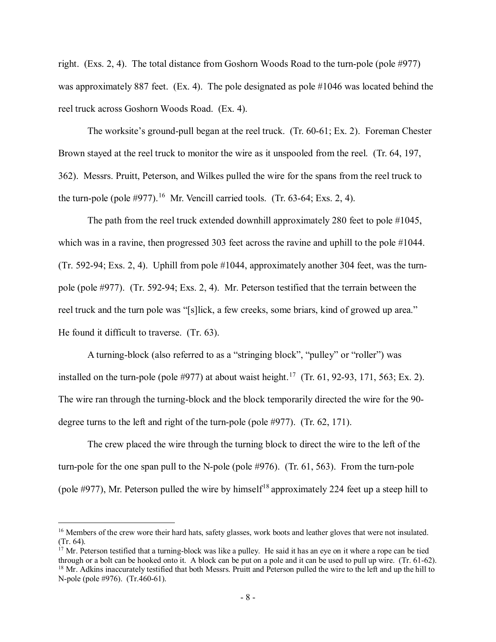right. (Exs. 2, 4). The total distance from Goshorn Woods Road to the turn-pole (pole #977) was approximately 887 feet. (Ex. 4). The pole designated as pole #1046 was located behind the reel truck across Goshorn Woods Road. (Ex. 4).

The worksite's ground-pull began at the reel truck. (Tr. 60-61; Ex. 2). Foreman Chester Brown stayed at the reel truck to monitor the wire as it unspooled from the reel. (Tr. 64, 197, 362). Messrs. Pruitt, Peterson, and Wilkes pulled the wire for the spans from the reel truck to the turn-pole (pole  $\#977$ ).<sup>[16](#page-7-0)</sup> Mr. Vencill carried tools. (Tr. 63-64; Exs. 2, 4).

The path from the reel truck extended downhill approximately 280 feet to pole #1045, which was in a ravine, then progressed 303 feet across the ravine and uphill to the pole #1044. (Tr. 592-94; Exs. 2, 4). Uphill from pole #1044, approximately another 304 feet, was the turnpole (pole #977). (Tr. 592-94; Exs. 2, 4). Mr. Peterson testified that the terrain between the reel truck and the turn pole was "[s]lick, a few creeks, some briars, kind of growed up area." He found it difficult to traverse. (Tr. 63).

A turning-block (also referred to as a "stringing block", "pulley" or "roller") was installed on the turn-pole (pole #977) at about waist height.<sup>[17](#page-7-1)</sup> (Tr. 61, 92-93, 171, 563; Ex. 2). The wire ran through the turning-block and the block temporarily directed the wire for the 90 degree turns to the left and right of the turn-pole (pole #977). (Tr. 62, 171).

The crew placed the wire through the turning block to direct the wire to the left of the turn-pole for the one span pull to the N-pole (pole #976). (Tr. 61, 563). From the turn-pole (pole  $\#977$ ), Mr. Peterson pulled the wire by himself<sup>[18](#page-7-2)</sup> approximately 224 feet up a steep hill to

<span id="page-7-0"></span><sup>&</sup>lt;sup>16</sup> Members of the crew wore their hard hats, safety glasses, work boots and leather gloves that were not insulated. (Tr. 64).

<span id="page-7-2"></span><span id="page-7-1"></span><sup>&</sup>lt;sup>17</sup> Mr. Peterson testified that a turning-block was like a pulley. He said it has an eye on it where a rope can be tied through or a bolt can be hooked onto it. A block can be put on a pole and it can be used to pull up <sup>18</sup> Mr. Adkins inaccurately testified that both Messrs. Pruitt and Peterson pulled the wire to the left and up the hill to N-pole (pole #976). (Tr.460-61).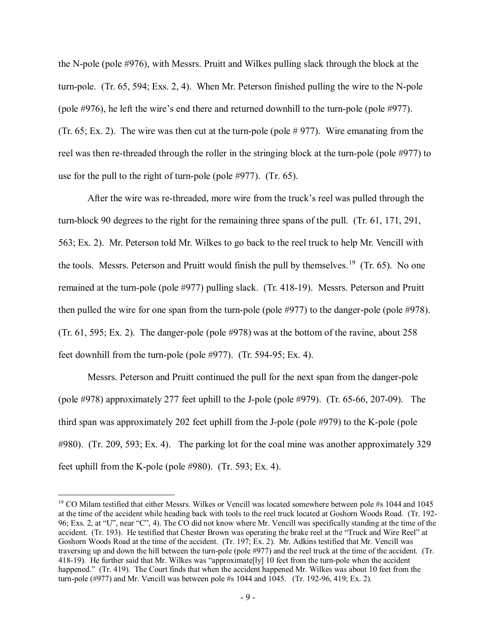the N-pole (pole #976), with Messrs. Pruitt and Wilkes pulling slack through the block at the turn-pole. (Tr. 65, 594; Exs. 2, 4). When Mr. Peterson finished pulling the wire to the N-pole (pole #976), he left the wire's end there and returned downhill to the turn-pole (pole #977). (Tr.  $65$ ; Ex. 2). The wire was then cut at the turn-pole (pole  $\# 977$ ). Wire emanating from the reel was then re-threaded through the roller in the stringing block at the turn-pole (pole #977) to use for the pull to the right of turn-pole (pole #977). (Tr. 65).

After the wire was re-threaded, more wire from the truck's reel was pulled through the turn-block 90 degrees to the right for the remaining three spans of the pull. (Tr. 61, 171, 291, 563; Ex. 2). Mr. Peterson told Mr. Wilkes to go back to the reel truck to help Mr. Vencill with the tools. Messrs. Peterson and Pruitt would finish the pull by themselves.<sup>19</sup> (Tr. 65). No one remained at the turn-pole (pole #977) pulling slack. (Tr. 418-19). Messrs. Peterson and Pruitt then pulled the wire for one span from the turn-pole (pole #977) to the danger-pole (pole #978). (Tr. 61, 595; Ex. 2). The danger-pole (pole #978) was at the bottom of the ravine, about 258 feet downhill from the turn-pole (pole #977). (Tr. 594-95; Ex. 4).

Messrs. Peterson and Pruitt continued the pull for the next span from the danger-pole (pole #978) approximately 277 feet uphill to the J-pole (pole #979). (Tr. 65-66, 207-09). The third span was approximately 202 feet uphill from the J-pole (pole #979) to the K-pole (pole #980). (Tr. 209, 593; Ex. 4). The parking lot for the coal mine was another approximately 329 feet uphill from the K-pole (pole #980). (Tr. 593; Ex. 4).

<span id="page-8-0"></span><sup>&</sup>lt;sup>19</sup> CO Milam testified that either Messrs. Wilkes or Vencill was located somewhere between pole #s 1044 and 1045 at the time of the accident while heading back with tools to the reel truck located at Goshorn Woods Road. (Tr. 192- 96; Exs. 2, at "U", near "C", 4). The CO did not know where Mr. Vencill was specifically standing at the time of the accident. (Tr. 193). He testified that Chester Brown was operating the brake reel at the "Truck and Wire Reel" at Goshorn Woods Road at the time of the accident. (Tr. 197; Ex. 2). Mr. Adkins testified that Mr. Vencill was traversing up and down the hill between the turn-pole (pole #977) and the reel truck at the time of the accident. (Tr. 418-19). He further said that Mr. Wilkes was "approximate[ly] 10 feet from the turn-pole when the accident happened." (Tr. 419). The Court finds that when the accident happened Mr. Wilkes was about 10 feet from the turn-pole (#977) and Mr. Vencill was between pole #s 1044 and 1045. (Tr. 192-96, 419; Ex. 2).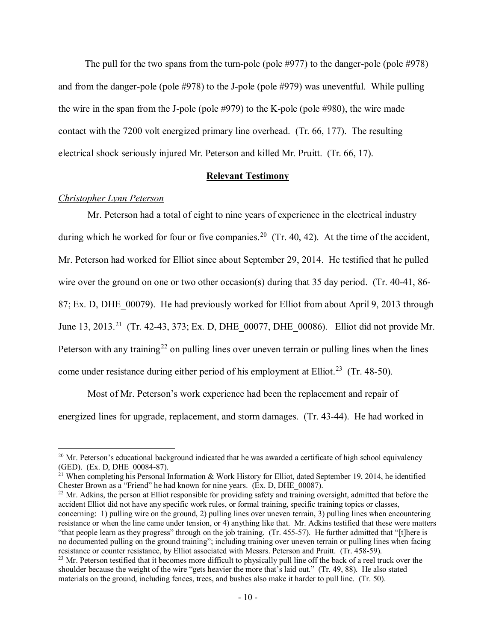The pull for the two spans from the turn-pole (pole #977) to the danger-pole (pole #978) and from the danger-pole (pole #978) to the J-pole (pole #979) was uneventful. While pulling the wire in the span from the J-pole (pole #979) to the K-pole (pole #980), the wire made contact with the 7200 volt energized primary line overhead. (Tr. 66, 177). The resulting electrical shock seriously injured Mr. Peterson and killed Mr. Pruitt. (Tr. 66, 17).

### **Relevant Testimony**

## *Christopher Lynn Peterson*

 $\overline{a}$ 

Mr. Peterson had a total of eight to nine years of experience in the electrical industry during which he worked for four or five companies.<sup>20</sup> (Tr. 40, 42). At the time of the accident, Mr. Peterson had worked for Elliot since about September 29, 2014. He testified that he pulled wire over the ground on one or two other occasion(s) during that 35 day period. (Tr. 40-41, 86-87; Ex. D, DHE\_00079). He had previously worked for Elliot from about April 9, 2013 through June 13, 2013.<sup>21</sup> (Tr. 42-43, 373; Ex. D, DHE\_00077, DHE\_00086). Elliot did not provide Mr. Peterson with any training<sup>[22](#page-9-2)</sup> on pulling lines over uneven terrain or pulling lines when the lines come under resistance during either period of his employment at Elliot.<sup>23</sup> (Tr. 48-50).

Most of Mr. Peterson's work experience had been the replacement and repair of energized lines for upgrade, replacement, and storm damages. (Tr. 43-44). He had worked in

<span id="page-9-2"></span> $22$  Mr. Adkins, the person at Elliot responsible for providing safety and training oversight, admitted that before the accident Elliot did not have any specific work rules, or formal training, specific training topics or classes, concerning: 1) pulling wire on the ground, 2) pulling lines over uneven terrain, 3) pulling lines when encountering resistance or when the line came under tension, or 4) anything like that. Mr. Adkins testified that these were matters "that people learn as they progress" through on the job training. (Tr. 455-57). He further admitted that "[t]here is no documented pulling on the ground training"; including training over uneven terrain or pulling lines when facing resistance or counter resistance, by Elliot associated with Messrs. Peterson and Pruitt. (Tr. 458-59).

<span id="page-9-0"></span><sup>&</sup>lt;sup>20</sup> Mr. Peterson's educational background indicated that he was awarded a certificate of high school equivalency (GED). (Ex. D, DHE  $00084-87$ ).

<span id="page-9-1"></span><sup>&</sup>lt;sup>21</sup> When completing his Personal Information & Work History for Elliot, dated September 19, 2014, he identified Chester Brown as a "Friend" he had known for nine years. (Ex. D, DHE\_00087).

<span id="page-9-3"></span><sup>&</sup>lt;sup>23</sup> Mr. Peterson testified that it becomes more difficult to physically pull line off the back of a reel truck over the shoulder because the weight of the wire "gets heavier the more that's laid out." (Tr. 49, 88). He also stated materials on the ground, including fences, trees, and bushes also make it harder to pull line. (Tr. 50).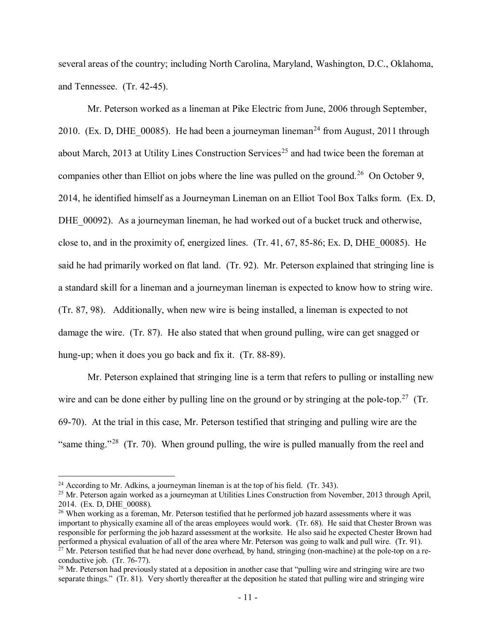several areas of the country; including North Carolina, Maryland, Washington, D.C., Oklahoma, and Tennessee. (Tr. 42-45).

Mr. Peterson worked as a lineman at Pike Electric from June, 2006 through September, 2010. (Ex. D, DHE  $\alpha$  00085). He had been a journeyman lineman<sup>24</sup> from August, 2011 through about March, 2013 at Utility Lines Construction Services<sup>[25](#page-10-1)</sup> and had twice been the foreman at companies other than Elliot on jobs where the line was pulled on the ground.<sup>[26](#page-10-2)</sup> On October 9, 2014, he identified himself as a Journeyman Lineman on an Elliot Tool Box Talks form. (Ex. D, DHE 00092). As a journeyman lineman, he had worked out of a bucket truck and otherwise, close to, and in the proximity of, energized lines. (Tr. 41, 67, 85-86; Ex. D, DHE\_00085). He said he had primarily worked on flat land. (Tr. 92). Mr. Peterson explained that stringing line is a standard skill for a lineman and a journeyman lineman is expected to know how to string wire. (Tr. 87, 98). Additionally, when new wire is being installed, a lineman is expected to not damage the wire. (Tr. 87). He also stated that when ground pulling, wire can get snagged or hung-up; when it does you go back and fix it. (Tr. 88-89).

Mr. Peterson explained that stringing line is a term that refers to pulling or installing new wire and can be done either by pulling line on the ground or by stringing at the pole-top.<sup>[27](#page-10-3)</sup> (Tr. 69-70). At the trial in this case, Mr. Peterson testified that stringing and pulling wire are the "same thing."<sup>28</sup> (Tr. 70). When ground pulling, the wire is pulled manually from the reel and

 $24$  According to Mr. Adkins, a journeyman lineman is at the top of his field. (Tr. 343).

<span id="page-10-1"></span><span id="page-10-0"></span><sup>&</sup>lt;sup>25</sup> Mr. Peterson again worked as a journeyman at Utilities Lines Construction from November, 2013 through April, 2014. (Ex. D, DHE\_00088).

<span id="page-10-2"></span><sup>&</sup>lt;sup>26</sup> When working as a foreman, Mr. Peterson testified that he performed job hazard assessments where it was important to physically examine all of the areas employees would work. (Tr. 68). He said that Chester Brown was responsible for performing the job hazard assessment at the worksite. He also said he expected Chester Brown had performed a physical evaluation of all of the area where Mr. Peterson was going to walk and pull wire. (Tr. 91). <sup>27</sup> Mr. Peterson testified that he had never done overhead, by hand, stringing (non-machine) at the pole-top on a reconductive job. (Tr. 76-77).

<span id="page-10-4"></span><span id="page-10-3"></span><sup>&</sup>lt;sup>28</sup> Mr. Peterson had previously stated at a deposition in another case that "pulling wire and stringing wire are two separate things." (Tr. 81). Very shortly thereafter at the deposition he stated that pulling wire and stringing wire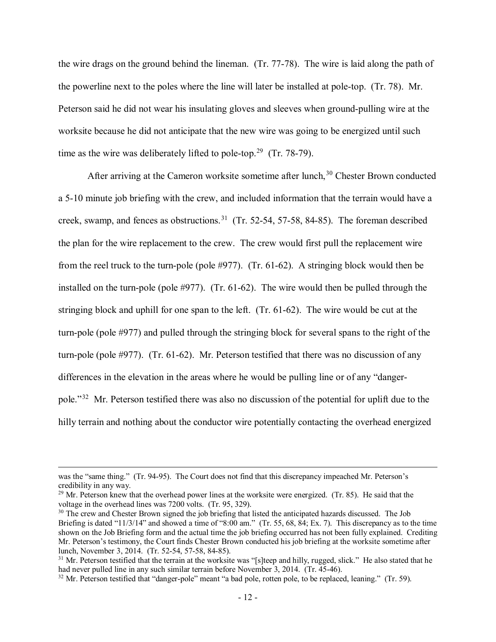the wire drags on the ground behind the lineman. (Tr. 77-78). The wire is laid along the path of the powerline next to the poles where the line will later be installed at pole-top. (Tr. 78). Mr. Peterson said he did not wear his insulating gloves and sleeves when ground-pulling wire at the worksite because he did not anticipate that the new wire was going to be energized until such time as the wire was deliberately lifted to pole-top.<sup>29</sup> (Tr. 78-79).

After arriving at the Cameron worksite sometime after lunch,<sup>30</sup> Chester Brown conducted a 5-10 minute job briefing with the crew, and included information that the terrain would have a creek, swamp, and fences as obstructions.<sup>[31](#page-11-2)</sup> (Tr. 52-54, 57-58, 84-85). The foreman described the plan for the wire replacement to the crew. The crew would first pull the replacement wire from the reel truck to the turn-pole (pole #977). (Tr. 61-62). A stringing block would then be installed on the turn-pole (pole #977). (Tr. 61-62). The wire would then be pulled through the stringing block and uphill for one span to the left. (Tr. 61-62). The wire would be cut at the turn-pole (pole #977) and pulled through the stringing block for several spans to the right of the turn-pole (pole #977). (Tr. 61-62). Mr. Peterson testified that there was no discussion of any differences in the elevation in the areas where he would be pulling line or of any "dangerpole."[32](#page-11-3) Mr. Peterson testified there was also no discussion of the potential for uplift due to the hilly terrain and nothing about the conductor wire potentially contacting the overhead energized

was the "same thing." (Tr. 94-95). The Court does not find that this discrepancy impeached Mr. Peterson's credibility in any way.

<span id="page-11-0"></span><sup>&</sup>lt;sup>29</sup> Mr. Peterson knew that the overhead power lines at the worksite were energized. (Tr. 85). He said that the voltage in the overhead lines was 7200 volts. (Tr. 95, 329).

<span id="page-11-1"></span><sup>&</sup>lt;sup>30</sup> The crew and Chester Brown signed the job briefing that listed the anticipated hazards discussed. The Job Briefing is dated "11/3/14" and showed a time of "8:00 am." (Tr. 55, 68, 84; Ex. 7). This discrepancy as to the time shown on the Job Briefing form and the actual time the job briefing occurred has not been fully explained. Crediting Mr. Peterson's testimony, the Court finds Chester Brown conducted his job briefing at the worksite sometime after lunch, November 3, 2014. (Tr. 52-54, 57-58, 84-85).

<span id="page-11-2"></span> $31$  Mr. Peterson testified that the terrain at the worksite was "[s]teep and hilly, rugged, slick." He also stated that he had never pulled line in any such similar terrain before November 3, 2014. (Tr. 45-46).

<span id="page-11-3"></span><sup>&</sup>lt;sup>32</sup> Mr. Peterson testified that "danger-pole" meant "a bad pole, rotten pole, to be replaced, leaning." (Tr. 59).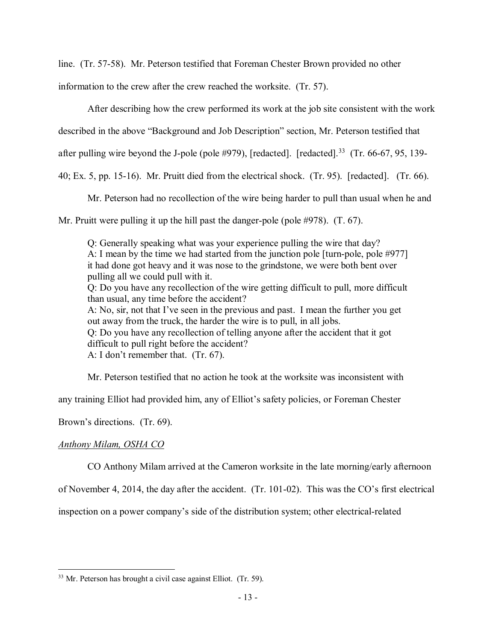line. (Tr. 57-58). Mr. Peterson testified that Foreman Chester Brown provided no other

information to the crew after the crew reached the worksite. (Tr. 57).

After describing how the crew performed its work at the job site consistent with the work

described in the above "Background and Job Description" section, Mr. Peterson testified that

after pulling wire beyond the J-pole (pole #979), [redacted]. [redacted].<sup>[33](#page-12-0)</sup> (Tr. 66-67, 95, 139-

40; Ex. 5, pp. 15-16). Mr. Pruitt died from the electrical shock. (Tr. 95). [redacted]. (Tr. 66).

Mr. Peterson had no recollection of the wire being harder to pull than usual when he and

Mr. Pruitt were pulling it up the hill past the danger-pole (pole #978). (T. 67).

Q: Generally speaking what was your experience pulling the wire that day? A: I mean by the time we had started from the junction pole [turn-pole, pole #977] it had done got heavy and it was nose to the grindstone, we were both bent over pulling all we could pull with it. Q: Do you have any recollection of the wire getting difficult to pull, more difficult than usual, any time before the accident? A: No, sir, not that I've seen in the previous and past. I mean the further you get out away from the truck, the harder the wire is to pull, in all jobs. Q: Do you have any recollection of telling anyone after the accident that it got difficult to pull right before the accident? A: I don't remember that. (Tr. 67).

Mr. Peterson testified that no action he took at the worksite was inconsistent with

any training Elliot had provided him, any of Elliot's safety policies, or Foreman Chester

Brown's directions. (Tr. 69).

# *Anthony Milam, OSHA CO*

CO Anthony Milam arrived at the Cameron worksite in the late morning/early afternoon

of November 4, 2014, the day after the accident. (Tr. 101-02). This was the CO's first electrical

inspection on a power company's side of the distribution system; other electrical-related

<span id="page-12-0"></span> $\overline{a}$ <sup>33</sup> Mr. Peterson has brought a civil case against Elliot. (Tr. 59).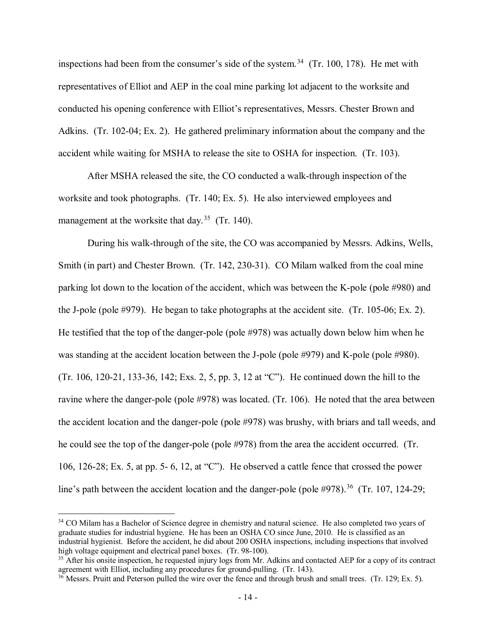inspections had been from the consumer's side of the system.<sup>[34](#page-13-0)</sup> (Tr. 100, 178). He met with representatives of Elliot and AEP in the coal mine parking lot adjacent to the worksite and conducted his opening conference with Elliot's representatives, Messrs. Chester Brown and Adkins. (Tr. 102-04; Ex. 2). He gathered preliminary information about the company and the accident while waiting for MSHA to release the site to OSHA for inspection. (Tr. 103).

After MSHA released the site, the CO conducted a walk-through inspection of the worksite and took photographs. (Tr. 140; Ex. 5). He also interviewed employees and management at the worksite that day.<sup>35</sup> (Tr. 140).

During his walk-through of the site, the CO was accompanied by Messrs. Adkins, Wells, Smith (in part) and Chester Brown. (Tr. 142, 230-31). CO Milam walked from the coal mine parking lot down to the location of the accident, which was between the K-pole (pole #980) and the J-pole (pole #979). He began to take photographs at the accident site. (Tr. 105-06; Ex. 2). He testified that the top of the danger-pole (pole #978) was actually down below him when he was standing at the accident location between the J-pole (pole #979) and K-pole (pole #980). (Tr. 106, 120-21, 133-36, 142; Exs. 2, 5, pp. 3, 12 at "C"). He continued down the hill to the ravine where the danger-pole (pole #978) was located. (Tr. 106). He noted that the area between the accident location and the danger-pole (pole #978) was brushy, with briars and tall weeds, and he could see the top of the danger-pole (pole #978) from the area the accident occurred. (Tr. 106, 126-28; Ex. 5, at pp. 5- 6, 12, at "C"). He observed a cattle fence that crossed the power line's path between the accident location and the danger-pole (pole #978).<sup>[36](#page-13-2)</sup> (Tr. 107, 124-29;

<span id="page-13-0"></span><sup>&</sup>lt;sup>34</sup> CO Milam has a Bachelor of Science degree in chemistry and natural science. He also completed two years of graduate studies for industrial hygiene. He has been an OSHA CO since June, 2010. He is classified as an industrial hygienist. Before the accident, he did about 200 OSHA inspections, including inspections that involved high voltage equipment and electrical panel boxes. (Tr. 98-100).

<span id="page-13-1"></span><sup>&</sup>lt;sup>35</sup> After his onsite inspection, he requested injury logs from Mr. Adkins and contacted AEP for a copy of its contract agreement with Elliot, including any procedures for ground-pulling. (Tr. 143).

<span id="page-13-2"></span> $36$  Messrs. Pruitt and Peterson pulled the wire over the fence and through brush and small trees. (Tr. 129; Ex. 5).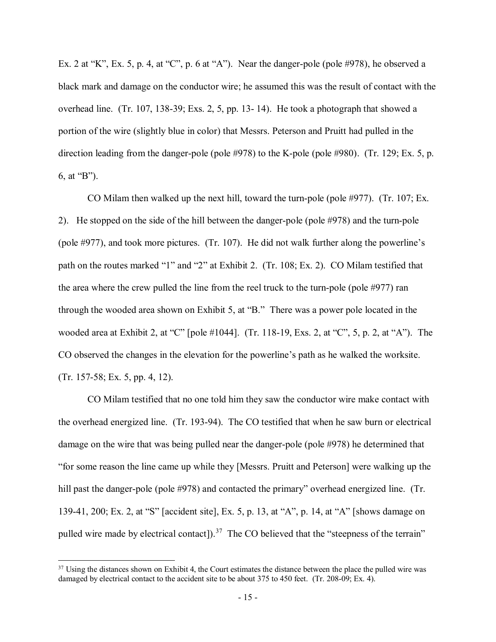Ex. 2 at "K", Ex. 5, p. 4, at "C", p. 6 at "A"). Near the danger-pole (pole #978), he observed a black mark and damage on the conductor wire; he assumed this was the result of contact with the overhead line. (Tr. 107, 138-39; Exs. 2, 5, pp. 13- 14). He took a photograph that showed a portion of the wire (slightly blue in color) that Messrs. Peterson and Pruitt had pulled in the direction leading from the danger-pole (pole #978) to the K-pole (pole #980). (Tr. 129; Ex. 5, p. 6, at "B").

CO Milam then walked up the next hill, toward the turn-pole (pole #977). (Tr. 107; Ex. 2). He stopped on the side of the hill between the danger-pole (pole #978) and the turn-pole (pole #977), and took more pictures. (Tr. 107). He did not walk further along the powerline's path on the routes marked "1" and "2" at Exhibit 2. (Tr. 108; Ex. 2). CO Milam testified that the area where the crew pulled the line from the reel truck to the turn-pole (pole #977) ran through the wooded area shown on Exhibit 5, at "B." There was a power pole located in the wooded area at Exhibit 2, at "C" [pole #1044]. (Tr. 118-19, Exs. 2, at "C", 5, p. 2, at "A"). The CO observed the changes in the elevation for the powerline's path as he walked the worksite. (Tr. 157-58; Ex. 5, pp. 4, 12).

CO Milam testified that no one told him they saw the conductor wire make contact with the overhead energized line. (Tr. 193-94). The CO testified that when he saw burn or electrical damage on the wire that was being pulled near the danger-pole (pole #978) he determined that "for some reason the line came up while they [Messrs. Pruitt and Peterson] were walking up the hill past the danger-pole (pole #978) and contacted the primary" overhead energized line. (Tr. 139-41, 200; Ex. 2, at "S" [accident site], Ex. 5, p. 13, at "A", p. 14, at "A" [shows damage on pulled wire made by electrical contact]).<sup>37</sup> The CO believed that the "steepness of the terrain"

<span id="page-14-0"></span> $37$  Using the distances shown on Exhibit 4, the Court estimates the distance between the place the pulled wire was damaged by electrical contact to the accident site to be about 375 to 450 feet. (Tr. 208-09; Ex. 4).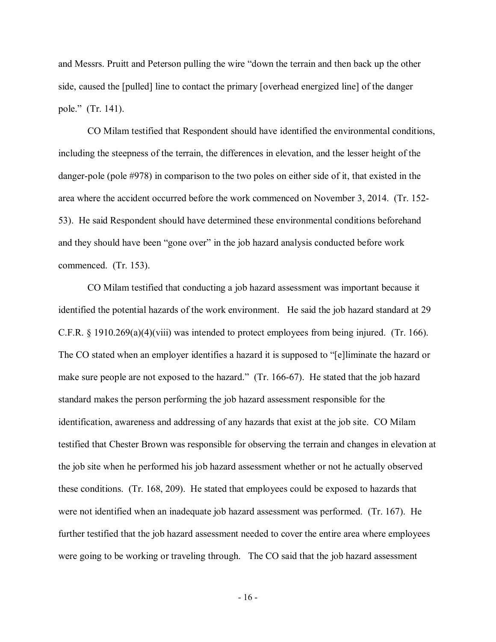and Messrs. Pruitt and Peterson pulling the wire "down the terrain and then back up the other side, caused the [pulled] line to contact the primary [overhead energized line] of the danger pole." (Tr. 141).

CO Milam testified that Respondent should have identified the environmental conditions, including the steepness of the terrain, the differences in elevation, and the lesser height of the danger-pole (pole #978) in comparison to the two poles on either side of it, that existed in the area where the accident occurred before the work commenced on November 3, 2014. (Tr. 152- 53). He said Respondent should have determined these environmental conditions beforehand and they should have been "gone over" in the job hazard analysis conducted before work commenced. (Tr. 153).

CO Milam testified that conducting a job hazard assessment was important because it identified the potential hazards of the work environment. He said the job hazard standard at 29 C.F.R. § 1910.269(a)(4)(viii) was intended to protect employees from being injured. (Tr. 166). The CO stated when an employer identifies a hazard it is supposed to "[e]liminate the hazard or make sure people are not exposed to the hazard." (Tr. 166-67). He stated that the job hazard standard makes the person performing the job hazard assessment responsible for the identification, awareness and addressing of any hazards that exist at the job site. CO Milam testified that Chester Brown was responsible for observing the terrain and changes in elevation at the job site when he performed his job hazard assessment whether or not he actually observed these conditions. (Tr. 168, 209). He stated that employees could be exposed to hazards that were not identified when an inadequate job hazard assessment was performed. (Tr. 167). He further testified that the job hazard assessment needed to cover the entire area where employees were going to be working or traveling through. The CO said that the job hazard assessment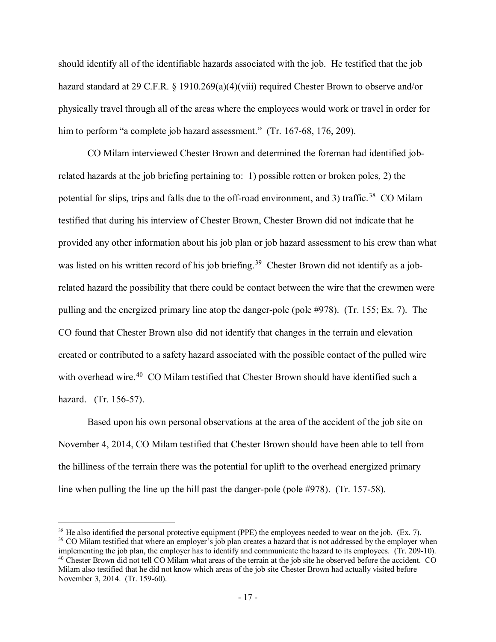should identify all of the identifiable hazards associated with the job. He testified that the job hazard standard at 29 C.F.R. § 1910.269(a)(4)(viii) required Chester Brown to observe and/or physically travel through all of the areas where the employees would work or travel in order for him to perform "a complete job hazard assessment." (Tr. 167-68, 176, 209).

CO Milam interviewed Chester Brown and determined the foreman had identified jobrelated hazards at the job briefing pertaining to: 1) possible rotten or broken poles, 2) the potential for slips, trips and falls due to the off-road environment, and 3) traffic.<sup>38</sup> CO Milam testified that during his interview of Chester Brown, Chester Brown did not indicate that he provided any other information about his job plan or job hazard assessment to his crew than what was listed on his written record of his job briefing.<sup>[39](#page-16-1)</sup> Chester Brown did not identify as a jobrelated hazard the possibility that there could be contact between the wire that the crewmen were pulling and the energized primary line atop the danger-pole (pole #978). (Tr. 155; Ex. 7). The CO found that Chester Brown also did not identify that changes in the terrain and elevation created or contributed to a safety hazard associated with the possible contact of the pulled wire with overhead wire.<sup>[40](#page-16-2)</sup> CO Milam testified that Chester Brown should have identified such a hazard. (Tr. 156-57).

Based upon his own personal observations at the area of the accident of the job site on November 4, 2014, CO Milam testified that Chester Brown should have been able to tell from the hilliness of the terrain there was the potential for uplift to the overhead energized primary line when pulling the line up the hill past the danger-pole (pole #978). (Tr. 157-58).

<span id="page-16-2"></span><span id="page-16-1"></span><span id="page-16-0"></span> $38$  He also identified the personal protective equipment (PPE) the employees needed to wear on the job. (Ex. 7). <sup>39</sup> CO Milam testified that where an employer's job plan creates a hazard that is not addressed by the employer when implementing the job plan, the employer has to identify and communicate the hazard to its employees. (Tr. 209-10). <sup>40</sup> Chester Brown did not tell CO Milam what areas of the terrain at the job site he observed before the accident. CO Milam also testified that he did not know which areas of the job site Chester Brown had actually visited before November 3, 2014. (Tr. 159-60).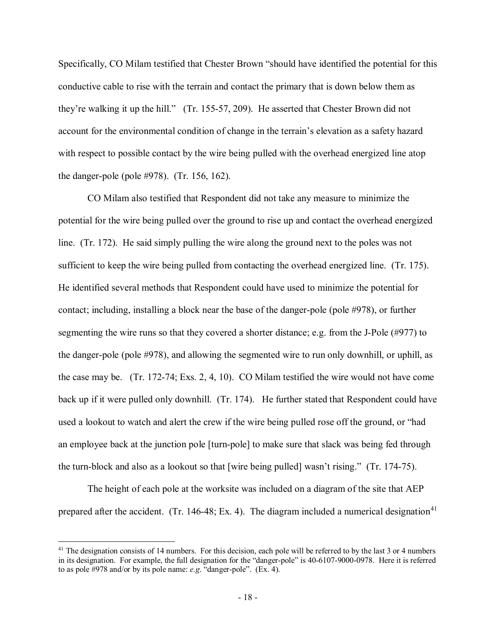Specifically, CO Milam testified that Chester Brown "should have identified the potential for this conductive cable to rise with the terrain and contact the primary that is down below them as they're walking it up the hill." (Tr. 155-57, 209). He asserted that Chester Brown did not account for the environmental condition of change in the terrain's elevation as a safety hazard with respect to possible contact by the wire being pulled with the overhead energized line atop the danger-pole (pole #978). (Tr. 156, 162).

CO Milam also testified that Respondent did not take any measure to minimize the potential for the wire being pulled over the ground to rise up and contact the overhead energized line. (Tr. 172). He said simply pulling the wire along the ground next to the poles was not sufficient to keep the wire being pulled from contacting the overhead energized line. (Tr. 175). He identified several methods that Respondent could have used to minimize the potential for contact; including, installing a block near the base of the danger-pole (pole #978), or further segmenting the wire runs so that they covered a shorter distance; e.g. from the J-Pole (#977) to the danger-pole (pole #978), and allowing the segmented wire to run only downhill, or uphill, as the case may be. (Tr. 172-74; Exs. 2, 4, 10). CO Milam testified the wire would not have come back up if it were pulled only downhill. (Tr. 174). He further stated that Respondent could have used a lookout to watch and alert the crew if the wire being pulled rose off the ground, or "had an employee back at the junction pole [turn-pole] to make sure that slack was being fed through the turn-block and also as a lookout so that [wire being pulled] wasn't rising." (Tr. 174-75).

The height of each pole at the worksite was included on a diagram of the site that AEP prepared after the accident. (Tr. 146-48; Ex. 4). The diagram included a numerical designation<sup>[41](#page-17-0)</sup>

<span id="page-17-0"></span> $41$  The designation consists of 14 numbers. For this decision, each pole will be referred to by the last 3 or 4 numbers in its designation. For example, the full designation for the "danger-pole" is 40-6107-9000-0978. Here it is referred to as pole #978 and/or by its pole name: *e.g*. "danger-pole". (Ex. 4).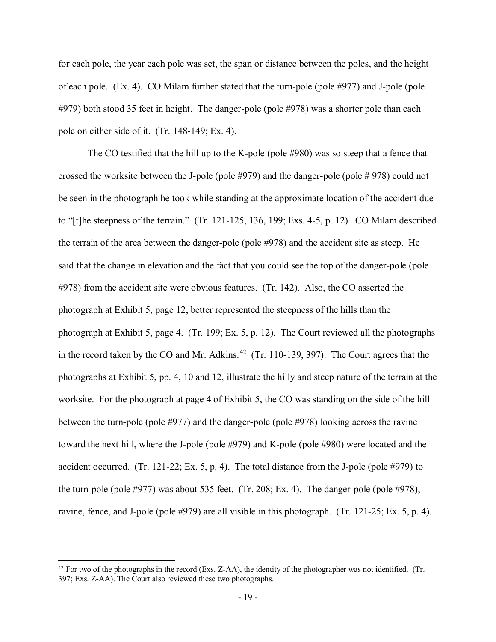for each pole, the year each pole was set, the span or distance between the poles, and the height of each pole. (Ex. 4). CO Milam further stated that the turn-pole (pole #977) and J-pole (pole #979) both stood 35 feet in height. The danger-pole (pole #978) was a shorter pole than each pole on either side of it. (Tr. 148-149; Ex. 4).

The CO testified that the hill up to the K-pole (pole #980) was so steep that a fence that crossed the worksite between the J-pole (pole #979) and the danger-pole (pole # 978) could not be seen in the photograph he took while standing at the approximate location of the accident due to "[t]he steepness of the terrain." (Tr. 121-125, 136, 199; Exs. 4-5, p. 12). CO Milam described the terrain of the area between the danger-pole (pole #978) and the accident site as steep. He said that the change in elevation and the fact that you could see the top of the danger-pole (pole #978) from the accident site were obvious features. (Tr. 142). Also, the CO asserted the photograph at Exhibit 5, page 12, better represented the steepness of the hills than the photograph at Exhibit 5, page 4. (Tr. 199; Ex. 5, p. 12). The Court reviewed all the photographs in the record taken by the CO and Mr. Adkins.<sup>[42](#page-18-0)</sup> (Tr. 110-139, 397). The Court agrees that the photographs at Exhibit 5, pp. 4, 10 and 12, illustrate the hilly and steep nature of the terrain at the worksite. For the photograph at page 4 of Exhibit 5, the CO was standing on the side of the hill between the turn-pole (pole #977) and the danger-pole (pole #978) looking across the ravine toward the next hill, where the J-pole (pole #979) and K-pole (pole #980) were located and the accident occurred. (Tr. 121-22; Ex. 5, p. 4). The total distance from the J-pole (pole #979) to the turn-pole (pole #977) was about 535 feet. (Tr. 208; Ex. 4). The danger-pole (pole #978), ravine, fence, and J-pole (pole #979) are all visible in this photograph. (Tr. 121-25; Ex. 5, p. 4).

<span id="page-18-0"></span> $42$  For two of the photographs in the record (Exs. Z-AA), the identity of the photographer was not identified. (Tr. 397; Exs. Z-AA). The Court also reviewed these two photographs.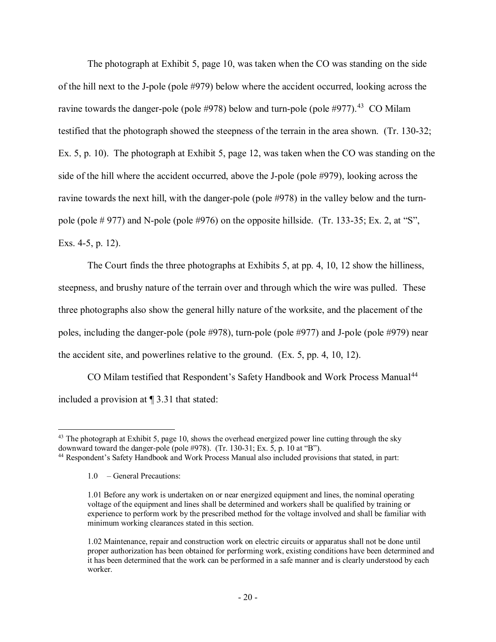The photograph at Exhibit 5, page 10, was taken when the CO was standing on the side of the hill next to the J-pole (pole #979) below where the accident occurred, looking across the ravine towards the danger-pole (pole #978) below and turn-pole (pole #977).<sup>43</sup> CO Milam testified that the photograph showed the steepness of the terrain in the area shown. (Tr. 130-32; Ex. 5, p. 10). The photograph at Exhibit 5, page 12, was taken when the CO was standing on the side of the hill where the accident occurred, above the J-pole (pole #979), looking across the ravine towards the next hill, with the danger-pole (pole #978) in the valley below and the turnpole (pole # 977) and N-pole (pole #976) on the opposite hillside. (Tr. 133-35; Ex. 2, at "S", Exs. 4-5, p. 12).

The Court finds the three photographs at Exhibits 5, at pp. 4, 10, 12 show the hilliness, steepness, and brushy nature of the terrain over and through which the wire was pulled. These three photographs also show the general hilly nature of the worksite, and the placement of the poles, including the danger-pole (pole #978), turn-pole (pole #977) and J-pole (pole #979) near the accident site, and powerlines relative to the ground. (Ex. 5, pp. 4, 10, 12).

CO Milam testified that Respondent's Safety Handbook and Work Process Manual<sup>[44](#page-19-1)</sup> included a provision at ¶ 3.31 that stated:

<span id="page-19-0"></span> $\overline{a}$  $43$  The photograph at Exhibit 5, page 10, shows the overhead energized power line cutting through the sky downward toward the danger-pole (pole #978). (Tr. 130-31; Ex. 5, p. 10 at "B").<br><sup>44</sup> Respondent's Safety Handbook and Work Process Manual also included provisions that stated, in part:

<span id="page-19-1"></span>

<sup>1.0</sup> – General Precautions:

<sup>1.01</sup> Before any work is undertaken on or near energized equipment and lines, the nominal operating voltage of the equipment and lines shall be determined and workers shall be qualified by training or experience to perform work by the prescribed method for the voltage involved and shall be familiar with minimum working clearances stated in this section.

<sup>1.02</sup> Maintenance, repair and construction work on electric circuits or apparatus shall not be done until proper authorization has been obtained for performing work, existing conditions have been determined and it has been determined that the work can be performed in a safe manner and is clearly understood by each worker.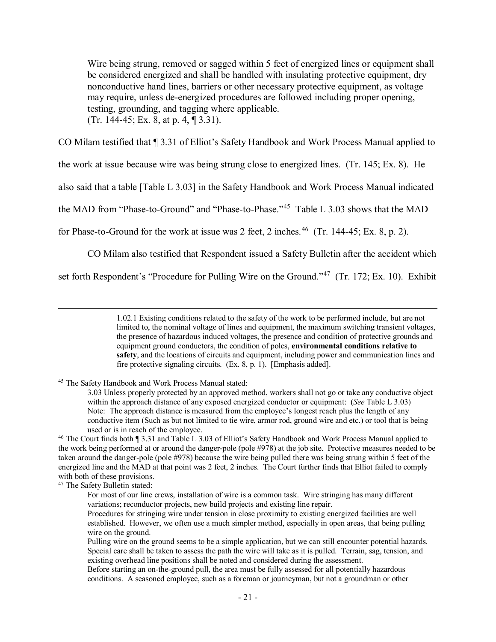Wire being strung, removed or sagged within 5 feet of energized lines or equipment shall be considered energized and shall be handled with insulating protective equipment, dry nonconductive hand lines, barriers or other necessary protective equipment, as voltage may require, unless de-energized procedures are followed including proper opening, testing, grounding, and tagging where applicable. (Tr. 144-45; Ex. 8, at p. 4, ¶ 3.31).

CO Milam testified that ¶ 3.31 of Elliot's Safety Handbook and Work Process Manual applied to

the work at issue because wire was being strung close to energized lines. (Tr. 145; Ex. 8). He

also said that a table [Table L 3.03] in the Safety Handbook and Work Process Manual indicated

the MAD from "Phase-to-Ground" and "Phase-to-Phase."[45](#page-20-0) Table L 3.03 shows that the MAD

for Phase-to-Ground for the work at issue was 2 feet, 2 inches.<sup>46</sup> (Tr. 144-45; Ex. 8, p. 2).

CO Milam also testified that Respondent issued a Safety Bulletin after the accident which

set forth Respondent's "Procedure for Pulling Wire on the Ground."<sup>47</sup> (Tr. 172; Ex. 10). Exhibit

 1.02.1 Existing conditions related to the safety of the work to be performed include, but are not limited to, the nominal voltage of lines and equipment, the maximum switching transient voltages, the presence of hazardous induced voltages, the presence and condition of protective grounds and equipment ground conductors, the condition of poles, **environmental conditions relative to safety**, and the locations of circuits and equipment, including power and communication lines and fire protective signaling circuits. (Ex. 8, p. 1). [Emphasis added].

<span id="page-20-0"></span><sup>45</sup> The Safety Handbook and Work Process Manual stated:

<span id="page-20-2"></span><sup>47</sup> The Safety Bulletin stated:

<sup>3.03</sup> Unless properly protected by an approved method, workers shall not go or take any conductive object within the approach distance of any exposed energized conductor or equipment: (*See* Table L 3.03) Note: The approach distance is measured from the employee's longest reach plus the length of any conductive item (Such as but not limited to tie wire, armor rod, ground wire and etc.) or tool that is being used or is in reach of the employee.

<span id="page-20-1"></span><sup>46</sup> The Court finds both ¶ 3.31 and Table L 3.03 of Elliot's Safety Handbook and Work Process Manual applied to the work being performed at or around the danger-pole (pole #978) at the job site. Protective measures needed to be taken around the danger-pole (pole #978) because the wire being pulled there was being strung within 5 feet of the energized line and the MAD at that point was 2 feet, 2 inches. The Court further finds that Elliot failed to comply with both of these provisions.

For most of our line crews, installation of wire is a common task. Wire stringing has many different variations; reconductor projects, new build projects and existing line repair.

Procedures for stringing wire under tension in close proximity to existing energized facilities are well established. However, we often use a much simpler method, especially in open areas, that being pulling wire on the ground.

Pulling wire on the ground seems to be a simple application, but we can still encounter potential hazards. Special care shall be taken to assess the path the wire will take as it is pulled. Terrain, sag, tension, and existing overhead line positions shall be noted and considered during the assessment.

Before starting an on-the-ground pull, the area must be fully assessed for all potentially hazardous conditions. A seasoned employee, such as a foreman or journeyman, but not a groundman or other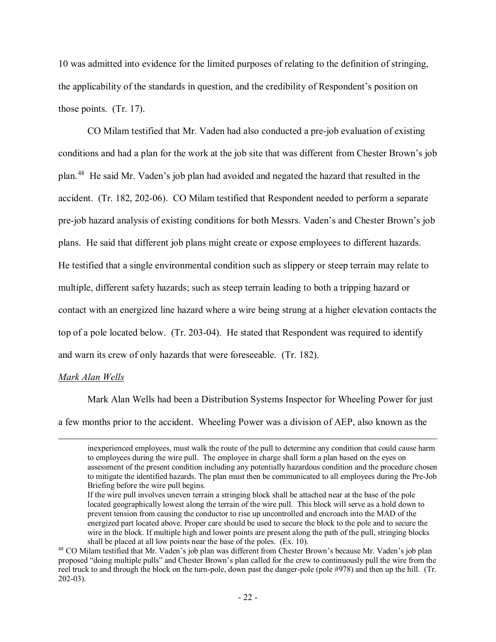10 was admitted into evidence for the limited purposes of relating to the definition of stringing, the applicability of the standards in question, and the credibility of Respondent's position on those points. (Tr. 17).

CO Milam testified that Mr. Vaden had also conducted a pre-job evaluation of existing conditions and had a plan for the work at the job site that was different from Chester Brown's job plan.[48](#page-21-0) He said Mr. Vaden's job plan had avoided and negated the hazard that resulted in the accident. (Tr. 182, 202-06). CO Milam testified that Respondent needed to perform a separate pre-job hazard analysis of existing conditions for both Messrs. Vaden's and Chester Brown's job plans. He said that different job plans might create or expose employees to different hazards. He testified that a single environmental condition such as slippery or steep terrain may relate to multiple, different safety hazards; such as steep terrain leading to both a tripping hazard or contact with an energized line hazard where a wire being strung at a higher elevation contacts the top of a pole located below. (Tr. 203-04). He stated that Respondent was required to identify and warn its crew of only hazards that were foreseeable. (Tr. 182).

#### *Mark Alan Wells*

Mark Alan Wells had been a Distribution Systems Inspector for Wheeling Power for just a few months prior to the accident. Wheeling Power was a division of AEP, also known as the

inexperienced employees, must walk the route of the pull to determine any condition that could cause harm to employees during the wire pull. The employee in charge shall form a plan based on the eyes on assessment of the present condition including any potentially hazardous condition and the procedure chosen to mitigate the identified hazards. The plan must then be communicated to all employees during the Pre-Job Briefing before the wire pull begins.

If the wire pull involves uneven terrain a stringing block shall be attached near at the base of the pole located geographically lowest along the terrain of the wire pull. This block will serve as a hold down to prevent tension from causing the conductor to rise up uncontrolled and encroach into the MAD of the energized part located above. Proper care should be used to secure the block to the pole and to secure the wire in the block. If multiple high and lower points are present along the path of the pull, stringing blocks shall be placed at all low points near the base of the poles. (Ex. 10).

<span id="page-21-0"></span><sup>48</sup> CO Milam testified that Mr. Vaden's job plan was different from Chester Brown's because Mr. Vaden's job plan proposed "doing multiple pulls" and Chester Brown's plan called for the crew to continuously pull the wire from the reel truck to and through the block on the turn-pole, down past the danger-pole (pole #978) and then up the hill. (Tr. 202-03).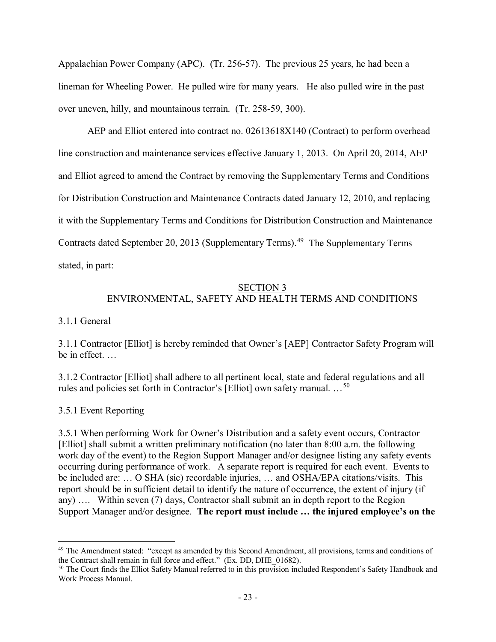Appalachian Power Company (APC). (Tr. 256-57). The previous 25 years, he had been a lineman for Wheeling Power. He pulled wire for many years. He also pulled wire in the past over uneven, hilly, and mountainous terrain. (Tr. 258-59, 300).

AEP and Elliot entered into contract no. 02613618X140 (Contract) to perform overhead line construction and maintenance services effective January 1, 2013. On April 20, 2014, AEP and Elliot agreed to amend the Contract by removing the Supplementary Terms and Conditions for Distribution Construction and Maintenance Contracts dated January 12, 2010, and replacing it with the Supplementary Terms and Conditions for Distribution Construction and Maintenance Contracts dated September 20, 2013 (Supplementary Terms).<sup>[49](#page-22-0)</sup> The Supplementary Terms stated, in part:

# SECTION 3 ENVIRONMENTAL, SAFETY AND HEALTH TERMS AND CONDITIONS

# 3.1.1 General

3.1.1 Contractor [Elliot] is hereby reminded that Owner's [AEP] Contractor Safety Program will be in effect. …

3.1.2 Contractor [Elliot] shall adhere to all pertinent local, state and federal regulations and all rules and policies set forth in Contractor's [Elliot] own safety manual. …[50](#page-22-1)

# 3.5.1 Event Reporting

3.5.1 When performing Work for Owner's Distribution and a safety event occurs, Contractor [Elliot] shall submit a written preliminary notification (no later than 8:00 a.m. the following work day of the event) to the Region Support Manager and/or designee listing any safety events occurring during performance of work. A separate report is required for each event. Events to be included are: … O SHA (sic) recordable injuries, … and OSHA/EPA citations/visits. This report should be in sufficient detail to identify the nature of occurrence, the extent of injury (if any) …. Within seven (7) days, Contractor shall submit an in depth report to the Region Support Manager and/or designee. **The report must include … the injured employee's on the** 

<span id="page-22-0"></span> $\overline{a}$ <sup>49</sup> The Amendment stated: "except as amended by this Second Amendment, all provisions, terms and conditions of the Contract shall remain in full force and effect." (Ex. DD, DHE\_01682).

<span id="page-22-1"></span><sup>&</sup>lt;sup>50</sup> The Court finds the Elliot Safety Manual referred to in this provision included Respondent's Safety Handbook and Work Process Manual.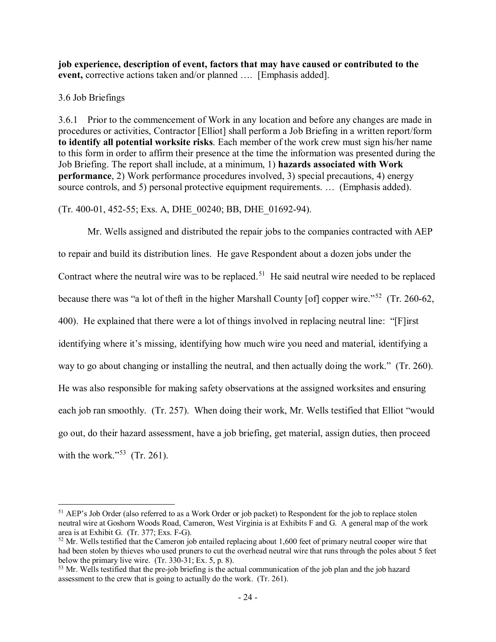**job experience, description of event, factors that may have caused or contributed to the event,** corrective actions taken and/or planned …. [Emphasis added].

### 3.6 Job Briefings

 $\overline{a}$ 

3.6.1 Prior to the commencement of Work in any location and before any changes are made in procedures or activities, Contractor [Elliot] shall perform a Job Briefing in a written report/form **to identify all potential worksite risks**. Each member of the work crew must sign his/her name to this form in order to affirm their presence at the time the information was presented during the Job Briefing. The report shall include, at a minimum, 1) **hazards associated with Work performance**, 2) Work performance procedures involved, 3) special precautions, 4) energy source controls, and 5) personal protective equipment requirements. ... (Emphasis added).

(Tr. 400-01, 452-55; Exs. A, DHE\_00240; BB, DHE\_01692-94).

Mr. Wells assigned and distributed the repair jobs to the companies contracted with AEP to repair and build its distribution lines. He gave Respondent about a dozen jobs under the Contract where the neutral wire was to be replaced.<sup>51</sup> He said neutral wire needed to be replaced because there was "a lot of theft in the higher Marshall County [of] copper wire."[52](#page-23-1) (Tr. 260-62, 400). He explained that there were a lot of things involved in replacing neutral line: "[F]irst identifying where it's missing, identifying how much wire you need and material, identifying a way to go about changing or installing the neutral, and then actually doing the work." (Tr. 260). He was also responsible for making safety observations at the assigned worksites and ensuring each job ran smoothly. (Tr. 257). When doing their work, Mr. Wells testified that Elliot "would go out, do their hazard assessment, have a job briefing, get material, assign duties, then proceed with the work."<sup>53</sup> (Tr. 261).

<span id="page-23-0"></span><sup>&</sup>lt;sup>51</sup> AEP's Job Order (also referred to as a Work Order or job packet) to Respondent for the job to replace stolen neutral wire at Goshorn Woods Road, Cameron, West Virginia is at Exhibits F and G. A general map of the work area is at Exhibit G. (Tr. 377; Exs. F-G).

<span id="page-23-1"></span> $52$  Mr. Wells testified that the Cameron job entailed replacing about 1,600 feet of primary neutral cooper wire that had been stolen by thieves who used pruners to cut the overhead neutral wire that runs through the poles about 5 feet below the primary live wire. (Tr. 330-31; Ex. 5, p. 8).

<span id="page-23-2"></span><sup>&</sup>lt;sup>53</sup> Mr. Wells testified that the pre-job briefing is the actual communication of the job plan and the job hazard assessment to the crew that is going to actually do the work. (Tr. 261).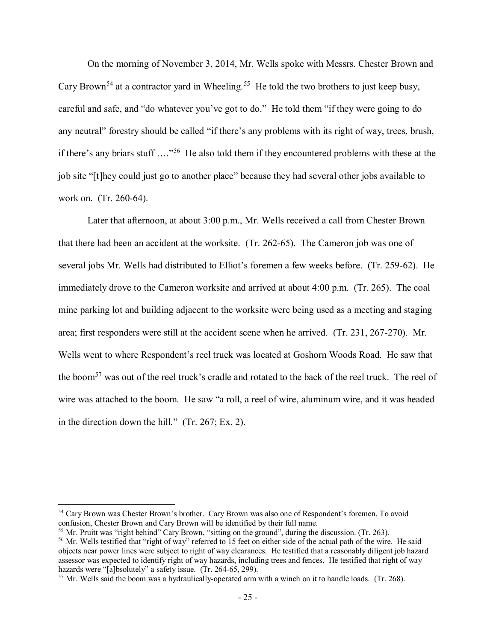On the morning of November 3, 2014, Mr. Wells spoke with Messrs. Chester Brown and Cary Brown<sup>[54](#page-24-0)</sup> at a contractor yard in Wheeling.<sup>[55](#page-24-1)</sup> He told the two brothers to just keep busy, careful and safe, and "do whatever you've got to do." He told them "if they were going to do any neutral" forestry should be called "if there's any problems with its right of way, trees, brush, if there's any briars stuff …."[56](#page-24-2) He also told them if they encountered problems with these at the job site "[t]hey could just go to another place" because they had several other jobs available to work on. (Tr. 260-64).

Later that afternoon, at about 3:00 p.m., Mr. Wells received a call from Chester Brown that there had been an accident at the worksite. (Tr. 262-65). The Cameron job was one of several jobs Mr. Wells had distributed to Elliot's foremen a few weeks before. (Tr. 259-62). He immediately drove to the Cameron worksite and arrived at about 4:00 p.m. (Tr. 265). The coal mine parking lot and building adjacent to the worksite were being used as a meeting and staging area; first responders were still at the accident scene when he arrived. (Tr. 231, 267-270). Mr. Wells went to where Respondent's reel truck was located at Goshorn Woods Road. He saw that the boom<sup>[57](#page-24-3)</sup> was out of the reel truck's cradle and rotated to the back of the reel truck. The reel of wire was attached to the boom. He saw "a roll, a reel of wire, aluminum wire, and it was headed in the direction down the hill." (Tr. 267; Ex. 2).

<span id="page-24-0"></span><sup>54</sup> Cary Brown was Chester Brown's brother. Cary Brown was also one of Respondent's foremen. To avoid confusion, Chester Brown and Cary Brown will be identified by their full name.

<span id="page-24-1"></span><sup>&</sup>lt;sup>55</sup> Mr. Pruitt was "right behind" Cary Brown, "sitting on the ground", during the discussion. (Tr. 263).

<span id="page-24-2"></span><sup>&</sup>lt;sup>56</sup> Mr. Wells testified that "right of way" referred to 15 feet on either side of the actual path of the wire. He said objects near power lines were subject to right of way clearances. He testified that a reasonably diligent job hazard assessor was expected to identify right of way hazards, including trees and fences. He testified that right of way hazards were "[a]bsolutely" a safety issue. (Tr. 264-65, 299).<br><sup>57</sup> Mr. Wells said the boom was a hydraulically-operated arm with a winch on it to handle loads. (Tr. 268).

<span id="page-24-3"></span>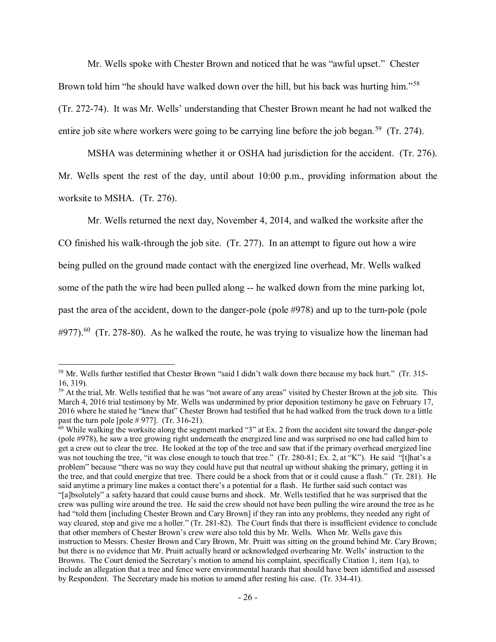Mr. Wells spoke with Chester Brown and noticed that he was "awful upset." Chester Brown told him "he should have walked down over the hill, but his back was hurting him."<sup>[58](#page-25-0)</sup> (Tr. 272-74). It was Mr. Wells' understanding that Chester Brown meant he had not walked the entire job site where workers were going to be carrying line before the job began.<sup>[59](#page-25-1)</sup> (Tr. 274).

MSHA was determining whether it or OSHA had jurisdiction for the accident. (Tr. 276). Mr. Wells spent the rest of the day, until about 10:00 p.m., providing information about the worksite to MSHA. (Tr. 276).

Mr. Wells returned the next day, November 4, 2014, and walked the worksite after the CO finished his walk-through the job site. (Tr. 277). In an attempt to figure out how a wire being pulled on the ground made contact with the energized line overhead, Mr. Wells walked some of the path the wire had been pulled along -- he walked down from the mine parking lot, past the area of the accident, down to the danger-pole (pole #978) and up to the turn-pole (pole  $\#977$ ).<sup>60</sup> (Tr. 278-80). As he walked the route, he was trying to visualize how the lineman had

<span id="page-25-0"></span> $\overline{a}$ <sup>58</sup> Mr. Wells further testified that Chester Brown "said I didn't walk down there because my back hurt." (Tr. 315- 16, 319).

<span id="page-25-1"></span><sup>&</sup>lt;sup>59</sup> At the trial, Mr. Wells testified that he was "not aware of any areas" visited by Chester Brown at the job site. This March 4, 2016 trial testimony by Mr. Wells was undermined by prior deposition testimony he gave on February 17, 2016 where he stated he "knew that" Chester Brown had testified that he had walked from the truck down to a little past the turn pole [pole  $\#$  977]. (Tr. 316-21).

<span id="page-25-2"></span> $60$  While walking the worksite along the segment marked "3" at Ex. 2 from the accident site toward the danger-pole (pole #978), he saw a tree growing right underneath the energized line and was surprised no one had called him to get a crew out to clear the tree. He looked at the top of the tree and saw that if the primary overhead energized line was not touching the tree, "it was close enough to touch that tree." (Tr. 280-81; Ex. 2, at "K"). He said "[t]hat's a problem" because "there was no way they could have put that neutral up without shaking the primary, getting it in the tree, and that could energize that tree. There could be a shock from that or it could cause a flash." (Tr. 281). He said anytime a primary line makes a contact there's a potential for a flash. He further said such contact was "[a]bsolutely" a safety hazard that could cause burns and shock. Mr. Wells testified that he was surprised that the crew was pulling wire around the tree. He said the crew should not have been pulling the wire around the tree as he had "told them [including Chester Brown and Cary Brown] if they ran into any problems, they needed any right of way cleared, stop and give me a holler." (Tr. 281-82). The Court finds that there is insufficient evidence to conclude that other members of Chester Brown's crew were also told this by Mr. Wells. When Mr. Wells gave this instruction to Messrs. Chester Brown and Cary Brown, Mr. Pruitt was sitting on the ground behind Mr. Cary Brown; but there is no evidence that Mr. Pruitt actually heard or acknowledged overhearing Mr. Wells' instruction to the Browns. The Court denied the Secretary's motion to amend his complaint, specifically Citation 1, item 1(a), to include an allegation that a tree and fence were environmental hazards that should have been identified and assessed by Respondent. The Secretary made his motion to amend after resting his case. (Tr. 334-41).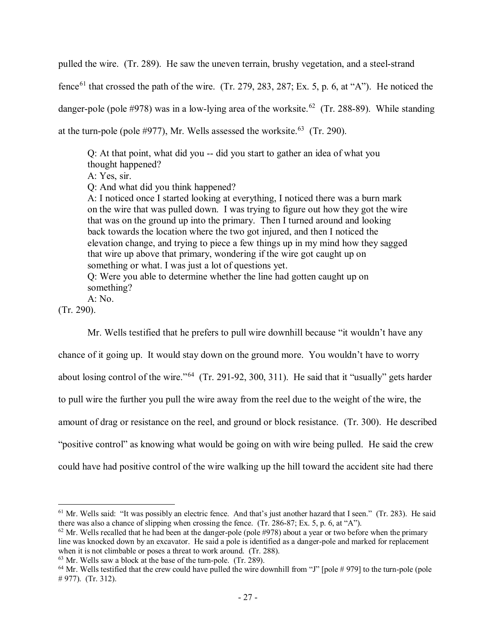pulled the wire. (Tr. 289). He saw the uneven terrain, brushy vegetation, and a steel-strand

fence<sup>[61](#page-26-0)</sup> that crossed the path of the wire. (Tr. 279, 283, 287; Ex. 5, p. 6, at "A"). He noticed the danger-pole (pole #978) was in a low-lying area of the worksite.<sup>62</sup> (Tr. 288-89). While standing at the turn-pole (pole #977), Mr. Wells assessed the worksite.<sup>63</sup> (Tr. 290).

Q: At that point, what did you -- did you start to gather an idea of what you thought happened?

A: Yes, sir.

Q: And what did you think happened?

A: I noticed once I started looking at everything, I noticed there was a burn mark on the wire that was pulled down. I was trying to figure out how they got the wire that was on the ground up into the primary. Then I turned around and looking back towards the location where the two got injured, and then I noticed the elevation change, and trying to piece a few things up in my mind how they sagged that wire up above that primary, wondering if the wire got caught up on something or what. I was just a lot of questions yet. Q: Were you able to determine whether the line had gotten caught up on something?

A: No.

(Tr. 290).

 $\overline{a}$ 

Mr. Wells testified that he prefers to pull wire downhill because "it wouldn't have any

chance of it going up. It would stay down on the ground more. You wouldn't have to worry about losing control of the wire."[64](#page-26-3) (Tr. 291-92, 300, 311). He said that it "usually" gets harder to pull wire the further you pull the wire away from the reel due to the weight of the wire, the amount of drag or resistance on the reel, and ground or block resistance. (Tr. 300). He described "positive control" as knowing what would be going on with wire being pulled. He said the crew could have had positive control of the wire walking up the hill toward the accident site had there

<span id="page-26-0"></span> $<sup>61</sup>$  Mr. Wells said: "It was possibly an electric fence. And that's just another hazard that I seen." (Tr. 283). He said</sup> there was also a chance of slipping when crossing the fence. (Tr. 286-87; Ex. 5, p. 6, at "A").

<span id="page-26-1"></span> $62$  Mr. Wells recalled that he had been at the danger-pole (pole #978) about a year or two before when the primary line was knocked down by an excavator. He said a pole is identified as a danger-pole and marked for replacement when it is not climbable or poses a threat to work around. (Tr. 288).

<span id="page-26-2"></span> $63$  Mr. Wells saw a block at the base of the turn-pole. (Tr. 289).

<span id="page-26-3"></span> $64$  Mr. Wells testified that the crew could have pulled the wire downhill from "J" [pole # 979] to the turn-pole (pole # 977). (Tr. 312).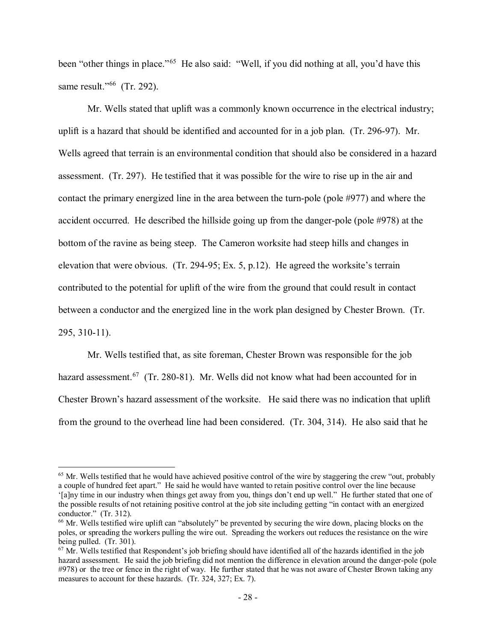been "other things in place."<sup>65</sup> He also said: "Well, if you did nothing at all, you'd have this same result."<sup>[66](#page-27-1)</sup> (Tr. 292).

Mr. Wells stated that uplift was a commonly known occurrence in the electrical industry; uplift is a hazard that should be identified and accounted for in a job plan. (Tr. 296-97). Mr. Wells agreed that terrain is an environmental condition that should also be considered in a hazard assessment. (Tr. 297). He testified that it was possible for the wire to rise up in the air and contact the primary energized line in the area between the turn-pole (pole #977) and where the accident occurred. He described the hillside going up from the danger-pole (pole #978) at the bottom of the ravine as being steep. The Cameron worksite had steep hills and changes in elevation that were obvious. (Tr. 294-95; Ex. 5, p.12). He agreed the worksite's terrain contributed to the potential for uplift of the wire from the ground that could result in contact between a conductor and the energized line in the work plan designed by Chester Brown. (Tr. 295, 310-11).

Mr. Wells testified that, as site foreman, Chester Brown was responsible for the job hazard assessment.<sup>67</sup> (Tr. 280-81). Mr. Wells did not know what had been accounted for in Chester Brown's hazard assessment of the worksite. He said there was no indication that uplift from the ground to the overhead line had been considered. (Tr. 304, 314). He also said that he

<span id="page-27-0"></span> $<sup>65</sup>$  Mr. Wells testified that he would have achieved positive control of the wire by staggering the crew "out, probably</sup> a couple of hundred feet apart." He said he would have wanted to retain positive control over the line because '[a]ny time in our industry when things get away from you, things don't end up well." He further stated that one of the possible results of not retaining positive control at the job site including getting "in contact with an energized conductor." (Tr. 312).

<span id="page-27-1"></span><sup>66</sup> Mr. Wells testified wire uplift can "absolutely" be prevented by securing the wire down, placing blocks on the poles, or spreading the workers pulling the wire out. Spreading the workers out reduces the resistance on the wire being pulled. (Tr. 301).

<span id="page-27-2"></span> $67$  Mr. Wells testified that Respondent's job briefing should have identified all of the hazards identified in the job hazard assessment. He said the job briefing did not mention the difference in elevation around the danger-pole (pole #978) or the tree or fence in the right of way. He further stated that he was not aware of Chester Brown taking any measures to account for these hazards. (Tr. 324, 327; Ex. 7).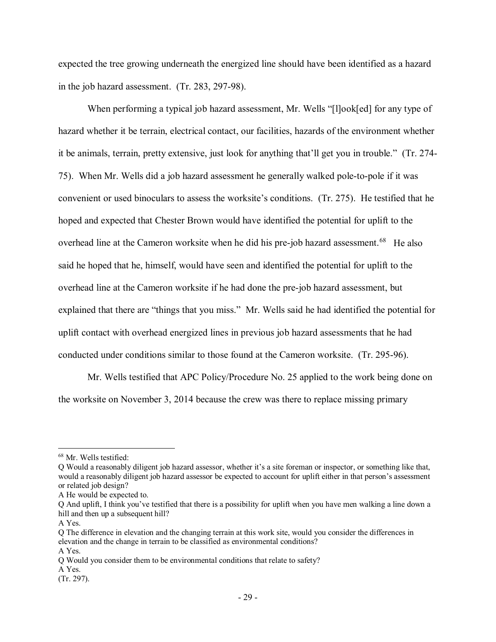expected the tree growing underneath the energized line should have been identified as a hazard in the job hazard assessment. (Tr. 283, 297-98).

When performing a typical job hazard assessment, Mr. Wells "[l]ook[ed] for any type of hazard whether it be terrain, electrical contact, our facilities, hazards of the environment whether it be animals, terrain, pretty extensive, just look for anything that'll get you in trouble." (Tr. 274- 75). When Mr. Wells did a job hazard assessment he generally walked pole-to-pole if it was convenient or used binoculars to assess the worksite's conditions. (Tr. 275). He testified that he hoped and expected that Chester Brown would have identified the potential for uplift to the overhead line at the Cameron worksite when he did his pre-job hazard assessment.<sup>[68](#page-28-0)</sup> He also said he hoped that he, himself, would have seen and identified the potential for uplift to the overhead line at the Cameron worksite if he had done the pre-job hazard assessment, but explained that there are "things that you miss." Mr. Wells said he had identified the potential for uplift contact with overhead energized lines in previous job hazard assessments that he had conducted under conditions similar to those found at the Cameron worksite. (Tr. 295-96).

Mr. Wells testified that APC Policy/Procedure No. 25 applied to the work being done on the worksite on November 3, 2014 because the crew was there to replace missing primary

<span id="page-28-0"></span><sup>68</sup> Mr. Wells testified:

Q Would a reasonably diligent job hazard assessor, whether it's a site foreman or inspector, or something like that, would a reasonably diligent job hazard assessor be expected to account for uplift either in that person's assessment or related job design?

A He would be expected to.

Q And uplift, I think you've testified that there is a possibility for uplift when you have men walking a line down a hill and then up a subsequent hill?

A Yes.

Q The difference in elevation and the changing terrain at this work site, would you consider the differences in elevation and the change in terrain to be classified as environmental conditions? A Yes.

Q Would you consider them to be environmental conditions that relate to safety?

A Yes.

<sup>(</sup>Tr. 297).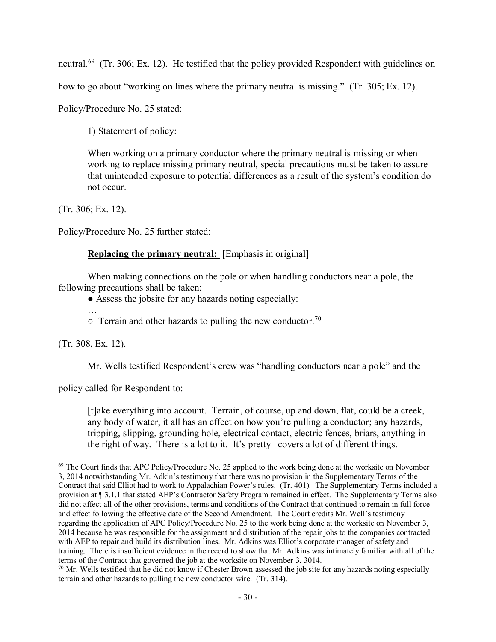neutral.<sup>69</sup> (Tr. 306; Ex. 12). He testified that the policy provided Respondent with guidelines on

how to go about "working on lines where the primary neutral is missing." (Tr. 305; Ex. 12).

Policy/Procedure No. 25 stated:

1) Statement of policy:

When working on a primary conductor where the primary neutral is missing or when working to replace missing primary neutral, special precautions must be taken to assure that unintended exposure to potential differences as a result of the system's condition do not occur.

(Tr. 306; Ex. 12).

Policy/Procedure No. 25 further stated:

# **Replacing the primary neutral:** [Emphasis in original]

When making connections on the pole or when handling conductors near a pole, the following precautions shall be taken:

● Assess the jobsite for any hazards noting especially:

…

 $\circ$  Terrain and other hazards to pulling the new conductor.<sup>[70](#page-29-1)</sup>

(Tr. 308, Ex. 12).

 $\overline{a}$ 

Mr. Wells testified Respondent's crew was "handling conductors near a pole" and the

policy called for Respondent to:

[t]ake everything into account. Terrain, of course, up and down, flat, could be a creek, any body of water, it all has an effect on how you're pulling a conductor; any hazards, tripping, slipping, grounding hole, electrical contact, electric fences, briars, anything in the right of way. There is a lot to it. It's pretty –covers a lot of different things.

<span id="page-29-0"></span> $^{69}$  The Court finds that APC Policy/Procedure No. 25 applied to the work being done at the worksite on November 3, 2014 notwithstanding Mr. Adkin's testimony that there was no provision in the Supplementary Terms of the Contract that said Elliot had to work to Appalachian Power's rules. (Tr. 401). The Supplementary Terms included a provision at ¶ 3.1.1 that stated AEP's Contractor Safety Program remained in effect. The Supplementary Terms also did not affect all of the other provisions, terms and conditions of the Contract that continued to remain in full force and effect following the effective date of the Second Amendment. The Court credits Mr. Well's testimony regarding the application of APC Policy/Procedure No. 25 to the work being done at the worksite on November 3, 2014 because he was responsible for the assignment and distribution of the repair jobs to the companies contracted with AEP to repair and build its distribution lines. Mr. Adkins was Elliot's corporate manager of safety and training. There is insufficient evidence in the record to show that Mr. Adkins was intimately familiar with all of the terms of the Contract that governed the job at the worksite on November 3, 3014.

<span id="page-29-1"></span><sup>&</sup>lt;sup>70</sup> Mr. Wells testified that he did not know if Chester Brown assessed the job site for any hazards noting especially terrain and other hazards to pulling the new conductor wire. (Tr. 314).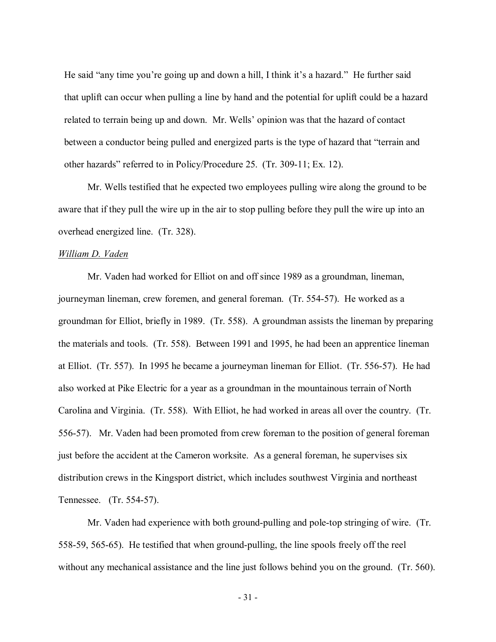He said "any time you're going up and down a hill, I think it's a hazard." He further said that uplift can occur when pulling a line by hand and the potential for uplift could be a hazard related to terrain being up and down. Mr. Wells' opinion was that the hazard of contact between a conductor being pulled and energized parts is the type of hazard that "terrain and other hazards" referred to in Policy/Procedure 25. (Tr. 309-11; Ex. 12).

Mr. Wells testified that he expected two employees pulling wire along the ground to be aware that if they pull the wire up in the air to stop pulling before they pull the wire up into an overhead energized line. (Tr. 328).

### *William D. Vaden*

Mr. Vaden had worked for Elliot on and off since 1989 as a groundman, lineman, journeyman lineman, crew foremen, and general foreman. (Tr. 554-57). He worked as a groundman for Elliot, briefly in 1989. (Tr. 558). A groundman assists the lineman by preparing the materials and tools. (Tr. 558). Between 1991 and 1995, he had been an apprentice lineman at Elliot. (Tr. 557). In 1995 he became a journeyman lineman for Elliot. (Tr. 556-57). He had also worked at Pike Electric for a year as a groundman in the mountainous terrain of North Carolina and Virginia. (Tr. 558). With Elliot, he had worked in areas all over the country. (Tr. 556-57). Mr. Vaden had been promoted from crew foreman to the position of general foreman just before the accident at the Cameron worksite. As a general foreman, he supervises six distribution crews in the Kingsport district, which includes southwest Virginia and northeast Tennessee. (Tr. 554-57).

Mr. Vaden had experience with both ground-pulling and pole-top stringing of wire. (Tr. 558-59, 565-65). He testified that when ground-pulling, the line spools freely off the reel without any mechanical assistance and the line just follows behind you on the ground. (Tr. 560).

- 31 -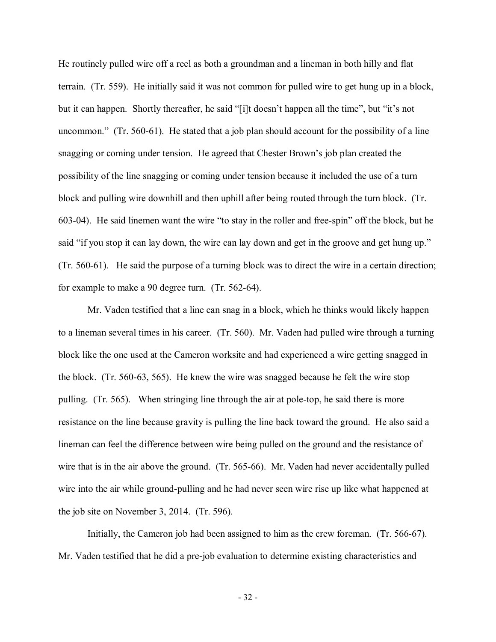He routinely pulled wire off a reel as both a groundman and a lineman in both hilly and flat terrain. (Tr. 559). He initially said it was not common for pulled wire to get hung up in a block, but it can happen. Shortly thereafter, he said "[i]t doesn't happen all the time", but "it's not uncommon." (Tr. 560-61). He stated that a job plan should account for the possibility of a line snagging or coming under tension. He agreed that Chester Brown's job plan created the possibility of the line snagging or coming under tension because it included the use of a turn block and pulling wire downhill and then uphill after being routed through the turn block. (Tr. 603-04). He said linemen want the wire "to stay in the roller and free-spin" off the block, but he said "if you stop it can lay down, the wire can lay down and get in the groove and get hung up." (Tr. 560-61). He said the purpose of a turning block was to direct the wire in a certain direction; for example to make a 90 degree turn. (Tr. 562-64).

Mr. Vaden testified that a line can snag in a block, which he thinks would likely happen to a lineman several times in his career. (Tr. 560). Mr. Vaden had pulled wire through a turning block like the one used at the Cameron worksite and had experienced a wire getting snagged in the block. (Tr. 560-63, 565). He knew the wire was snagged because he felt the wire stop pulling. (Tr. 565). When stringing line through the air at pole-top, he said there is more resistance on the line because gravity is pulling the line back toward the ground. He also said a lineman can feel the difference between wire being pulled on the ground and the resistance of wire that is in the air above the ground. (Tr. 565-66). Mr. Vaden had never accidentally pulled wire into the air while ground-pulling and he had never seen wire rise up like what happened at the job site on November 3, 2014. (Tr. 596).

Initially, the Cameron job had been assigned to him as the crew foreman. (Tr. 566-67). Mr. Vaden testified that he did a pre-job evaluation to determine existing characteristics and

- 32 -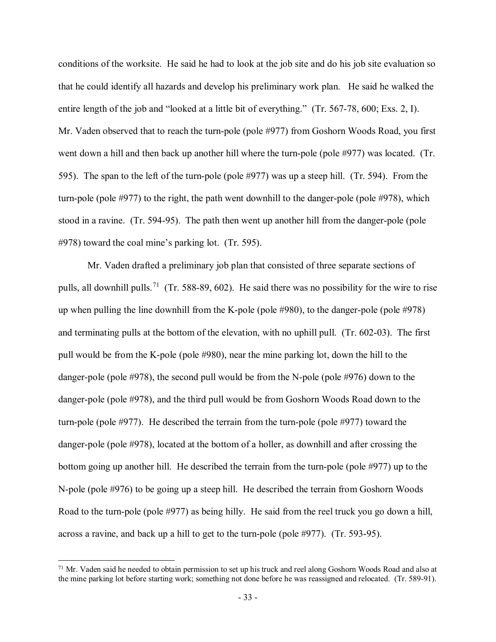conditions of the worksite. He said he had to look at the job site and do his job site evaluation so that he could identify all hazards and develop his preliminary work plan. He said he walked the entire length of the job and "looked at a little bit of everything." (Tr. 567-78, 600; Exs. 2, I). Mr. Vaden observed that to reach the turn-pole (pole #977) from Goshorn Woods Road, you first went down a hill and then back up another hill where the turn-pole (pole #977) was located. (Tr. 595). The span to the left of the turn-pole (pole #977) was up a steep hill. (Tr. 594). From the turn-pole (pole #977) to the right, the path went downhill to the danger-pole (pole #978), which stood in a ravine. (Tr. 594-95). The path then went up another hill from the danger-pole (pole #978) toward the coal mine's parking lot. (Tr. 595).

Mr. Vaden drafted a preliminary job plan that consisted of three separate sections of pulls, all downhill pulls.<sup>[71](#page-32-0)</sup> (Tr. 588-89, 602). He said there was no possibility for the wire to rise up when pulling the line downhill from the K-pole (pole #980), to the danger-pole (pole #978) and terminating pulls at the bottom of the elevation, with no uphill pull. (Tr. 602-03). The first pull would be from the K-pole (pole #980), near the mine parking lot, down the hill to the danger-pole (pole #978), the second pull would be from the N-pole (pole #976) down to the danger-pole (pole #978), and the third pull would be from Goshorn Woods Road down to the turn-pole (pole #977). He described the terrain from the turn-pole (pole #977) toward the danger-pole (pole #978), located at the bottom of a holler, as downhill and after crossing the bottom going up another hill. He described the terrain from the turn-pole (pole #977) up to the N-pole (pole #976) to be going up a steep hill. He described the terrain from Goshorn Woods Road to the turn-pole (pole #977) as being hilly. He said from the reel truck you go down a hill, across a ravine, and back up a hill to get to the turn-pole (pole #977). (Tr. 593-95).

<span id="page-32-0"></span><sup>&</sup>lt;sup>71</sup> Mr. Vaden said he needed to obtain permission to set up his truck and reel along Goshorn Woods Road and also at the mine parking lot before starting work; something not done before he was reassigned and relocated. (Tr. 589-91).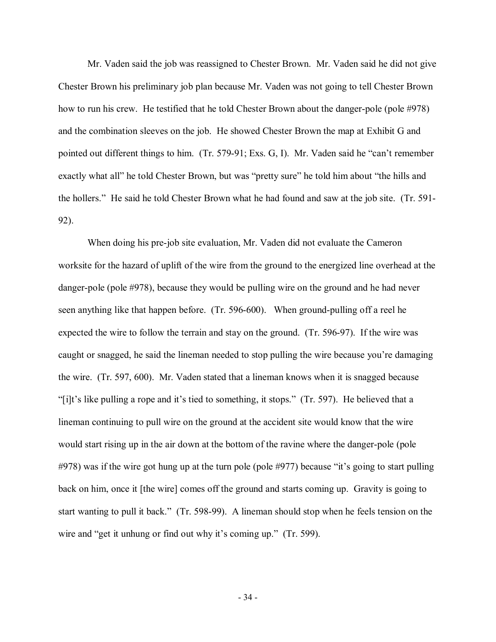Mr. Vaden said the job was reassigned to Chester Brown. Mr. Vaden said he did not give Chester Brown his preliminary job plan because Mr. Vaden was not going to tell Chester Brown how to run his crew. He testified that he told Chester Brown about the danger-pole (pole #978) and the combination sleeves on the job. He showed Chester Brown the map at Exhibit G and pointed out different things to him. (Tr. 579-91; Exs. G, I). Mr. Vaden said he "can't remember exactly what all" he told Chester Brown, but was "pretty sure" he told him about "the hills and the hollers." He said he told Chester Brown what he had found and saw at the job site. (Tr. 591- 92).

When doing his pre-job site evaluation, Mr. Vaden did not evaluate the Cameron worksite for the hazard of uplift of the wire from the ground to the energized line overhead at the danger-pole (pole #978), because they would be pulling wire on the ground and he had never seen anything like that happen before. (Tr. 596-600). When ground-pulling off a reel he expected the wire to follow the terrain and stay on the ground. (Tr. 596-97). If the wire was caught or snagged, he said the lineman needed to stop pulling the wire because you're damaging the wire. (Tr. 597, 600). Mr. Vaden stated that a lineman knows when it is snagged because "[i]t's like pulling a rope and it's tied to something, it stops." (Tr. 597). He believed that a lineman continuing to pull wire on the ground at the accident site would know that the wire would start rising up in the air down at the bottom of the ravine where the danger-pole (pole #978) was if the wire got hung up at the turn pole (pole #977) because "it's going to start pulling back on him, once it [the wire] comes off the ground and starts coming up. Gravity is going to start wanting to pull it back." (Tr. 598-99). A lineman should stop when he feels tension on the wire and "get it unhung or find out why it's coming up." (Tr. 599).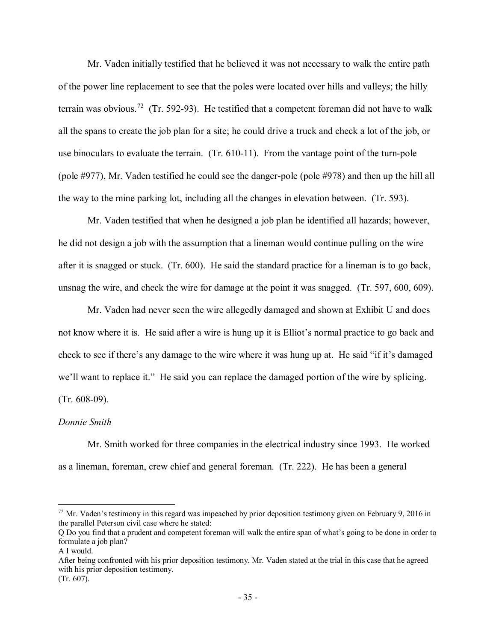Mr. Vaden initially testified that he believed it was not necessary to walk the entire path of the power line replacement to see that the poles were located over hills and valleys; the hilly terrain was obvious.<sup>72</sup> (Tr. 592-93). He testified that a competent foreman did not have to walk all the spans to create the job plan for a site; he could drive a truck and check a lot of the job, or use binoculars to evaluate the terrain. (Tr. 610-11). From the vantage point of the turn-pole (pole #977), Mr. Vaden testified he could see the danger-pole (pole #978) and then up the hill all the way to the mine parking lot, including all the changes in elevation between. (Tr. 593).

Mr. Vaden testified that when he designed a job plan he identified all hazards; however, he did not design a job with the assumption that a lineman would continue pulling on the wire after it is snagged or stuck. (Tr. 600). He said the standard practice for a lineman is to go back, unsnag the wire, and check the wire for damage at the point it was snagged. (Tr. 597, 600, 609).

Mr. Vaden had never seen the wire allegedly damaged and shown at Exhibit U and does not know where it is. He said after a wire is hung up it is Elliot's normal practice to go back and check to see if there's any damage to the wire where it was hung up at. He said "if it's damaged we'll want to replace it." He said you can replace the damaged portion of the wire by splicing. (Tr. 608-09).

### *Donnie Smith*

Mr. Smith worked for three companies in the electrical industry since 1993. He worked as a lineman, foreman, crew chief and general foreman. (Tr. 222). He has been a general

 $\overline{a}$ 

After being confronted with his prior deposition testimony, Mr. Vaden stated at the trial in this case that he agreed with his prior deposition testimony. (Tr. 607).

<span id="page-34-0"></span> $72$  Mr. Vaden's testimony in this regard was impeached by prior deposition testimony given on February 9, 2016 in the parallel Peterson civil case where he stated:

Q Do you find that a prudent and competent foreman will walk the entire span of what's going to be done in order to formulate a job plan?

A I would.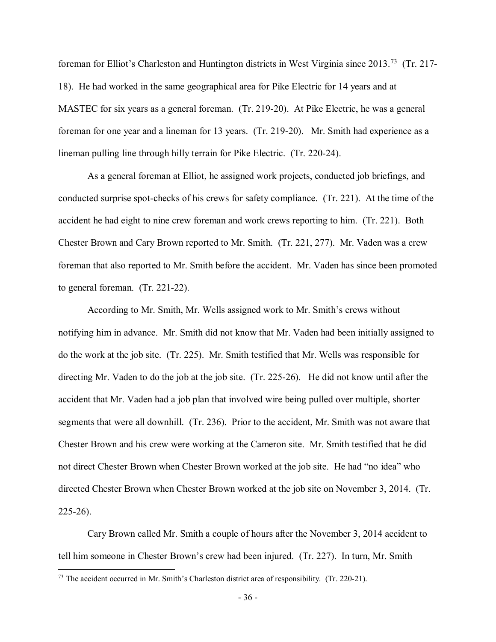foreman for Elliot's Charleston and Huntington districts in West Virginia since 2013.[73](#page-35-0) (Tr. 217- 18). He had worked in the same geographical area for Pike Electric for 14 years and at MASTEC for six years as a general foreman. (Tr. 219-20). At Pike Electric, he was a general foreman for one year and a lineman for 13 years. (Tr. 219-20). Mr. Smith had experience as a lineman pulling line through hilly terrain for Pike Electric. (Tr. 220-24).

As a general foreman at Elliot, he assigned work projects, conducted job briefings, and conducted surprise spot-checks of his crews for safety compliance. (Tr. 221). At the time of the accident he had eight to nine crew foreman and work crews reporting to him. (Tr. 221). Both Chester Brown and Cary Brown reported to Mr. Smith. (Tr. 221, 277). Mr. Vaden was a crew foreman that also reported to Mr. Smith before the accident. Mr. Vaden has since been promoted to general foreman. (Tr. 221-22).

According to Mr. Smith, Mr. Wells assigned work to Mr. Smith's crews without notifying him in advance. Mr. Smith did not know that Mr. Vaden had been initially assigned to do the work at the job site. (Tr. 225). Mr. Smith testified that Mr. Wells was responsible for directing Mr. Vaden to do the job at the job site. (Tr. 225-26). He did not know until after the accident that Mr. Vaden had a job plan that involved wire being pulled over multiple, shorter segments that were all downhill. (Tr. 236). Prior to the accident, Mr. Smith was not aware that Chester Brown and his crew were working at the Cameron site. Mr. Smith testified that he did not direct Chester Brown when Chester Brown worked at the job site. He had "no idea" who directed Chester Brown when Chester Brown worked at the job site on November 3, 2014. (Tr. 225-26).

Cary Brown called Mr. Smith a couple of hours after the November 3, 2014 accident to tell him someone in Chester Brown's crew had been injured. (Tr. 227). In turn, Mr. Smith

<span id="page-35-0"></span><sup>&</sup>lt;sup>73</sup> The accident occurred in Mr. Smith's Charleston district area of responsibility. (Tr. 220-21).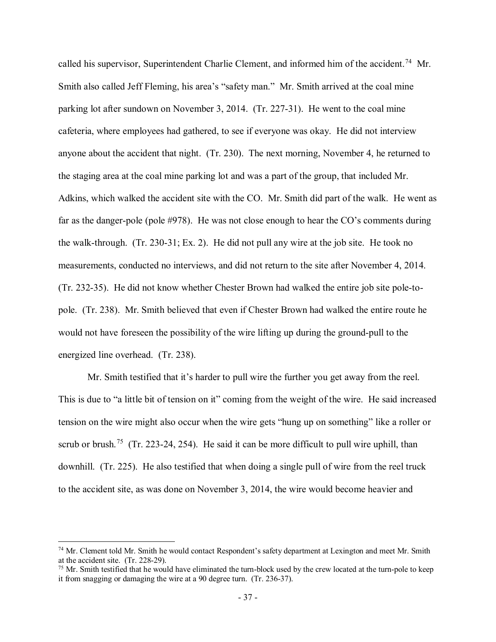called his supervisor, Superintendent Charlie Clement, and informed him of the accident.<sup>74</sup> Mr. Smith also called Jeff Fleming, his area's "safety man." Mr. Smith arrived at the coal mine parking lot after sundown on November 3, 2014. (Tr. 227-31). He went to the coal mine cafeteria, where employees had gathered, to see if everyone was okay. He did not interview anyone about the accident that night. (Tr. 230). The next morning, November 4, he returned to the staging area at the coal mine parking lot and was a part of the group, that included Mr. Adkins, which walked the accident site with the CO. Mr. Smith did part of the walk. He went as far as the danger-pole (pole #978). He was not close enough to hear the CO's comments during the walk-through. (Tr. 230-31; Ex. 2). He did not pull any wire at the job site. He took no measurements, conducted no interviews, and did not return to the site after November 4, 2014. (Tr. 232-35). He did not know whether Chester Brown had walked the entire job site pole-topole. (Tr. 238). Mr. Smith believed that even if Chester Brown had walked the entire route he would not have foreseen the possibility of the wire lifting up during the ground-pull to the energized line overhead. (Tr. 238).

Mr. Smith testified that it's harder to pull wire the further you get away from the reel. This is due to "a little bit of tension on it" coming from the weight of the wire. He said increased tension on the wire might also occur when the wire gets "hung up on something" like a roller or scrub or brush.<sup>[75](#page-36-1)</sup> (Tr. 223-24, 254). He said it can be more difficult to pull wire uphill, than downhill. (Tr. 225). He also testified that when doing a single pull of wire from the reel truck to the accident site, as was done on November 3, 2014, the wire would become heavier and

<span id="page-36-0"></span><sup>&</sup>lt;sup>74</sup> Mr. Clement told Mr. Smith he would contact Respondent's safety department at Lexington and meet Mr. Smith at the accident site. (Tr. 228-29).<br><sup>75</sup> Mr. Smith testified that he would have eliminated the turn-block used by the crew located at the turn-pole to keep

<span id="page-36-1"></span>it from snagging or damaging the wire at a 90 degree turn. (Tr. 236-37).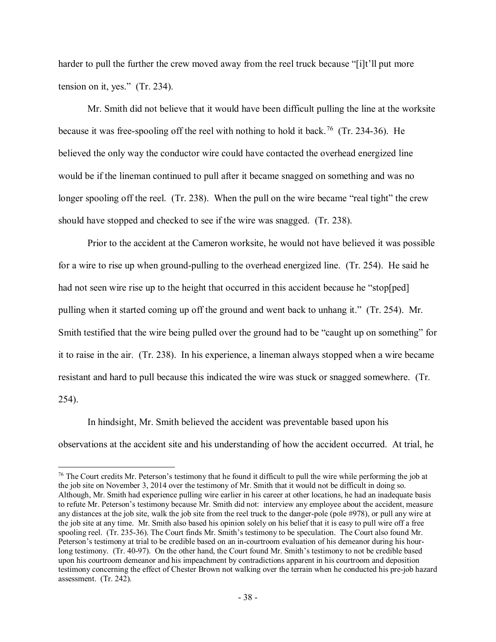harder to pull the further the crew moved away from the reel truck because "[i]t'll put more tension on it, yes." (Tr. 234).

Mr. Smith did not believe that it would have been difficult pulling the line at the worksite because it was free-spooling off the reel with nothing to hold it back.<sup>76</sup> (Tr. 234-36). He believed the only way the conductor wire could have contacted the overhead energized line would be if the lineman continued to pull after it became snagged on something and was no longer spooling off the reel. (Tr. 238). When the pull on the wire became "real tight" the crew should have stopped and checked to see if the wire was snagged. (Tr. 238).

Prior to the accident at the Cameron worksite, he would not have believed it was possible for a wire to rise up when ground-pulling to the overhead energized line. (Tr. 254). He said he had not seen wire rise up to the height that occurred in this accident because he "stop[ped] pulling when it started coming up off the ground and went back to unhang it." (Tr. 254). Mr. Smith testified that the wire being pulled over the ground had to be "caught up on something" for it to raise in the air. (Tr. 238). In his experience, a lineman always stopped when a wire became resistant and hard to pull because this indicated the wire was stuck or snagged somewhere. (Tr. 254).

In hindsight, Mr. Smith believed the accident was preventable based upon his observations at the accident site and his understanding of how the accident occurred. At trial, he

<span id="page-37-0"></span><sup>&</sup>lt;sup>76</sup> The Court credits Mr. Peterson's testimony that he found it difficult to pull the wire while performing the job at the job site on November 3, 2014 over the testimony of Mr. Smith that it would not be difficult in doing so. Although, Mr. Smith had experience pulling wire earlier in his career at other locations, he had an inadequate basis to refute Mr. Peterson's testimony because Mr. Smith did not: interview any employee about the accident, measure any distances at the job site, walk the job site from the reel truck to the danger-pole (pole #978), or pull any wire at the job site at any time. Mr. Smith also based his opinion solely on his belief that it is easy to pull wire off a free spooling reel. (Tr. 235-36). The Court finds Mr. Smith's testimony to be speculation. The Court also found Mr. Peterson's testimony at trial to be credible based on an in-courtroom evaluation of his demeanor during his hourlong testimony. (Tr. 40-97). On the other hand, the Court found Mr. Smith's testimony to not be credible based upon his courtroom demeanor and his impeachment by contradictions apparent in his courtroom and deposition testimony concerning the effect of Chester Brown not walking over the terrain when he conducted his pre-job hazard assessment. (Tr. 242).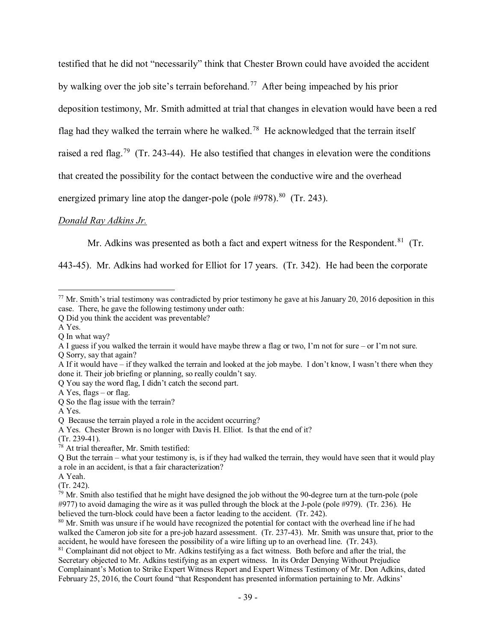testified that he did not "necessarily" think that Chester Brown could have avoided the accident by walking over the job site's terrain beforehand.<sup>[77](#page-38-0)</sup> After being impeached by his prior deposition testimony, Mr. Smith admitted at trial that changes in elevation would have been a red flag had they walked the terrain where he walked.<sup>[78](#page-38-1)</sup> He acknowledged that the terrain itself raised a red flag.<sup>79</sup> (Tr. 243-44). He also testified that changes in elevation were the conditions that created the possibility for the contact between the conductive wire and the overhead energized primary line atop the danger-pole (pole #978).<sup>80</sup> (Tr. 243).

### *Donald Ray Adkins Jr.*

Mr. Adkins was presented as both a fact and expert witness for the Respondent.<sup>81</sup> (Tr.

443-45). Mr. Adkins had worked for Elliot for 17 years. (Tr. 342). He had been the corporate

 $\overline{a}$ 

- Q Sorry, say that again?
- A If it would have if they walked the terrain and looked at the job maybe. I don't know, I wasn't there when they done it. Their job briefing or planning, so really couldn't say.

Q You say the word flag, I didn't catch the second part.

A Yes, flags – or flag.

Q So the flag issue with the terrain?

A Yes.

(Tr. 239-41).

- A Yeah.
- (Tr. 242).

<span id="page-38-2"></span><sup>79</sup> Mr. Smith also testified that he might have designed the job without the 90-degree turn at the turn-pole (pole #977) to avoid damaging the wire as it was pulled through the block at the J-pole (pole #979). (Tr. 236). He believed the turn-block could have been a factor leading to the accident. (Tr. 242).

<span id="page-38-3"></span><sup>80</sup> Mr. Smith was unsure if he would have recognized the potential for contact with the overhead line if he had walked the Cameron job site for a pre-job hazard assessment. (Tr. 237-43). Mr. Smith was unsure that, prior to the accident, he would have foreseen the possibility of a wire lifting up to an overhead line. (Tr. 243).

<span id="page-38-4"></span><sup>81</sup> Complainant did not object to Mr. Adkins testifying as a fact witness. Both before and after the trial, the Secretary objected to Mr. Adkins testifying as an expert witness. In its Order Denying Without Prejudice Complainant's Motion to Strike Expert Witness Report and Expert Witness Testimony of Mr. Don Adkins, dated February 25, 2016, the Court found "that Respondent has presented information pertaining to Mr. Adkins'

<span id="page-38-0"></span> $77$  Mr. Smith's trial testimony was contradicted by prior testimony he gave at his January 20, 2016 deposition in this case. There, he gave the following testimony under oath:

Q Did you think the accident was preventable?

A Yes.

Q In what way?

A I guess if you walked the terrain it would have maybe threw a flag or two, I'm not for sure – or I'm not sure.

Q Because the terrain played a role in the accident occurring?

A Yes. Chester Brown is no longer with Davis H. Elliot. Is that the end of it?

<span id="page-38-1"></span> $78$  At trial thereafter, Mr. Smith testified:

Q But the terrain – what your testimony is, is if they had walked the terrain, they would have seen that it would play a role in an accident, is that a fair characterization?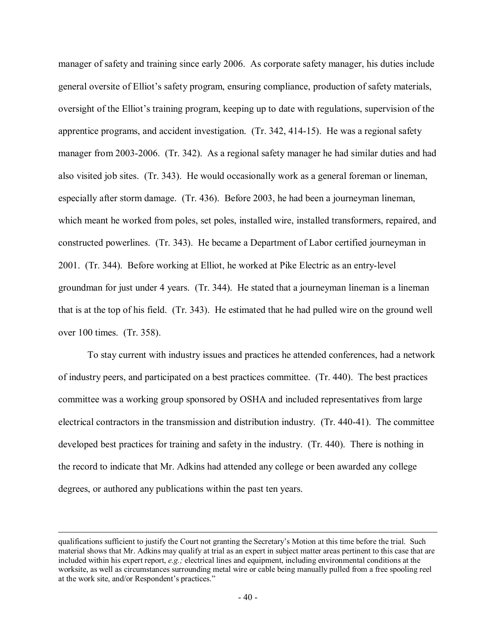manager of safety and training since early 2006. As corporate safety manager, his duties include general oversite of Elliot's safety program, ensuring compliance, production of safety materials, oversight of the Elliot's training program, keeping up to date with regulations, supervision of the apprentice programs, and accident investigation. (Tr. 342, 414-15). He was a regional safety manager from 2003-2006. (Tr. 342). As a regional safety manager he had similar duties and had also visited job sites. (Tr. 343). He would occasionally work as a general foreman or lineman, especially after storm damage. (Tr. 436). Before 2003, he had been a journeyman lineman, which meant he worked from poles, set poles, installed wire, installed transformers, repaired, and constructed powerlines. (Tr. 343). He became a Department of Labor certified journeyman in 2001. (Tr. 344). Before working at Elliot, he worked at Pike Electric as an entry-level groundman for just under 4 years. (Tr. 344). He stated that a journeyman lineman is a lineman that is at the top of his field. (Tr. 343). He estimated that he had pulled wire on the ground well over 100 times. (Tr. 358).

To stay current with industry issues and practices he attended conferences, had a network of industry peers, and participated on a best practices committee. (Tr. 440). The best practices committee was a working group sponsored by OSHA and included representatives from large electrical contractors in the transmission and distribution industry. (Tr. 440-41). The committee developed best practices for training and safety in the industry. (Tr. 440). There is nothing in the record to indicate that Mr. Adkins had attended any college or been awarded any college degrees, or authored any publications within the past ten years.

qualifications sufficient to justify the Court not granting the Secretary's Motion at this time before the trial. Such material shows that Mr. Adkins may qualify at trial as an expert in subject matter areas pertinent to this case that are included within his expert report, *e.g.;* electrical lines and equipment, including environmental conditions at the worksite, as well as circumstances surrounding metal wire or cable being manually pulled from a free spooling reel at the work site, and/or Respondent's practices."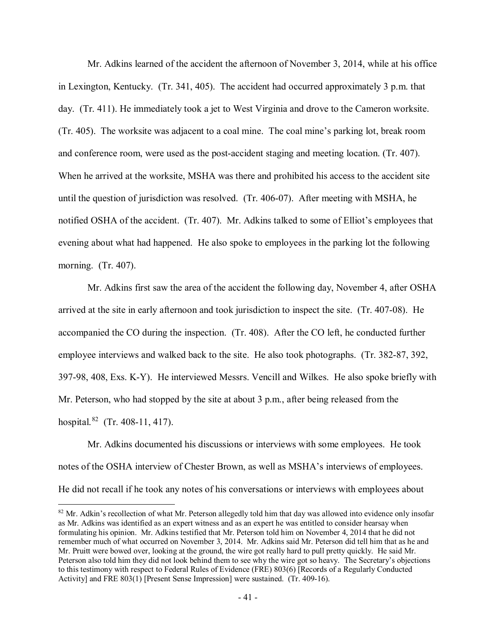Mr. Adkins learned of the accident the afternoon of November 3, 2014, while at his office in Lexington, Kentucky. (Tr. 341, 405). The accident had occurred approximately 3 p.m. that day. (Tr. 411). He immediately took a jet to West Virginia and drove to the Cameron worksite. (Tr. 405). The worksite was adjacent to a coal mine. The coal mine's parking lot, break room and conference room, were used as the post-accident staging and meeting location. (Tr. 407). When he arrived at the worksite, MSHA was there and prohibited his access to the accident site until the question of jurisdiction was resolved. (Tr. 406-07). After meeting with MSHA, he notified OSHA of the accident. (Tr. 407). Mr. Adkins talked to some of Elliot's employees that evening about what had happened. He also spoke to employees in the parking lot the following morning. (Tr. 407).

Mr. Adkins first saw the area of the accident the following day, November 4, after OSHA arrived at the site in early afternoon and took jurisdiction to inspect the site. (Tr. 407-08). He accompanied the CO during the inspection. (Tr. 408). After the CO left, he conducted further employee interviews and walked back to the site. He also took photographs. (Tr. 382-87, 392, 397-98, 408, Exs. K-Y). He interviewed Messrs. Vencill and Wilkes. He also spoke briefly with Mr. Peterson, who had stopped by the site at about 3 p.m., after being released from the hospital.[82](#page-40-0) (Tr. 408-11, 417).

Mr. Adkins documented his discussions or interviews with some employees. He took notes of the OSHA interview of Chester Brown, as well as MSHA's interviews of employees. He did not recall if he took any notes of his conversations or interviews with employees about

<span id="page-40-0"></span> $82$  Mr. Adkin's recollection of what Mr. Peterson allegedly told him that day was allowed into evidence only insofar as Mr. Adkins was identified as an expert witness and as an expert he was entitled to consider hearsay when formulating his opinion. Mr. Adkins testified that Mr. Peterson told him on November 4, 2014 that he did not remember much of what occurred on November 3, 2014. Mr. Adkins said Mr. Peterson did tell him that as he and Mr. Pruitt were bowed over, looking at the ground, the wire got really hard to pull pretty quickly. He said Mr. Peterson also told him they did not look behind them to see why the wire got so heavy. The Secretary's objections to this testimony with respect to Federal Rules of Evidence (FRE) 803(6) [Records of a Regularly Conducted Activity] and FRE 803(1) [Present Sense Impression] were sustained. (Tr. 409-16).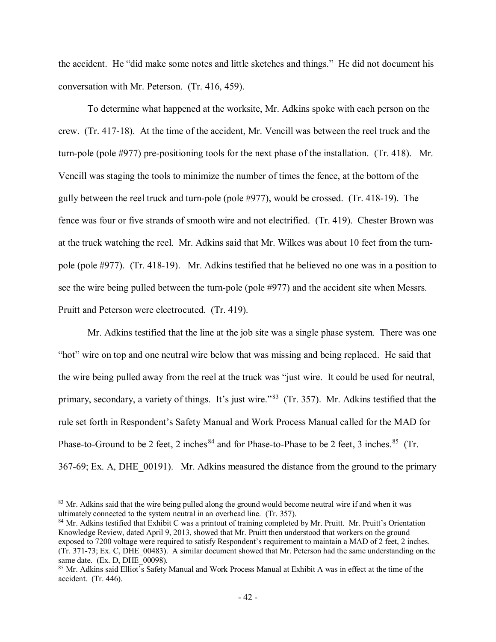the accident. He "did make some notes and little sketches and things." He did not document his conversation with Mr. Peterson. (Tr. 416, 459).

To determine what happened at the worksite, Mr. Adkins spoke with each person on the crew. (Tr. 417-18). At the time of the accident, Mr. Vencill was between the reel truck and the turn-pole (pole #977) pre-positioning tools for the next phase of the installation. (Tr. 418). Mr. Vencill was staging the tools to minimize the number of times the fence, at the bottom of the gully between the reel truck and turn-pole (pole #977), would be crossed. (Tr. 418-19). The fence was four or five strands of smooth wire and not electrified. (Tr. 419). Chester Brown was at the truck watching the reel. Mr. Adkins said that Mr. Wilkes was about 10 feet from the turnpole (pole #977). (Tr. 418-19). Mr. Adkins testified that he believed no one was in a position to see the wire being pulled between the turn-pole (pole #977) and the accident site when Messrs. Pruitt and Peterson were electrocuted. (Tr. 419).

Mr. Adkins testified that the line at the job site was a single phase system. There was one "hot" wire on top and one neutral wire below that was missing and being replaced. He said that the wire being pulled away from the reel at the truck was "just wire. It could be used for neutral, primary, secondary, a variety of things. It's just wire."<sup>[83](#page-41-0)</sup> (Tr. 357). Mr. Adkins testified that the rule set forth in Respondent's Safety Manual and Work Process Manual called for the MAD for Phase-to-Ground to be 2 feet, 2 inches  $84$  and for Phase-to-Phase to be 2 feet, 3 inches.  $85$  (Tr. 367-69; Ex. A, DHE\_00191). Mr. Adkins measured the distance from the ground to the primary

<span id="page-41-0"></span><sup>&</sup>lt;sup>83</sup> Mr. Adkins said that the wire being pulled along the ground would become neutral wire if and when it was ultimately connected to the system neutral in an overhead line. (Tr. 357).

<span id="page-41-1"></span><sup>&</sup>lt;sup>84</sup> Mr. Adkins testified that Exhibit C was a printout of training completed by Mr. Pruitt. Mr. Pruitt's Orientation Knowledge Review, dated April 9, 2013, showed that Mr. Pruitt then understood that workers on the ground exposed to 7200 voltage were required to satisfy Respondent's requirement to maintain a MAD of 2 feet, 2 inches. (Tr. 371-73; Ex. C, DHE\_00483). A similar document showed that Mr. Peterson had the same understanding on the same date. (Ex. D, DHE\_00098).

<span id="page-41-2"></span><sup>85</sup> Mr. Adkins said Elliot's Safety Manual and Work Process Manual at Exhibit A was in effect at the time of the accident. (Tr. 446).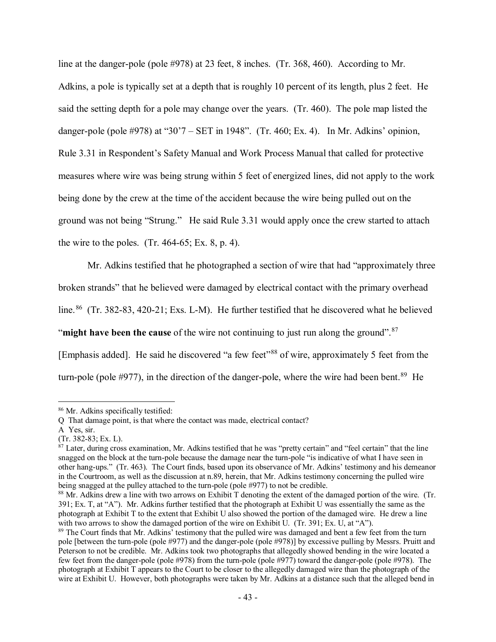line at the danger-pole (pole #978) at 23 feet, 8 inches. (Tr. 368, 460). According to Mr. Adkins, a pole is typically set at a depth that is roughly 10 percent of its length, plus 2 feet. He said the setting depth for a pole may change over the years. (Tr. 460). The pole map listed the danger-pole (pole #978) at "30'7 – SET in 1948". (Tr. 460; Ex. 4). In Mr. Adkins' opinion, Rule 3.31 in Respondent's Safety Manual and Work Process Manual that called for protective measures where wire was being strung within 5 feet of energized lines, did not apply to the work being done by the crew at the time of the accident because the wire being pulled out on the ground was not being "Strung." He said Rule 3.31 would apply once the crew started to attach the wire to the poles.  $(Tr. 464-65; Ex. 8, p. 4)$ .

Mr. Adkins testified that he photographed a section of wire that had "approximately three broken strands" that he believed were damaged by electrical contact with the primary overhead line.<sup>86</sup> (Tr. 382-83, 420-21; Exs. L-M). He further testified that he discovered what he believed "**might have been the cause** of the wire not continuing to just run along the ground".<sup>87</sup> [Emphasis added]. He said he discovered "a few feet"<sup>[88](#page-42-2)</sup> of wire, approximately 5 feet from the turn-pole (pole  $\#977$ ), in the direction of the danger-pole, where the wire had been bent.<sup>89</sup> He

<span id="page-42-0"></span><sup>86</sup> Mr. Adkins specifically testified:

Q That damage point, is that where the contact was made, electrical contact?

A Yes, sir.

<sup>(</sup>Tr. 382-83; Ex. L).

<span id="page-42-1"></span> $87$  Later, during cross examination, Mr. Adkins testified that he was "pretty certain" and "feel certain" that the line snagged on the block at the turn-pole because the damage near the turn-pole "is indicative of what I have seen in other hang-ups." (Tr. 463). The Court finds, based upon its observance of Mr. Adkins' testimony and his demeanor in the Courtroom, as well as the discussion at n.89, herein, that Mr. Adkins testimony concerning the pulled wire being snagged at the pulley attached to the turn-pole (pole #977) to not be credible.<br><sup>88</sup> Mr. Adkins drew a line with two arrows on Exhibit T denoting the extent of the damaged portion of the wire. (Tr.

<span id="page-42-2"></span><sup>391;</sup> Ex. T, at "A"). Mr. Adkins further testified that the photograph at Exhibit U was essentially the same as the photograph at Exhibit T to the extent that Exhibit U also showed the portion of the damaged wire. He drew a line with two arrows to show the damaged portion of the wire on Exhibit U. (Tr. 391; Ex. U, at "A").

<span id="page-42-3"></span><sup>&</sup>lt;sup>89</sup> The Court finds that Mr. Adkins' testimony that the pulled wire was damaged and bent a few feet from the turn pole [between the turn-pole (pole #977) and the danger-pole (pole #978)] by excessive pulling by Messrs. Pruitt and Peterson to not be credible. Mr. Adkins took two photographs that allegedly showed bending in the wire located a few feet from the danger-pole (pole #978) from the turn-pole (pole #977) toward the danger-pole (pole #978). The photograph at Exhibit T appears to the Court to be closer to the allegedly damaged wire than the photograph of the wire at Exhibit U. However, both photographs were taken by Mr. Adkins at a distance such that the alleged bend in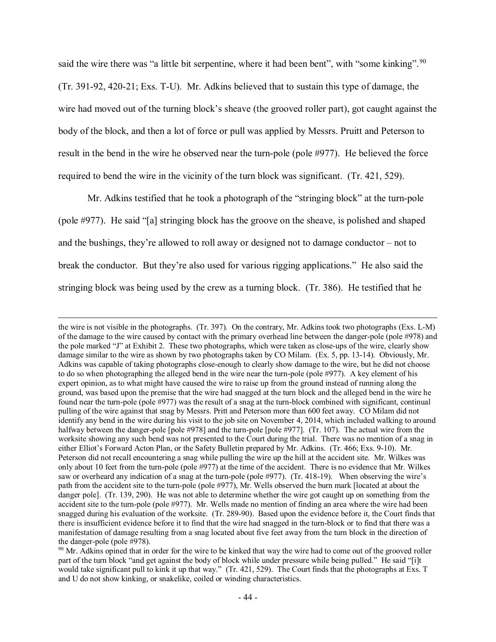said the wire there was "a little bit serpentine, where it had been bent", with "some kinking". <sup>[90](#page-43-0)</sup> (Tr. 391-92, 420-21; Exs. T-U). Mr. Adkins believed that to sustain this type of damage, the wire had moved out of the turning block's sheave (the grooved roller part), got caught against the body of the block, and then a lot of force or pull was applied by Messrs. Pruitt and Peterson to result in the bend in the wire he observed near the turn-pole (pole #977). He believed the force required to bend the wire in the vicinity of the turn block was significant. (Tr. 421, 529).

Mr. Adkins testified that he took a photograph of the "stringing block" at the turn-pole (pole #977). He said "[a] stringing block has the groove on the sheave, is polished and shaped and the bushings, they're allowed to roll away or designed not to damage conductor – not to break the conductor. But they're also used for various rigging applications." He also said the stringing block was being used by the crew as a turning block. (Tr. 386). He testified that he

the wire is not visible in the photographs. (Tr. 397). On the contrary, Mr. Adkins took two photographs (Exs. L-M) of the damage to the wire caused by contact with the primary overhead line between the danger-pole (pole #978) and the pole marked "J" at Exhibit 2. These two photographs, which were taken as close-ups of the wire, clearly show damage similar to the wire as shown by two photographs taken by CO Milam. (Ex. 5, pp. 13-14). Obviously, Mr. Adkins was capable of taking photographs close-enough to clearly show damage to the wire, but he did not choose to do so when photographing the alleged bend in the wire near the turn-pole (pole #977). A key element of his expert opinion, as to what might have caused the wire to raise up from the ground instead of running along the ground, was based upon the premise that the wire had snagged at the turn block and the alleged bend in the wire he found near the turn-pole (pole #977) was the result of a snag at the turn-block combined with significant, continual pulling of the wire against that snag by Messrs. Pritt and Peterson more than 600 feet away. CO Milam did not identify any bend in the wire during his visit to the job site on November 4, 2014, which included walking to around halfway between the danger-pole [pole #978] and the turn-pole [pole #977]. (Tr. 107). The actual wire from the worksite showing any such bend was not presented to the Court during the trial. There was no mention of a snag in either Elliot's Forward Acton Plan, or the Safety Bulletin prepared by Mr. Adkins. (Tr. 466; Exs. 9-10). Mr. Peterson did not recall encountering a snag while pulling the wire up the hill at the accident site. Mr. Wilkes was only about 10 feet from the turn-pole (pole #977) at the time of the accident. There is no evidence that Mr. Wilkes saw or overheard any indication of a snag at the turn-pole (pole #977). (Tr. 418-19). When observing the wire's path from the accident site to the turn-pole (pole #977), Mr. Wells observed the burn mark [located at about the danger pole]. (Tr. 139, 290). He was not able to determine whether the wire got caught up on something from the accident site to the turn-pole (pole #977). Mr. Wells made no mention of finding an area where the wire had been snagged during his evaluation of the worksite. (Tr. 289-90). Based upon the evidence before it, the Court finds that there is insufficient evidence before it to find that the wire had snagged in the turn-block or to find that there was a manifestation of damage resulting from a snag located about five feet away from the turn block in the direction of the danger-pole (pole #978).

<span id="page-43-0"></span> $90$  Mr. Adkins opined that in order for the wire to be kinked that way the wire had to come out of the grooved roller part of the turn block "and get against the body of block while under pressure while being pulled." He said "[i]t would take significant pull to kink it up that way." (Tr. 421, 529). The Court finds that the photographs at Exs. T and U do not show kinking, or snakelike, coiled or winding characteristics.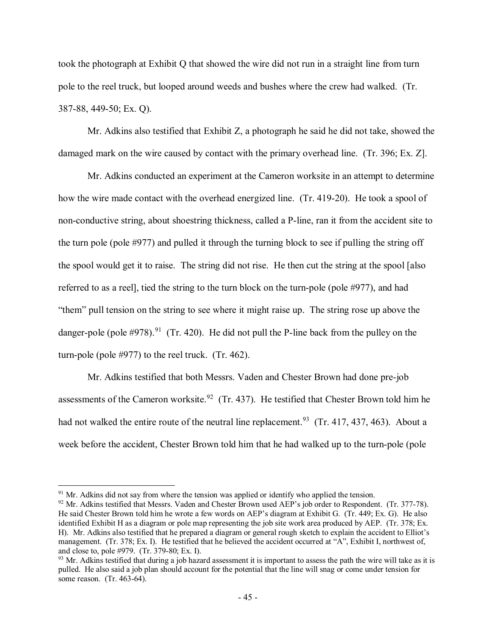took the photograph at Exhibit Q that showed the wire did not run in a straight line from turn pole to the reel truck, but looped around weeds and bushes where the crew had walked. (Tr. 387-88, 449-50; Ex. Q).

Mr. Adkins also testified that Exhibit Z, a photograph he said he did not take, showed the damaged mark on the wire caused by contact with the primary overhead line. (Tr. 396; Ex. Z].

Mr. Adkins conducted an experiment at the Cameron worksite in an attempt to determine how the wire made contact with the overhead energized line. (Tr. 419-20). He took a spool of non-conductive string, about shoestring thickness, called a P-line, ran it from the accident site to the turn pole (pole #977) and pulled it through the turning block to see if pulling the string off the spool would get it to raise. The string did not rise. He then cut the string at the spool [also referred to as a reel], tied the string to the turn block on the turn-pole (pole #977), and had "them" pull tension on the string to see where it might raise up. The string rose up above the danger-pole (pole  $\#978$ ).<sup>91</sup> (Tr. 420). He did not pull the P-line back from the pulley on the turn-pole (pole #977) to the reel truck. (Tr. 462).

Mr. Adkins testified that both Messrs. Vaden and Chester Brown had done pre-job assessments of the Cameron worksite.<sup>92</sup> (Tr. 437). He testified that Chester Brown told him he had not walked the entire route of the neutral line replacement.<sup>[93](#page-44-2)</sup> (Tr. 417, 437, 463). About a week before the accident, Chester Brown told him that he had walked up to the turn-pole (pole

<span id="page-44-0"></span><sup>&</sup>lt;sup>91</sup> Mr. Adkins did not say from where the tension was applied or identify who applied the tension.

<span id="page-44-1"></span><sup>&</sup>lt;sup>92</sup> Mr. Adkins testified that Messrs. Vaden and Chester Brown used AEP's job order to Respondent. (Tr. 377-78). He said Chester Brown told him he wrote a few words on AEP's diagram at Exhibit G. (Tr. 449; Ex. G). He also identified Exhibit H as a diagram or pole map representing the job site work area produced by AEP. (Tr. 378; Ex. H). Mr. Adkins also testified that he prepared a diagram or general rough sketch to explain the accident to Elliot's management. (Tr. 378; Ex. I). He testified that he believed the accident occurred at "A", Exhibit I, northwest of, and close to, pole #979. (Tr. 379-80; Ex. I).

<span id="page-44-2"></span> $93$  Mr. Adkins testified that during a job hazard assessment it is important to assess the path the wire will take as it is pulled. He also said a job plan should account for the potential that the line will snag or come under tension for some reason. (Tr. 463-64).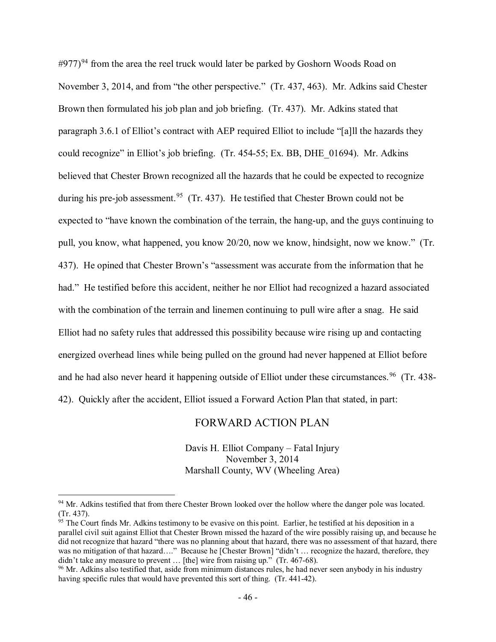$\#977$ )<sup>[94](#page-45-0)</sup> from the area the reel truck would later be parked by Goshorn Woods Road on November 3, 2014, and from "the other perspective." (Tr. 437, 463). Mr. Adkins said Chester Brown then formulated his job plan and job briefing. (Tr. 437). Mr. Adkins stated that paragraph 3.6.1 of Elliot's contract with AEP required Elliot to include "[a]ll the hazards they could recognize" in Elliot's job briefing. (Tr. 454-55; Ex. BB, DHE\_01694). Mr. Adkins believed that Chester Brown recognized all the hazards that he could be expected to recognize during his pre-job assessment.<sup>[95](#page-45-1)</sup> (Tr. 437). He testified that Chester Brown could not be expected to "have known the combination of the terrain, the hang-up, and the guys continuing to pull, you know, what happened, you know 20/20, now we know, hindsight, now we know." (Tr. 437). He opined that Chester Brown's "assessment was accurate from the information that he had." He testified before this accident, neither he nor Elliot had recognized a hazard associated with the combination of the terrain and linemen continuing to pull wire after a snag. He said Elliot had no safety rules that addressed this possibility because wire rising up and contacting energized overhead lines while being pulled on the ground had never happened at Elliot before and he had also never heard it happening outside of Elliot under these circumstances.<sup>[96](#page-45-2)</sup> (Tr. 438-42). Quickly after the accident, Elliot issued a Forward Action Plan that stated, in part:

## FORWARD ACTION PLAN

Davis H. Elliot Company – Fatal Injury November 3, 2014 Marshall County, WV (Wheeling Area)

<span id="page-45-0"></span><sup>&</sup>lt;sup>94</sup> Mr. Adkins testified that from there Chester Brown looked over the hollow where the danger pole was located. (Tr. 437).

<span id="page-45-1"></span> $95$  The Court finds Mr. Adkins testimony to be evasive on this point. Earlier, he testified at his deposition in a parallel civil suit against Elliot that Chester Brown missed the hazard of the wire possibly raising up, and because he did not recognize that hazard "there was no planning about that hazard, there was no assessment of that hazard, there was no mitigation of that hazard…." Because he [Chester Brown] "didn't … recognize the hazard, therefore, they didn't take any measure to prevent … [the] wire from raising up." (Tr. 467-68).

<span id="page-45-2"></span><sup>&</sup>lt;sup>96</sup> Mr. Adkins also testified that, aside from minimum distances rules, he had never seen anybody in his industry having specific rules that would have prevented this sort of thing. (Tr. 441-42).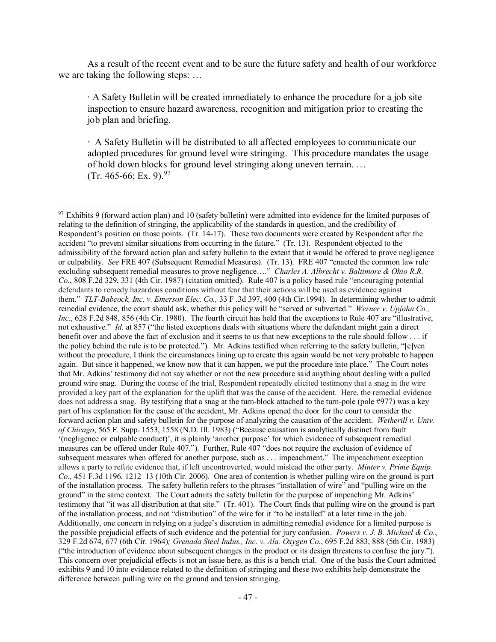As a result of the recent event and to be sure the future safety and health of our workforce we are taking the following steps: …

∙ A Safety Bulletin will be created immediately to enhance the procedure for a job site inspection to ensure hazard awareness, recognition and mitigation prior to creating the job plan and briefing.

∙ A Safety Bulletin will be distributed to all affected employees to communicate our adopted procedures for ground level wire stringing. This procedure mandates the usage of hold down blocks for ground level stringing along uneven terrain. …  $(Tr. 465-66; Ex. 9).^{97}$ 

<span id="page-46-0"></span> $97$  Exhibits 9 (forward action plan) and 10 (safety bulletin) were admitted into evidence for the limited purposes of relating to the definition of stringing, the applicability of the standards in question, and the credibility of Respondent's position on those points. (Tr. 14-17). These two documents were created by Respondent after the accident "to prevent similar situations from occurring in the future." (Tr. 13). Respondent objected to the admissibility of the forward action plan and safety bulletin to the extent that it would be offered to prove negligence or culpability. *See* FRE 407 (Subsequent Remedial Measures). (Tr. 13). FRE 407 "enacted the common law rule excluding subsequent remedial measures to prove negligence…." *Charles A. Albrecht v. Baltimore & Ohio R.R. Co.*, 808 F.2d 329, 331 (4th Cir. 1987) (citation omitted). Rule 407 is a policy based rule "encouraging potential defendants to remedy hazardous conditions without fear that their actions will be used as evidence against them." *TLT-Babcock, Inc. v. Emerson Elec. Co.,* 33 F .3d 397, 400 (4th Cir.1994). In determining whether to admit remedial evidence, the court should ask, whether this policy will be "served or subverted." *Werner v. Upjohn Co., Inc.*, 628 F.2d 848, 856 (4th Cir. 1980). The fourth circuit has held that the exceptions to Rule 407 are "illustrative, not exhaustive." *Id.* at 857 ("the listed exceptions deals with situations where the defendant might gain a direct benefit over and above the fact of exclusion and it seems to us that new exceptions to the rule should follow . . . if the policy behind the rule is to be protected."). Mr. Adkins testified when referring to the safety bulletin, "[e]ven without the procedure, I think the circumstances lining up to create this again would be not very probable to happen again. But since it happened, we know now that it can happen, we put the procedure into place." The Court notes that Mr. Adkins' testimony did not say whether or not the new procedure said anything about dealing with a pulled ground wire snag. During the course of the trial, Respondent repeatedly elicited testimony that a snag in the wire provided a key part of the explanation for the uplift that was the cause of the accident. Here, the remedial evidence does not address a snag. By testifying that a snag at the turn-block attached to the turn-pole (pole #977) was a key part of his explanation for the cause of the accident, Mr. Adkins opened the door for the court to consider the forward action plan and safety bulletin for the purpose of analyzing the causation of the accident. *Wetherill v. Univ. of Chicago*, 565 F. Supp. 1553, 1558 (N.D. Ill. 1983) ("Because causation is analytically distinct from fault '(negligence or culpable conduct)', it is plainly 'another purpose' for which evidence of subsequent remedial measures can be offered under Rule 407."). Further, Rule 407 "does not require the exclusion of evidence of subsequent measures when offered for another purpose, such as . . . impeachment." The impeachment exception allows a party to refute evidence that, if left uncontroverted, would mislead the other party. *Minter v. Prime Equip. Co.,* 451 F.3d 1196, 1212–13 (10th Cir. 2006). One area of contention is whether pulling wire on the ground is part of the installation process. The safety bulletin refers to the phrases "installation of wire" and "pulling wire on the ground" in the same context. The Court admits the safety bulletin for the purpose of impeaching Mr. Adkins' testimony that "it was all distribution at that site." (Tr. 401). The Court finds that pulling wire on the ground is part of the installation process, and not "distribution" of the wire for it "to be installed" at a later time in the job. Additionally, one concern in relying on a judge's discretion in admitting remedial evidence for a limited purpose is the possible prejudicial effects of such evidence and the potential for jury confusion. *Powers v. J. B. Michael & Co.*, 329 F.2d 674, 677 (6th Cir. 1964)*; Grenada Steel Indus., Inc. v. Ala. Oxygen Co.*, 695 F.2d 883, 888 (5th Cir. 1983) ("the introduction of evidence about subsequent changes in the product or its design threatens to confuse the jury."). This concern over prejudicial effects is not an issue here, as this is a bench trial. One of the basis the Court admitted exhibits 9 and 10 into evidence related to the definition of stringing and these two exhibits help demonstrate the difference between pulling wire on the ground and tension stringing.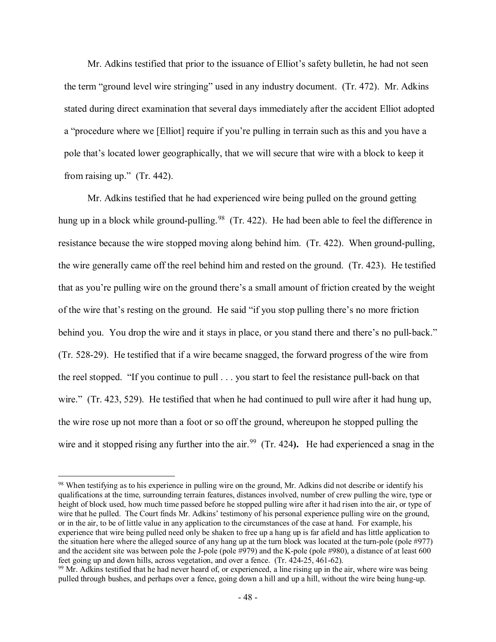Mr. Adkins testified that prior to the issuance of Elliot's safety bulletin, he had not seen the term "ground level wire stringing" used in any industry document. (Tr. 472). Mr. Adkins stated during direct examination that several days immediately after the accident Elliot adopted a "procedure where we [Elliot] require if you're pulling in terrain such as this and you have a pole that's located lower geographically, that we will secure that wire with a block to keep it from raising up." (Tr. 442).

Mr. Adkins testified that he had experienced wire being pulled on the ground getting hung up in a block while ground-pulling.<sup>98</sup> (Tr. 422). He had been able to feel the difference in resistance because the wire stopped moving along behind him. (Tr. 422). When ground-pulling, the wire generally came off the reel behind him and rested on the ground. (Tr. 423). He testified that as you're pulling wire on the ground there's a small amount of friction created by the weight of the wire that's resting on the ground. He said "if you stop pulling there's no more friction behind you. You drop the wire and it stays in place, or you stand there and there's no pull-back." (Tr. 528-29). He testified that if a wire became snagged, the forward progress of the wire from the reel stopped. "If you continue to pull . . . you start to feel the resistance pull-back on that wire." (Tr. 423, 529). He testified that when he had continued to pull wire after it had hung up, the wire rose up not more than a foot or so off the ground, whereupon he stopped pulling the wire and it stopped rising any further into the air.<sup>99</sup> (Tr. 424). He had experienced a snag in the

<span id="page-47-0"></span><sup>&</sup>lt;sup>98</sup> When testifying as to his experience in pulling wire on the ground, Mr. Adkins did not describe or identify his qualifications at the time, surrounding terrain features, distances involved, number of crew pulling the wire, type or height of block used, how much time passed before he stopped pulling wire after it had risen into the air, or type of wire that he pulled. The Court finds Mr. Adkins' testimony of his personal experience pulling wire on the ground, or in the air, to be of little value in any application to the circumstances of the case at hand. For example, his experience that wire being pulled need only be shaken to free up a hang up is far afield and has little application to the situation here where the alleged source of any hang up at the turn block was located at the turn-pole (pole #977) and the accident site was between pole the J-pole (pole #979) and the K-pole (pole #980), a distance of at least 600 feet going up and down hills, across vegetation, and over a fence. (Tr. 424-25, 461-62).

<span id="page-47-1"></span> $99$  Mr. Adkins testified that he had never heard of, or experienced, a line rising up in the air, where wire was being pulled through bushes, and perhaps over a fence, going down a hill and up a hill, without the wire being hung-up.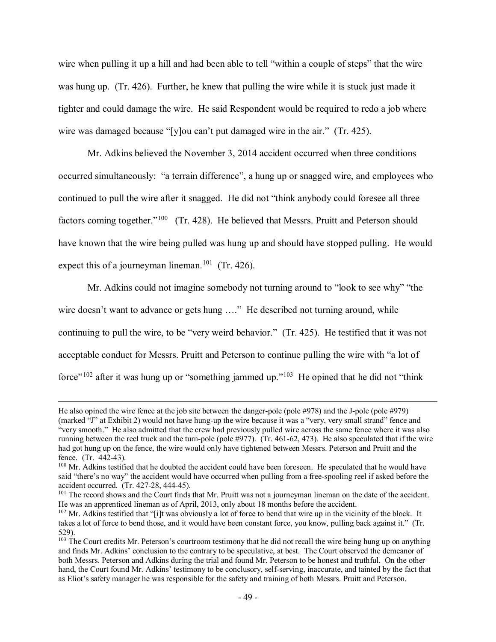wire when pulling it up a hill and had been able to tell "within a couple of steps" that the wire was hung up. (Tr. 426). Further, he knew that pulling the wire while it is stuck just made it tighter and could damage the wire. He said Respondent would be required to redo a job where wire was damaged because "[y]ou can't put damaged wire in the air." (Tr. 425).

Mr. Adkins believed the November 3, 2014 accident occurred when three conditions occurred simultaneously: "a terrain difference", a hung up or snagged wire, and employees who continued to pull the wire after it snagged. He did not "think anybody could foresee all three factors coming together."<sup>[100](#page-48-0)</sup> (Tr. 428). He believed that Messrs. Pruitt and Peterson should have known that the wire being pulled was hung up and should have stopped pulling. He would expect this of a journeyman lineman.<sup>101</sup> (Tr. 426).

Mr. Adkins could not imagine somebody not turning around to "look to see why" "the wire doesn't want to advance or gets hung ...." He described not turning around, while continuing to pull the wire, to be "very weird behavior." (Tr. 425). He testified that it was not acceptable conduct for Messrs. Pruitt and Peterson to continue pulling the wire with "a lot of force"<sup>[102](#page-48-2)</sup> after it was hung up or "something jammed up."<sup>[103](#page-48-3)</sup> He opined that he did not "think"

He also opined the wire fence at the job site between the danger-pole (pole #978) and the J-pole (pole #979) (marked "J" at Exhibit 2) would not have hung-up the wire because it was a "very, very small strand" fence and "very smooth." He also admitted that the crew had previously pulled wire across the same fence where it was also running between the reel truck and the turn-pole (pole #977). (Tr. 461-62, 473). He also speculated that if the wire had got hung up on the fence, the wire would only have tightened between Messrs. Peterson and Pruitt and the fence. (Tr. 442-43).

<span id="page-48-0"></span><sup>&</sup>lt;sup>100</sup> Mr. Adkins testified that he doubted the accident could have been foreseen. He speculated that he would have said "there's no way" the accident would have occurred when pulling from a free-spooling reel if asked before the accident occurred. (Tr. 427-28, 444-45).

<span id="page-48-1"></span><sup>&</sup>lt;sup>101</sup> The record shows and the Court finds that Mr. Pruitt was not a journeyman lineman on the date of the accident. He was an apprenticed lineman as of April, 2013, only about 18 months before the accident.

<span id="page-48-2"></span> $102$  Mr. Adkins testified that "[i]t was obviously a lot of force to bend that wire up in the vicinity of the block. It takes a lot of force to bend those, and it would have been constant force, you know, pulling back against it." (Tr. 529).

<span id="page-48-3"></span> $103$  The Court credits Mr. Peterson's courtroom testimony that he did not recall the wire being hung up on anything and finds Mr. Adkins' conclusion to the contrary to be speculative, at best. The Court observed the demeanor of both Messrs. Peterson and Adkins during the trial and found Mr. Peterson to be honest and truthful. On the other hand, the Court found Mr. Adkins' testimony to be conclusory, self-serving, inaccurate, and tainted by the fact that as Eliot's safety manager he was responsible for the safety and training of both Messrs. Pruitt and Peterson.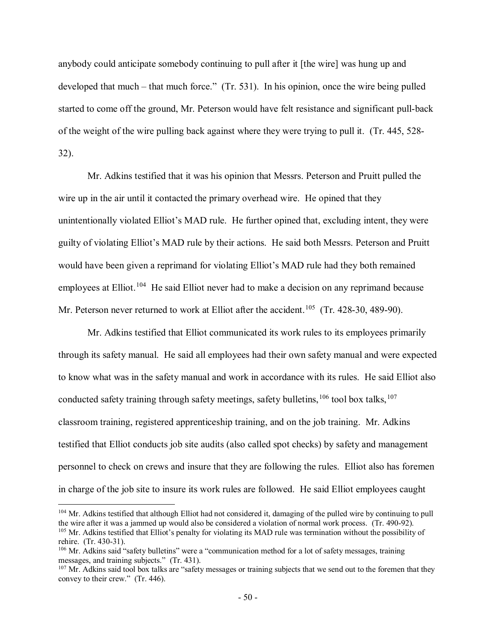anybody could anticipate somebody continuing to pull after it [the wire] was hung up and developed that much – that much force." (Tr. 531). In his opinion, once the wire being pulled started to come off the ground, Mr. Peterson would have felt resistance and significant pull-back of the weight of the wire pulling back against where they were trying to pull it. (Tr. 445, 528- 32).

Mr. Adkins testified that it was his opinion that Messrs. Peterson and Pruitt pulled the wire up in the air until it contacted the primary overhead wire. He opined that they unintentionally violated Elliot's MAD rule. He further opined that, excluding intent, they were guilty of violating Elliot's MAD rule by their actions. He said both Messrs. Peterson and Pruitt would have been given a reprimand for violating Elliot's MAD rule had they both remained employees at Elliot.<sup>[104](#page-49-0)</sup> He said Elliot never had to make a decision on any reprimand because Mr. Peterson never returned to work at Elliot after the accident.<sup>[105](#page-49-1)</sup> (Tr. 428-30, 489-90).

Mr. Adkins testified that Elliot communicated its work rules to its employees primarily through its safety manual. He said all employees had their own safety manual and were expected to know what was in the safety manual and work in accordance with its rules. He said Elliot also conducted safety training through safety meetings, safety bulletins,  $106$  tool box talks,  $107$ classroom training, registered apprenticeship training, and on the job training. Mr. Adkins testified that Elliot conducts job site audits (also called spot checks) by safety and management personnel to check on crews and insure that they are following the rules. Elliot also has foremen in charge of the job site to insure its work rules are followed. He said Elliot employees caught

<span id="page-49-1"></span><span id="page-49-0"></span><sup>&</sup>lt;sup>104</sup> Mr. Adkins testified that although Elliot had not considered it, damaging of the pulled wire by continuing to pull the wire after it was a jammed up would also be considered a violation of normal work process. (Tr. 490-92). <sup>105</sup> Mr. Adkins testified that Elliot's penalty for violating its MAD rule was termination without the possibility of rehire. (Tr. 430-31).

<span id="page-49-2"></span><sup>&</sup>lt;sup>106</sup> Mr. Adkins said "safety bulletins" were a "communication method for a lot of safety messages, training messages, and training subjects." (Tr. 431).

<span id="page-49-3"></span><sup>&</sup>lt;sup>107</sup> Mr. Adkins said tool box talks are "safety messages or training subjects that we send out to the foremen that they convey to their crew." (Tr. 446).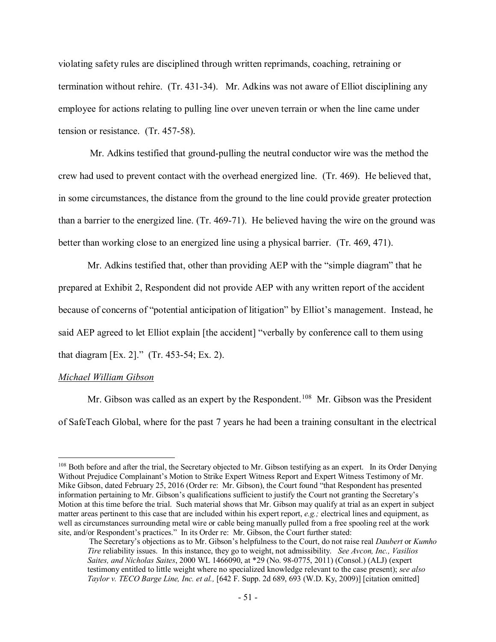violating safety rules are disciplined through written reprimands, coaching, retraining or termination without rehire. (Tr. 431-34). Mr. Adkins was not aware of Elliot disciplining any employee for actions relating to pulling line over uneven terrain or when the line came under tension or resistance. (Tr. 457-58).

 Mr. Adkins testified that ground-pulling the neutral conductor wire was the method the crew had used to prevent contact with the overhead energized line. (Tr. 469). He believed that, in some circumstances, the distance from the ground to the line could provide greater protection than a barrier to the energized line. (Tr. 469-71). He believed having the wire on the ground was better than working close to an energized line using a physical barrier. (Tr. 469, 471).

Mr. Adkins testified that, other than providing AEP with the "simple diagram" that he prepared at Exhibit 2, Respondent did not provide AEP with any written report of the accident because of concerns of "potential anticipation of litigation" by Elliot's management. Instead, he said AEP agreed to let Elliot explain [the accident] "verbally by conference call to them using that diagram [Ex. 2]." (Tr. 453-54; Ex. 2).

### *Michael William Gibson*

 $\overline{a}$ 

Mr. Gibson was called as an expert by the Respondent.<sup>108</sup> Mr. Gibson was the President of SafeTeach Global, where for the past 7 years he had been a training consultant in the electrical

<span id="page-50-0"></span><sup>&</sup>lt;sup>108</sup> Both before and after the trial, the Secretary objected to Mr. Gibson testifying as an expert. In its Order Denying Without Prejudice Complainant's Motion to Strike Expert Witness Report and Expert Witness Testimony of Mr. Mike Gibson, dated February 25, 2016 (Order re: Mr. Gibson), the Court found "that Respondent has presented information pertaining to Mr. Gibson's qualifications sufficient to justify the Court not granting the Secretary's Motion at this time before the trial. Such material shows that Mr. Gibson may qualify at trial as an expert in subject matter areas pertinent to this case that are included within his expert report, *e.g.;* electrical lines and equipment, as well as circumstances surrounding metal wire or cable being manually pulled from a free spooling reel at the work site, and/or Respondent's practices." In its Order re: Mr. Gibson, the Court further stated:

The Secretary's objections as to Mr. Gibson's helpfulness to the Court, do not raise real *Daubert* or *Kumho Tire* reliability issues. In this instance, they go to weight, not admissibility. *See Avcon, Inc., Vasilios Saites, and Nicholas Saites*, 2000 WL 1466090, at \*29 (No. 98-0775, 2011) (Consol.) (ALJ) (expert testimony entitled to little weight where no specialized knowledge relevant to the case present); *see also Taylor v. TECO Barge Line, Inc. et al.,* [642 F. Supp. 2d 689, 693 (W.D. Ky, 2009)] [citation omitted]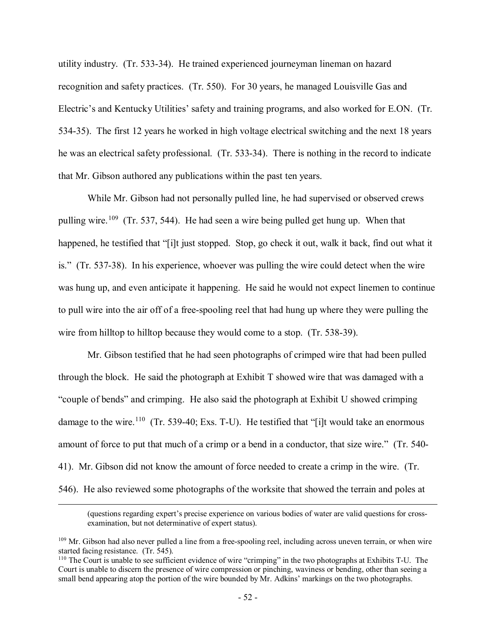utility industry. (Tr. 533-34). He trained experienced journeyman lineman on hazard recognition and safety practices. (Tr. 550). For 30 years, he managed Louisville Gas and Electric's and Kentucky Utilities' safety and training programs, and also worked for E.ON. (Tr. 534-35). The first 12 years he worked in high voltage electrical switching and the next 18 years he was an electrical safety professional. (Tr. 533-34). There is nothing in the record to indicate that Mr. Gibson authored any publications within the past ten years.

While Mr. Gibson had not personally pulled line, he had supervised or observed crews pulling wire.<sup>[109](#page-51-0)</sup> (Tr. 537, 544). He had seen a wire being pulled get hung up. When that happened, he testified that "[i]t just stopped. Stop, go check it out, walk it back, find out what it is." (Tr. 537-38). In his experience, whoever was pulling the wire could detect when the wire was hung up, and even anticipate it happening. He said he would not expect linemen to continue to pull wire into the air off of a free-spooling reel that had hung up where they were pulling the wire from hilltop to hilltop because they would come to a stop. (Tr. 538-39).

Mr. Gibson testified that he had seen photographs of crimped wire that had been pulled through the block. He said the photograph at Exhibit T showed wire that was damaged with a "couple of bends" and crimping. He also said the photograph at Exhibit U showed crimping damage to the wire.<sup>[110](#page-51-1)</sup> (Tr. 539-40; Exs. T-U). He testified that "[i]t would take an enormous amount of force to put that much of a crimp or a bend in a conductor, that size wire." (Tr. 540- 41). Mr. Gibson did not know the amount of force needed to create a crimp in the wire. (Tr. 546). He also reviewed some photographs of the worksite that showed the terrain and poles at

<sup>(</sup>questions regarding expert's precise experience on various bodies of water are valid questions for crossexamination, but not determinative of expert status).

<span id="page-51-0"></span><sup>&</sup>lt;sup>109</sup> Mr. Gibson had also never pulled a line from a free-spooling reel, including across uneven terrain, or when wire started facing resistance. (Tr. 545).

<span id="page-51-1"></span><sup>110</sup> The Court is unable to see sufficient evidence of wire "crimping" in the two photographs at Exhibits T-U. The Court is unable to discern the presence of wire compression or pinching, waviness or bending, other than seeing a small bend appearing atop the portion of the wire bounded by Mr. Adkins' markings on the two photographs.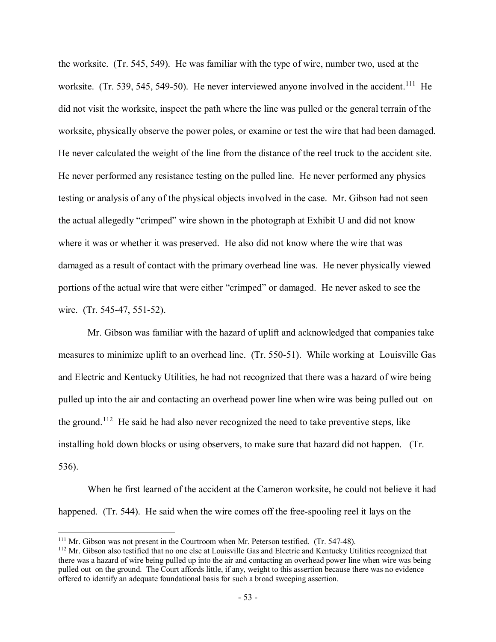the worksite. (Tr. 545, 549). He was familiar with the type of wire, number two, used at the worksite. (Tr. 539, 545, 549-50). He never interviewed anyone involved in the accident.<sup>[111](#page-52-0)</sup> He did not visit the worksite, inspect the path where the line was pulled or the general terrain of the worksite, physically observe the power poles, or examine or test the wire that had been damaged. He never calculated the weight of the line from the distance of the reel truck to the accident site. He never performed any resistance testing on the pulled line. He never performed any physics testing or analysis of any of the physical objects involved in the case. Mr. Gibson had not seen the actual allegedly "crimped" wire shown in the photograph at Exhibit U and did not know where it was or whether it was preserved. He also did not know where the wire that was damaged as a result of contact with the primary overhead line was. He never physically viewed portions of the actual wire that were either "crimped" or damaged. He never asked to see the wire. (Tr. 545-47, 551-52).

Mr. Gibson was familiar with the hazard of uplift and acknowledged that companies take measures to minimize uplift to an overhead line. (Tr. 550-51). While working at Louisville Gas and Electric and Kentucky Utilities, he had not recognized that there was a hazard of wire being pulled up into the air and contacting an overhead power line when wire was being pulled out on the ground.<sup>[112](#page-52-1)</sup> He said he had also never recognized the need to take preventive steps, like installing hold down blocks or using observers, to make sure that hazard did not happen. (Tr. 536).

When he first learned of the accident at the Cameron worksite, he could not believe it had happened. (Tr. 544). He said when the wire comes off the free-spooling reel it lays on the

<span id="page-52-1"></span><span id="page-52-0"></span><sup>&</sup>lt;sup>111</sup> Mr. Gibson was not present in the Courtroom when Mr. Peterson testified. (Tr. 547-48).<br><sup>112</sup> Mr. Gibson also testified that no one else at Louisville Gas and Electric and Kentucky Utilities recognized that there was a hazard of wire being pulled up into the air and contacting an overhead power line when wire was being pulled out on the ground. The Court affords little, if any, weight to this assertion because there was no evidence offered to identify an adequate foundational basis for such a broad sweeping assertion.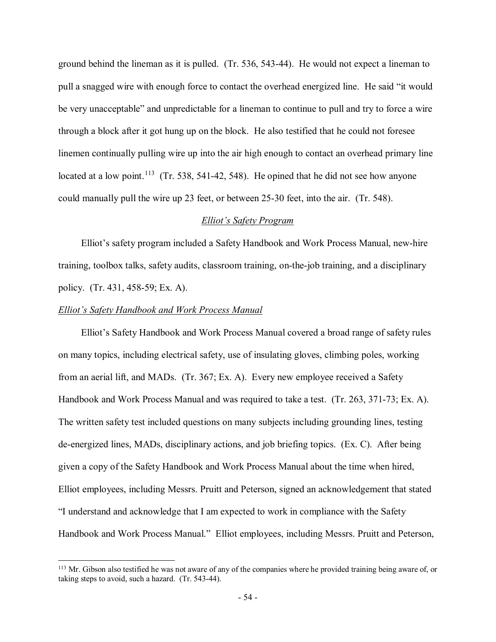ground behind the lineman as it is pulled. (Tr. 536, 543-44). He would not expect a lineman to pull a snagged wire with enough force to contact the overhead energized line. He said "it would be very unacceptable" and unpredictable for a lineman to continue to pull and try to force a wire through a block after it got hung up on the block. He also testified that he could not foresee linemen continually pulling wire up into the air high enough to contact an overhead primary line located at a low point.<sup>[113](#page-53-0)</sup> (Tr. 538, 541-42, 548). He opined that he did not see how anyone could manually pull the wire up 23 feet, or between 25-30 feet, into the air. (Tr. 548).

### *Elliot's Safety Program*

Elliot's safety program included a Safety Handbook and Work Process Manual, new-hire training, toolbox talks, safety audits, classroom training, on-the-job training, and a disciplinary policy. (Tr. 431, 458-59; Ex. A).

### *Elliot's Safety Handbook and Work Process Manual*

 $\overline{a}$ 

Elliot's Safety Handbook and Work Process Manual covered a broad range of safety rules on many topics, including electrical safety, use of insulating gloves, climbing poles, working from an aerial lift, and MADs. (Tr. 367; Ex. A). Every new employee received a Safety Handbook and Work Process Manual and was required to take a test. (Tr. 263, 371-73; Ex. A). The written safety test included questions on many subjects including grounding lines, testing de-energized lines, MADs, disciplinary actions, and job briefing topics. (Ex. C). After being given a copy of the Safety Handbook and Work Process Manual about the time when hired, Elliot employees, including Messrs. Pruitt and Peterson, signed an acknowledgement that stated "I understand and acknowledge that I am expected to work in compliance with the Safety Handbook and Work Process Manual." Elliot employees, including Messrs. Pruitt and Peterson,

<span id="page-53-0"></span><sup>&</sup>lt;sup>113</sup> Mr. Gibson also testified he was not aware of any of the companies where he provided training being aware of, or taking steps to avoid, such a hazard. (Tr. 543-44).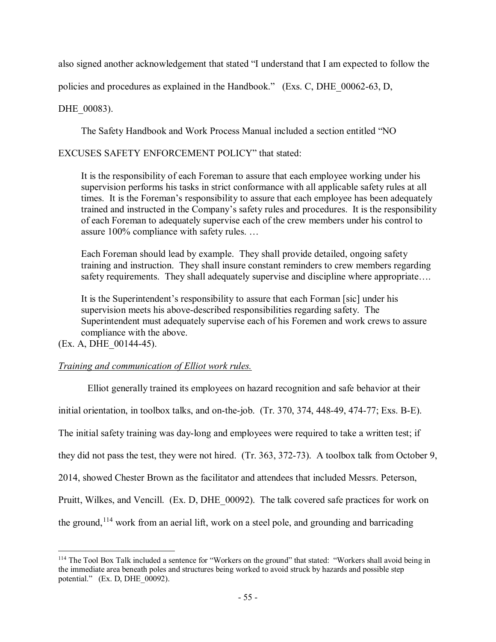also signed another acknowledgement that stated "I understand that I am expected to follow the

policies and procedures as explained in the Handbook." (Exs. C, DHE\_00062-63, D,

DHE 00083).

The Safety Handbook and Work Process Manual included a section entitled "NO

# EXCUSES SAFETY ENFORCEMENT POLICY" that stated:

It is the responsibility of each Foreman to assure that each employee working under his supervision performs his tasks in strict conformance with all applicable safety rules at all times. It is the Foreman's responsibility to assure that each employee has been adequately trained and instructed in the Company's safety rules and procedures. It is the responsibility of each Foreman to adequately supervise each of the crew members under his control to assure 100% compliance with safety rules. …

Each Foreman should lead by example. They shall provide detailed, ongoing safety training and instruction. They shall insure constant reminders to crew members regarding safety requirements. They shall adequately supervise and discipline where appropriate….

It is the Superintendent's responsibility to assure that each Forman [sic] under his supervision meets his above-described responsibilities regarding safety. The Superintendent must adequately supervise each of his Foremen and work crews to assure compliance with the above.

(Ex. A, DHE\_00144-45).

 $\overline{a}$ 

# *Training and communication of Elliot work rules.*

Elliot generally trained its employees on hazard recognition and safe behavior at their initial orientation, in toolbox talks, and on-the-job. (Tr. 370, 374, 448-49, 474-77; Exs. B-E). The initial safety training was day-long and employees were required to take a written test; if they did not pass the test, they were not hired. (Tr. 363, 372-73). A toolbox talk from October 9, 2014, showed Chester Brown as the facilitator and attendees that included Messrs. Peterson, Pruitt, Wilkes, and Vencill. (Ex. D, DHE\_00092). The talk covered safe practices for work on the ground,  $114$  work from an aerial lift, work on a steel pole, and grounding and barricading

<span id="page-54-0"></span><sup>&</sup>lt;sup>114</sup> The Tool Box Talk included a sentence for "Workers on the ground" that stated: "Workers shall avoid being in the immediate area beneath poles and structures being worked to avoid struck by hazards and possible step potential." (Ex. D, DHE\_00092).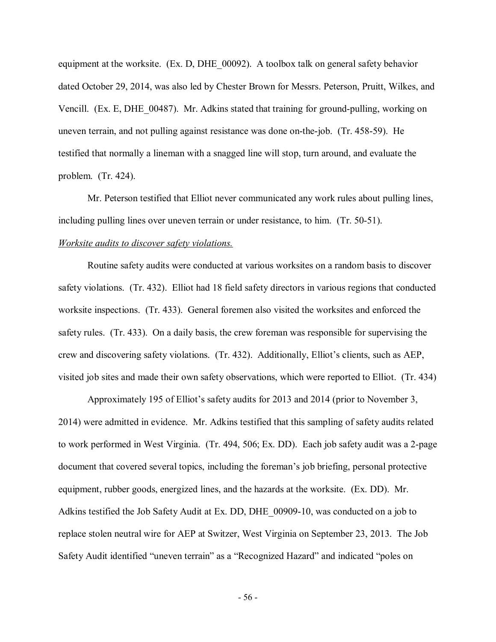equipment at the worksite. (Ex. D, DHE\_00092). A toolbox talk on general safety behavior dated October 29, 2014, was also led by Chester Brown for Messrs. Peterson, Pruitt, Wilkes, and Vencill. (Ex. E, DHE\_00487). Mr. Adkins stated that training for ground-pulling, working on uneven terrain, and not pulling against resistance was done on-the-job. (Tr. 458-59). He testified that normally a lineman with a snagged line will stop, turn around, and evaluate the problem. (Tr. 424).

Mr. Peterson testified that Elliot never communicated any work rules about pulling lines, including pulling lines over uneven terrain or under resistance, to him. (Tr. 50-51). *Worksite audits to discover safety violations.*

Routine safety audits were conducted at various worksites on a random basis to discover safety violations. (Tr. 432). Elliot had 18 field safety directors in various regions that conducted worksite inspections. (Tr. 433). General foremen also visited the worksites and enforced the safety rules. (Tr. 433). On a daily basis, the crew foreman was responsible for supervising the crew and discovering safety violations. (Tr. 432). Additionally, Elliot's clients, such as AEP, visited job sites and made their own safety observations, which were reported to Elliot. (Tr. 434)

Approximately 195 of Elliot's safety audits for 2013 and 2014 (prior to November 3, 2014) were admitted in evidence. Mr. Adkins testified that this sampling of safety audits related to work performed in West Virginia. (Tr. 494, 506; Ex. DD). Each job safety audit was a 2-page document that covered several topics, including the foreman's job briefing, personal protective equipment, rubber goods, energized lines, and the hazards at the worksite. (Ex. DD). Mr. Adkins testified the Job Safety Audit at Ex. DD, DHE\_00909-10, was conducted on a job to replace stolen neutral wire for AEP at Switzer, West Virginia on September 23, 2013. The Job Safety Audit identified "uneven terrain" as a "Recognized Hazard" and indicated "poles on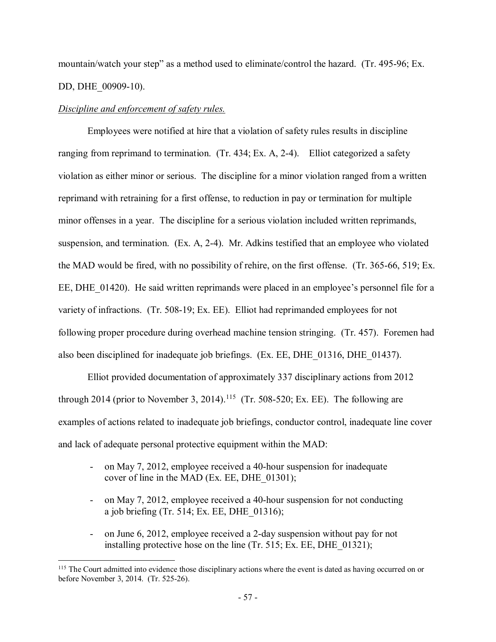mountain/watch your step" as a method used to eliminate/control the hazard. (Tr. 495-96; Ex. DD, DHE\_00909-10).

## *Discipline and enforcement of safety rules.*

 $\overline{a}$ 

Employees were notified at hire that a violation of safety rules results in discipline ranging from reprimand to termination. (Tr. 434; Ex. A, 2-4). Elliot categorized a safety violation as either minor or serious. The discipline for a minor violation ranged from a written reprimand with retraining for a first offense, to reduction in pay or termination for multiple minor offenses in a year. The discipline for a serious violation included written reprimands, suspension, and termination. (Ex. A, 2-4). Mr. Adkins testified that an employee who violated the MAD would be fired, with no possibility of rehire, on the first offense. (Tr. 365-66, 519; Ex. EE, DHE 01420). He said written reprimands were placed in an employee's personnel file for a variety of infractions. (Tr. 508-19; Ex. EE). Elliot had reprimanded employees for not following proper procedure during overhead machine tension stringing. (Tr. 457). Foremen had also been disciplined for inadequate job briefings. (Ex. EE, DHE\_01316, DHE\_01437).

Elliot provided documentation of approximately 337 disciplinary actions from 2012 through 2014 (prior to November 3, 2014).<sup>[115](#page-56-0)</sup> (Tr. 508-520; Ex. EE). The following are examples of actions related to inadequate job briefings, conductor control, inadequate line cover and lack of adequate personal protective equipment within the MAD:

- on May 7, 2012, employee received a 40-hour suspension for inadequate cover of line in the MAD (Ex. EE, DHE\_01301);
- on May 7, 2012, employee received a 40-hour suspension for not conducting a job briefing (Tr. 514; Ex. EE, DHE\_01316);
- on June 6, 2012, employee received a 2-day suspension without pay for not installing protective hose on the line (Tr. 515; Ex. EE, DHE 01321);

<span id="page-56-0"></span><sup>&</sup>lt;sup>115</sup> The Court admitted into evidence those disciplinary actions where the event is dated as having occurred on or before November 3, 2014. (Tr. 525-26).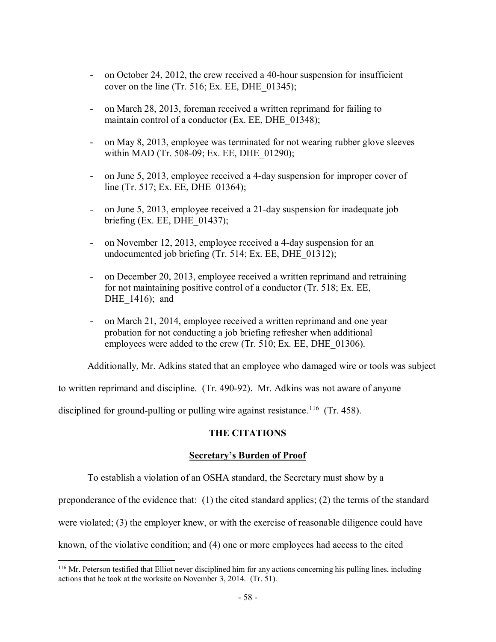- on October 24, 2012, the crew received a 40-hour suspension for insufficient cover on the line (Tr. 516; Ex. EE, DHE  $(01345)$ ;
- on March 28, 2013, foreman received a written reprimand for failing to maintain control of a conductor (Ex. EE, DHE 01348);
- on May 8, 2013, employee was terminated for not wearing rubber glove sleeves within MAD (Tr. 508-09; Ex. EE, DHE 01290);
- on June 5, 2013, employee received a 4-day suspension for improper cover of line (Tr. 517; Ex. EE, DHE\_01364);
- on June 5, 2013, employee received a 21-day suspension for inadequate job briefing (Ex. EE, DHE\_01437);
- on November 12, 2013, employee received a 4-day suspension for an undocumented job briefing (Tr. 514; Ex. EE, DHE\_01312);
- on December 20, 2013, employee received a written reprimand and retraining for not maintaining positive control of a conductor (Tr. 518; Ex. EE, DHE 1416); and
- on March 21, 2014, employee received a written reprimand and one year probation for not conducting a job briefing refresher when additional employees were added to the crew (Tr. 510; Ex. EE, DHE\_01306).

Additionally, Mr. Adkins stated that an employee who damaged wire or tools was subject

to written reprimand and discipline. (Tr. 490-92). Mr. Adkins was not aware of anyone

disciplined for ground-pulling or pulling wire against resistance.<sup>[116](#page-57-0)</sup> (Tr. 458).

## **THE CITATIONS**

### **Secretary's Burden of Proof**

To establish a violation of an OSHA standard, the Secretary must show by a

preponderance of the evidence that: (1) the cited standard applies; (2) the terms of the standard

were violated; (3) the employer knew, or with the exercise of reasonable diligence could have

known, of the violative condition; and (4) one or more employees had access to the cited

<span id="page-57-0"></span><sup>&</sup>lt;sup>116</sup> Mr. Peterson testified that Elliot never disciplined him for any actions concerning his pulling lines, including actions that he took at the worksite on November 3, 2014. (Tr. 51).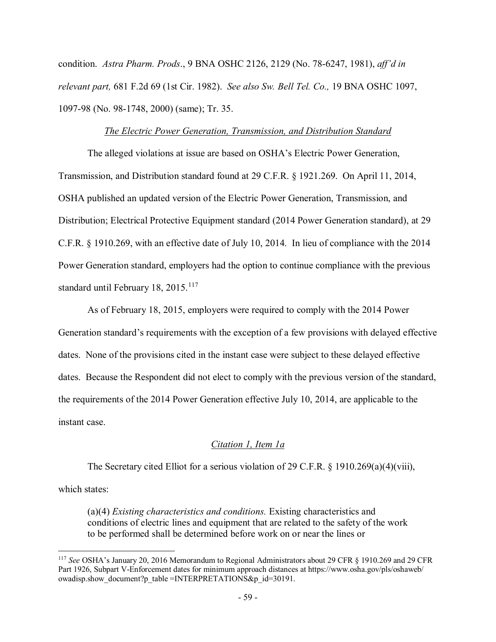condition. *Astra Pharm. Prods*., 9 BNA OSHC 2126, 2129 (No. 78-6247, 1981), *aff'd in relevant part,* 681 F.2d 69 (1st Cir. 1982). *See also Sw. Bell Tel. Co.,* 19 BNA OSHC 1097, 1097-98 (No. 98-1748, 2000) (same); Tr. 35.

### *The Electric Power Generation, Transmission, and Distribution Standard*

The alleged violations at issue are based on OSHA's Electric Power Generation, Transmission, and Distribution standard found at 29 C.F.R. § 1921.269. On April 11, 2014, OSHA published an updated version of the Electric Power Generation, Transmission, and Distribution; Electrical Protective Equipment standard (2014 Power Generation standard), at 29 C.F.R. § 1910.269, with an effective date of July 10, 2014. In lieu of compliance with the 2014 Power Generation standard, employers had the option to continue compliance with the previous standard until February 18,  $2015$ .<sup>117</sup>

As of February 18, 2015, employers were required to comply with the 2014 Power Generation standard's requirements with the exception of a few provisions with delayed effective dates. None of the provisions cited in the instant case were subject to these delayed effective dates. Because the Respondent did not elect to comply with the previous version of the standard, the requirements of the 2014 Power Generation effective July 10, 2014, are applicable to the instant case.

## *Citation 1, Item 1a*

The Secretary cited Elliot for a serious violation of 29 C.F.R. § 1910.269(a)(4)(viii),

which states:

 $\overline{a}$ 

(a)(4) *Existing characteristics and conditions.* Existing characteristics and conditions of electric lines and equipment that are related to the safety of the work to be performed shall be determined before work on or near the lines or

<span id="page-58-0"></span><sup>117</sup> *See* OSHA's January 20, 2016 Memorandum to Regional Administrators about 29 CFR § 1910.269 and 29 CFR Part 1926, Subpart V-Enforcement dates for minimum approach distances at https://www.osha.gov/pls/oshaweb/ owadisp.show\_document?p\_table =INTERPRETATIONS&p\_id=30191.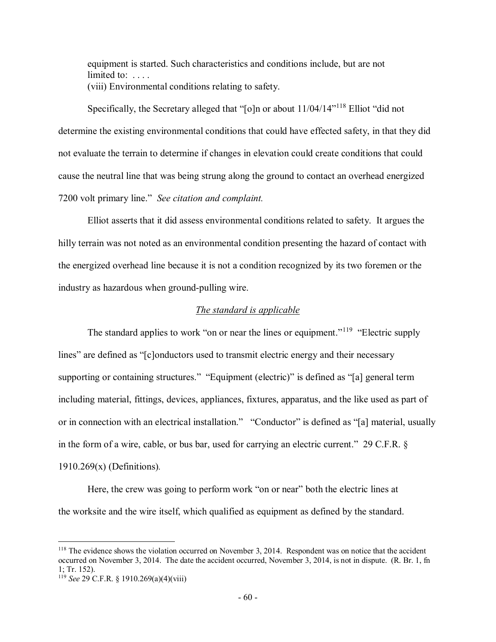equipment is started. Such characteristics and conditions include, but are not limited to: .... (viii) Environmental conditions relating to safety.

Specifically, the Secretary alleged that "[o]n or about  $11/04/14"^{118}$  $11/04/14"^{118}$  $11/04/14"^{118}$  Elliot "did not determine the existing environmental conditions that could have effected safety, in that they did not evaluate the terrain to determine if changes in elevation could create conditions that could cause the neutral line that was being strung along the ground to contact an overhead energized 7200 volt primary line." *See citation and complaint.* 

Elliot asserts that it did assess environmental conditions related to safety. It argues the hilly terrain was not noted as an environmental condition presenting the hazard of contact with the energized overhead line because it is not a condition recognized by its two foremen or the industry as hazardous when ground-pulling wire.

### *The standard is applicable*

The standard applies to work "on or near the lines or equipment."<sup>[119](#page-59-1)</sup> "Electric supply lines" are defined as "[c]onductors used to transmit electric energy and their necessary supporting or containing structures." "Equipment (electric)" is defined as "[a] general term including material, fittings, devices, appliances, fixtures, apparatus, and the like used as part of or in connection with an electrical installation." "Conductor" is defined as "[a] material, usually in the form of a wire, cable, or bus bar, used for carrying an electric current." 29 C.F.R. § 1910.269(x) (Definitions)*.* 

Here, the crew was going to perform work "on or near" both the electric lines at the worksite and the wire itself, which qualified as equipment as defined by the standard.

<span id="page-59-0"></span><sup>&</sup>lt;sup>118</sup> The evidence shows the violation occurred on November 3, 2014. Respondent was on notice that the accident occurred on November 3, 2014. The date the accident occurred, November 3, 2014, is not in dispute. (R. Br. 1, fn 1; Tr. 152).

<span id="page-59-1"></span><sup>119</sup> *See* 29 C.F.R. § 1910.269(a)(4)(viii)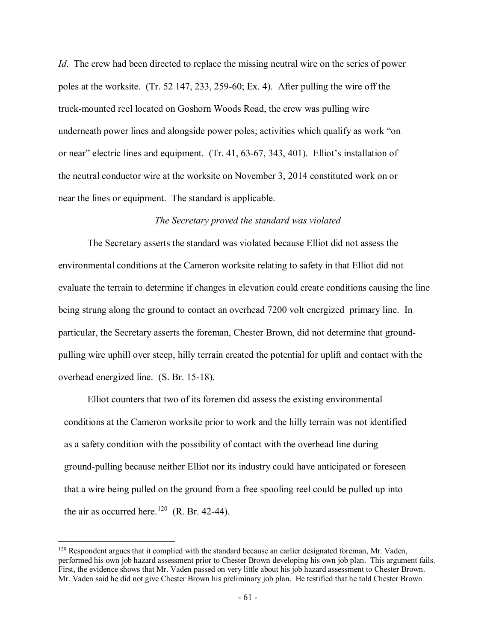*Id*. The crew had been directed to replace the missing neutral wire on the series of power poles at the worksite. (Tr. 52 147, 233, 259-60; Ex. 4). After pulling the wire off the truck-mounted reel located on Goshorn Woods Road, the crew was pulling wire underneath power lines and alongside power poles; activities which qualify as work "on or near" electric lines and equipment. (Tr. 41, 63-67, 343, 401). Elliot's installation of the neutral conductor wire at the worksite on November 3, 2014 constituted work on or near the lines or equipment. The standard is applicable.

#### *The Secretary proved the standard was violated*

The Secretary asserts the standard was violated because Elliot did not assess the environmental conditions at the Cameron worksite relating to safety in that Elliot did not evaluate the terrain to determine if changes in elevation could create conditions causing the line being strung along the ground to contact an overhead 7200 volt energized primary line. In particular, the Secretary asserts the foreman, Chester Brown, did not determine that groundpulling wire uphill over steep, hilly terrain created the potential for uplift and contact with the overhead energized line. (S. Br. 15-18).

Elliot counters that two of its foremen did assess the existing environmental conditions at the Cameron worksite prior to work and the hilly terrain was not identified as a safety condition with the possibility of contact with the overhead line during ground-pulling because neither Elliot nor its industry could have anticipated or foreseen that a wire being pulled on the ground from a free spooling reel could be pulled up into the air as occurred here.<sup>120</sup> (R. Br. 42-44).

<span id="page-60-0"></span> $120$  Respondent argues that it complied with the standard because an earlier designated foreman, Mr. Vaden, performed his own job hazard assessment prior to Chester Brown developing his own job plan. This argument fails. First, the evidence shows that Mr. Vaden passed on very little about his job hazard assessment to Chester Brown. Mr. Vaden said he did not give Chester Brown his preliminary job plan. He testified that he told Chester Brown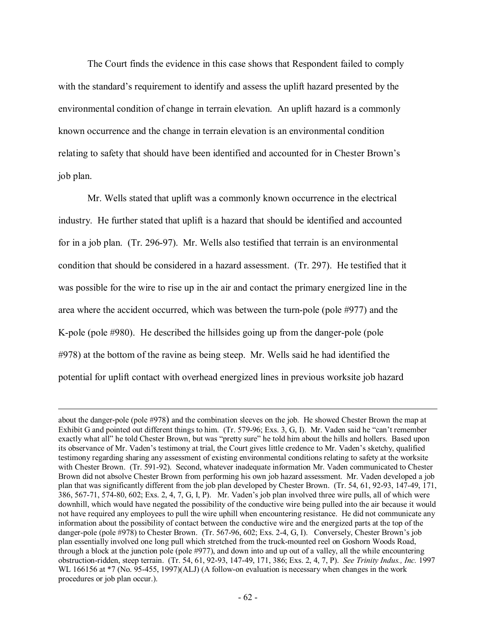The Court finds the evidence in this case shows that Respondent failed to comply with the standard's requirement to identify and assess the uplift hazard presented by the environmental condition of change in terrain elevation. An uplift hazard is a commonly known occurrence and the change in terrain elevation is an environmental condition relating to safety that should have been identified and accounted for in Chester Brown's job plan.

Mr. Wells stated that uplift was a commonly known occurrence in the electrical industry. He further stated that uplift is a hazard that should be identified and accounted for in a job plan. (Tr. 296-97). Mr. Wells also testified that terrain is an environmental condition that should be considered in a hazard assessment. (Tr. 297). He testified that it was possible for the wire to rise up in the air and contact the primary energized line in the area where the accident occurred, which was between the turn-pole (pole #977) and the K-pole (pole #980). He described the hillsides going up from the danger-pole (pole #978) at the bottom of the ravine as being steep. Mr. Wells said he had identified the potential for uplift contact with overhead energized lines in previous worksite job hazard

about the danger-pole (pole #978) and the combination sleeves on the job. He showed Chester Brown the map at Exhibit G and pointed out different things to him. (Tr. 579-96; Exs. 3, G, I). Mr. Vaden said he "can't remember exactly what all" he told Chester Brown, but was "pretty sure" he told him about the hills and hollers. Based upon its observance of Mr. Vaden's testimony at trial, the Court gives little credence to Mr. Vaden's sketchy, qualified testimony regarding sharing any assessment of existing environmental conditions relating to safety at the worksite with Chester Brown. (Tr. 591-92). Second, whatever inadequate information Mr. Vaden communicated to Chester Brown did not absolve Chester Brown from performing his own job hazard assessment. Mr. Vaden developed a job plan that was significantly different from the job plan developed by Chester Brown. (Tr. 54, 61, 92-93, 147-49, 171, 386, 567-71, 574-80, 602; Exs. 2, 4, 7, G, I, P). Mr. Vaden's job plan involved three wire pulls, all of which were downhill, which would have negated the possibility of the conductive wire being pulled into the air because it would not have required any employees to pull the wire uphill when encountering resistance. He did not communicate any information about the possibility of contact between the conductive wire and the energized parts at the top of the danger-pole (pole #978) to Chester Brown. (Tr. 567-96, 602; Exs. 2-4, G, I). Conversely, Chester Brown's job plan essentially involved one long pull which stretched from the truck-mounted reel on Goshorn Woods Road, through a block at the junction pole (pole #977), and down into and up out of a valley, all the while encountering obstruction-ridden, steep terrain. (Tr. 54, 61, 92-93, 147-49, 171, 386; Exs. 2, 4, 7, P). *See Trinity Indus., Inc.* 1997 WL 166156 at \*7 (No. 95-455, 1997)(ALJ) (A follow-on evaluation is necessary when changes in the work procedures or job plan occur.).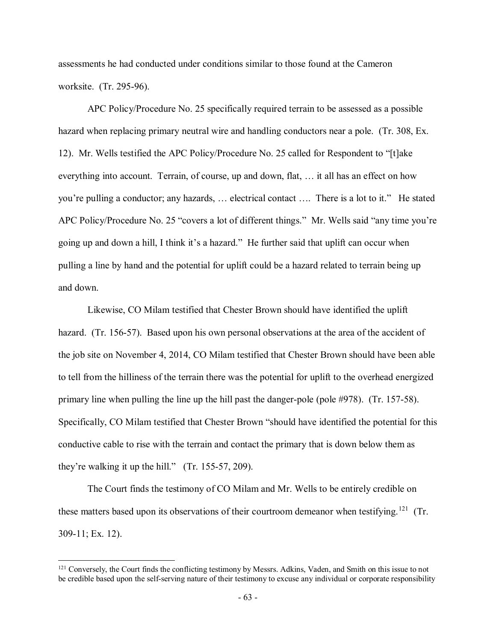assessments he had conducted under conditions similar to those found at the Cameron worksite. (Tr. 295-96).

APC Policy/Procedure No. 25 specifically required terrain to be assessed as a possible hazard when replacing primary neutral wire and handling conductors near a pole. (Tr. 308, Ex. 12). Mr. Wells testified the APC Policy/Procedure No. 25 called for Respondent to "[t]ake everything into account. Terrain, of course, up and down, flat, … it all has an effect on how you're pulling a conductor; any hazards, … electrical contact …. There is a lot to it." He stated APC Policy/Procedure No. 25 "covers a lot of different things." Mr. Wells said "any time you're going up and down a hill, I think it's a hazard." He further said that uplift can occur when pulling a line by hand and the potential for uplift could be a hazard related to terrain being up and down.

Likewise, CO Milam testified that Chester Brown should have identified the uplift hazard. (Tr. 156-57). Based upon his own personal observations at the area of the accident of the job site on November 4, 2014, CO Milam testified that Chester Brown should have been able to tell from the hilliness of the terrain there was the potential for uplift to the overhead energized primary line when pulling the line up the hill past the danger-pole (pole #978). (Tr. 157-58). Specifically, CO Milam testified that Chester Brown "should have identified the potential for this conductive cable to rise with the terrain and contact the primary that is down below them as they're walking it up the hill." (Tr. 155-57, 209).

The Court finds the testimony of CO Milam and Mr. Wells to be entirely credible on these matters based upon its observations of their courtroom demeanor when testifying.<sup>[121](#page-62-0)</sup> (Tr. 309-11; Ex. 12).

<span id="page-62-0"></span><sup>&</sup>lt;sup>121</sup> Conversely, the Court finds the conflicting testimony by Messrs. Adkins, Vaden, and Smith on this issue to not be credible based upon the self-serving nature of their testimony to excuse any individual or corporate responsibility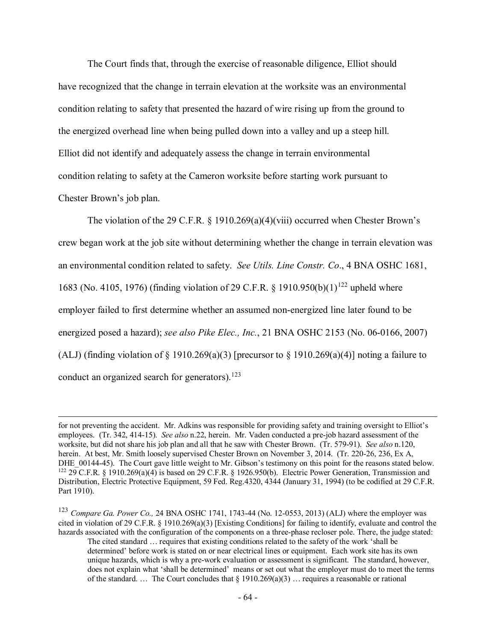The Court finds that, through the exercise of reasonable diligence, Elliot should have recognized that the change in terrain elevation at the worksite was an environmental condition relating to safety that presented the hazard of wire rising up from the ground to the energized overhead line when being pulled down into a valley and up a steep hill. Elliot did not identify and adequately assess the change in terrain environmental condition relating to safety at the Cameron worksite before starting work pursuant to Chester Brown's job plan.

The violation of the 29 C.F.R. § 1910.269(a)(4)(viii) occurred when Chester Brown's crew began work at the job site without determining whether the change in terrain elevation was an environmental condition related to safety. *See Utils. Line Constr. Co*., 4 BNA OSHC 1681, 1683 (No. 4105, 1976) (finding violation of 29 C.F.R. § 1910.950(b)(1)<sup>[122](#page-63-0)</sup> upheld where employer failed to first determine whether an assumed non-energized line later found to be energized posed a hazard); *see also Pike Elec., Inc.*, 21 BNA OSHC 2153 (No. 06-0166, 2007) (ALJ) (finding violation of  $\S$  1910.269(a)(3) [precursor to  $\S$  1910.269(a)(4)] noting a failure to conduct an organized search for generators).<sup>[123](#page-63-1)</sup>

for not preventing the accident. Mr. Adkins was responsible for providing safety and training oversight to Elliot's employees. (Tr. 342, 414-15). *See also* n.22, herein. Mr. Vaden conducted a pre-job hazard assessment of the worksite, but did not share his job plan and all that he saw with Chester Brown. (Tr. 579-91). *See also* n.120, herein. At best, Mr. Smith loosely supervised Chester Brown on November 3, 2014. (Tr. 220-26, 236, Ex A, DHE\_00144-45). The Court gave little weight to Mr. Gibson's testimony on this point for the reasons stated below.  $122$  29 C.F.R. § 1910.269(a)(4) is based on 29 C.F.R. § 1926.950(b). Electric Power Generation, Transmission and Distribution, Electric Protective Equipment, 59 Fed. Reg.4320, 4344 (January 31, 1994) (to be codified at 29 C.F.R. Part 1910).

<span id="page-63-1"></span><span id="page-63-0"></span><sup>123</sup> *Compare Ga. Power Co.,* 24 BNA OSHC 1741, 1743-44 (No. 12-0553, 2013) (ALJ) where the employer was cited in violation of 29 C.F.R. § 1910.269(a)(3) [Existing Conditions] for failing to identify, evaluate and control the hazards associated with the configuration of the components on a three-phase recloser pole. There, the judge stated:

The cited standard … requires that existing conditions related to the safety of the work 'shall be determined' before work is stated on or near electrical lines or equipment. Each work site has its own unique hazards, which is why a pre-work evaluation or assessment is significant. The standard, however, does not explain what 'shall be determined' means or set out what the employer must do to meet the terms of the standard. ... The Court concludes that  $\S 1910.269(a)(3)$  ... requires a reasonable or rational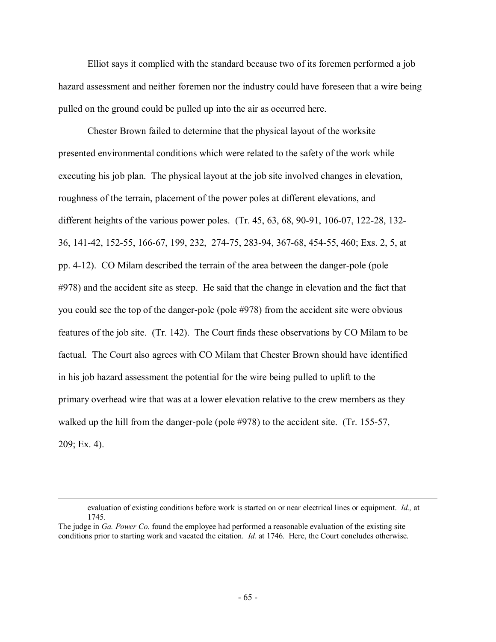Elliot says it complied with the standard because two of its foremen performed a job hazard assessment and neither foremen nor the industry could have foreseen that a wire being pulled on the ground could be pulled up into the air as occurred here.

Chester Brown failed to determine that the physical layout of the worksite presented environmental conditions which were related to the safety of the work while executing his job plan. The physical layout at the job site involved changes in elevation, roughness of the terrain, placement of the power poles at different elevations, and different heights of the various power poles. (Tr. 45, 63, 68, 90-91, 106-07, 122-28, 132- 36, 141-42, 152-55, 166-67, 199, 232, 274-75, 283-94, 367-68, 454-55, 460; Exs. 2, 5, at pp. 4-12). CO Milam described the terrain of the area between the danger-pole (pole #978) and the accident site as steep. He said that the change in elevation and the fact that you could see the top of the danger-pole (pole #978) from the accident site were obvious features of the job site. (Tr. 142). The Court finds these observations by CO Milam to be factual. The Court also agrees with CO Milam that Chester Brown should have identified in his job hazard assessment the potential for the wire being pulled to uplift to the primary overhead wire that was at a lower elevation relative to the crew members as they walked up the hill from the danger-pole (pole #978) to the accident site. (Tr. 155-57, 209; Ex. 4).

evaluation of existing conditions before work is started on or near electrical lines or equipment. *Id.,* at 1745.

The judge in *Ga. Power Co.* found the employee had performed a reasonable evaluation of the existing site conditions prior to starting work and vacated the citation. *Id.* at 1746*.* Here, the Court concludes otherwise.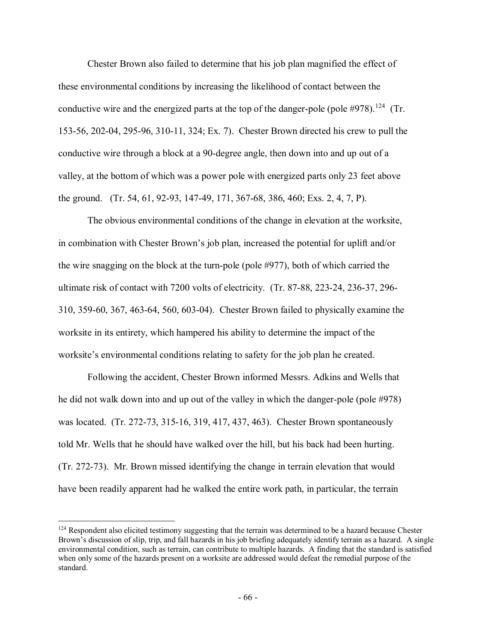Chester Brown also failed to determine that his job plan magnified the effect of these environmental conditions by increasing the likelihood of contact between the conductive wire and the energized parts at the top of the danger-pole (pole  $\#978$ ).<sup>124</sup> (Tr. 153-56, 202-04, 295-96, 310-11, 324; Ex. 7). Chester Brown directed his crew to pull the conductive wire through a block at a 90-degree angle, then down into and up out of a valley, at the bottom of which was a power pole with energized parts only 23 feet above the ground. (Tr. 54, 61, 92-93, 147-49, 171, 367-68, 386, 460; Exs. 2, 4, 7, P).

The obvious environmental conditions of the change in elevation at the worksite, in combination with Chester Brown's job plan, increased the potential for uplift and/or the wire snagging on the block at the turn-pole (pole #977), both of which carried the ultimate risk of contact with 7200 volts of electricity. (Tr. 87-88, 223-24, 236-37, 296- 310, 359-60, 367, 463-64, 560, 603-04). Chester Brown failed to physically examine the worksite in its entirety, which hampered his ability to determine the impact of the worksite's environmental conditions relating to safety for the job plan he created.

Following the accident, Chester Brown informed Messrs. Adkins and Wells that he did not walk down into and up out of the valley in which the danger-pole (pole #978) was located. (Tr. 272-73, 315-16, 319, 417, 437, 463). Chester Brown spontaneously told Mr. Wells that he should have walked over the hill, but his back had been hurting. (Tr. 272-73). Mr. Brown missed identifying the change in terrain elevation that would have been readily apparent had he walked the entire work path, in particular, the terrain

<span id="page-65-0"></span> $124$  Respondent also elicited testimony suggesting that the terrain was determined to be a hazard because Chester Brown's discussion of slip, trip, and fall hazards in his job briefing adequately identify terrain as a hazard. A single environmental condition, such as terrain, can contribute to multiple hazards. A finding that the standard is satisfied when only some of the hazards present on a worksite are addressed would defeat the remedial purpose of the standard.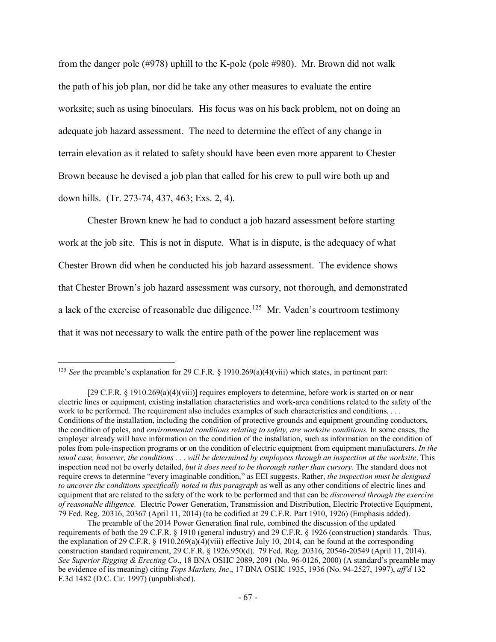from the danger pole (#978) uphill to the K-pole (pole #980). Mr. Brown did not walk the path of his job plan, nor did he take any other measures to evaluate the entire worksite; such as using binoculars. His focus was on his back problem, not on doing an adequate job hazard assessment. The need to determine the effect of any change in terrain elevation as it related to safety should have been even more apparent to Chester Brown because he devised a job plan that called for his crew to pull wire both up and down hills. (Tr. 273-74, 437, 463; Exs. 2, 4).

Chester Brown knew he had to conduct a job hazard assessment before starting work at the job site. This is not in dispute. What is in dispute, is the adequacy of what Chester Brown did when he conducted his job hazard assessment. The evidence shows that Chester Brown's job hazard assessment was cursory, not thorough, and demonstrated a lack of the exercise of reasonable due diligence.<sup>125</sup> Mr. Vaden's courtroom testimony that it was not necessary to walk the entire path of the power line replacement was

<span id="page-66-0"></span><sup>&</sup>lt;sup>125</sup> *See* the preamble's explanation for 29 C.F.R.  $\S$  1910.269(a)(4)(viii) which states, in pertinent part:

<sup>[29</sup> C.F.R. § 1910.269(a)(4)(viii)] requires employers to determine, before work is started on or near electric lines or equipment, existing installation characteristics and work-area conditions related to the safety of the work to be performed. The requirement also includes examples of such characteristics and conditions. . . . Conditions of the installation, including the condition of protective grounds and equipment grounding conductors, the condition of poles, and *environmental conditions relating to safety, are worksite conditions.* In some cases, the employer already will have information on the condition of the installation, such as information on the condition of poles from pole-inspection programs or on the condition of electric equipment from equipment manufacturers. *In the usual case, however, the conditions . . . will be determined by employees through an inspection at the worksite*. This inspection need not be overly detailed, *but it does need to be thorough rather than cursory.* The standard does not require crews to determine "every imaginable condition," as EEI suggests. Rather, *the inspection must be designed to uncover the conditions specifically noted in this paragraph* as well as any other conditions of electric lines and equipment that are related to the safety of the work to be performed and that can be *discovered through the exercise of reasonable diligence.* Electric Power Generation, Transmission and Distribution, Electric Protective Equipment, 79 Fed. Reg. 20316, 20367 (April 11, 2014) (to be codified at 29 C.F.R. Part 1910, 1926) (Emphasis added).

The preamble of the 2014 Power Generation final rule, combined the discussion of the updated requirements of both the 29 C.F.R. § 1910 (general industry) and 29 C.F.R. § 1926 (construction) standards. Thus, the explanation of 29 C.F.R. § 1910.269(a)(4)(viii) effective July 10, 2014, can be found at the corresponding construction standard requirement, 29 C.F.R. § 1926.950(d). 79 Fed. Reg. 20316, 20546-20549 (April 11, 2014). *See Superior Rigging & Erecting Co*., 18 BNA OSHC 2089, 2091 (No. 96-0126, 2000) (A standard's preamble may be evidence of its meaning) citing *Tops Markets, Inc*., 17 BNA OSHC 1935, 1936 (No. 94-2527, 1997), *aff'd* 132 F.3d 1482 (D.C. Cir. 1997) (unpublished).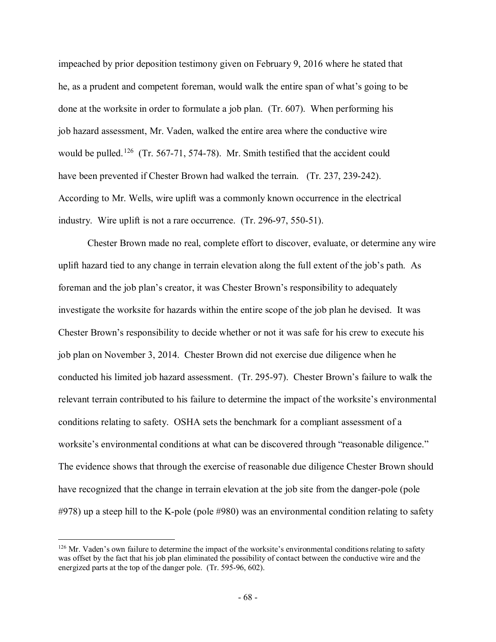impeached by prior deposition testimony given on February 9, 2016 where he stated that he, as a prudent and competent foreman, would walk the entire span of what's going to be done at the worksite in order to formulate a job plan. (Tr. 607). When performing his job hazard assessment, Mr. Vaden, walked the entire area where the conductive wire would be pulled.<sup>[126](#page-67-0)</sup> (Tr. 567-71, 574-78). Mr. Smith testified that the accident could have been prevented if Chester Brown had walked the terrain. (Tr. 237, 239-242). According to Mr. Wells, wire uplift was a commonly known occurrence in the electrical industry. Wire uplift is not a rare occurrence. (Tr. 296-97, 550-51).

Chester Brown made no real, complete effort to discover, evaluate, or determine any wire uplift hazard tied to any change in terrain elevation along the full extent of the job's path. As foreman and the job plan's creator, it was Chester Brown's responsibility to adequately investigate the worksite for hazards within the entire scope of the job plan he devised. It was Chester Brown's responsibility to decide whether or not it was safe for his crew to execute his job plan on November 3, 2014. Chester Brown did not exercise due diligence when he conducted his limited job hazard assessment. (Tr. 295-97). Chester Brown's failure to walk the relevant terrain contributed to his failure to determine the impact of the worksite's environmental conditions relating to safety. OSHA sets the benchmark for a compliant assessment of a worksite's environmental conditions at what can be discovered through "reasonable diligence." The evidence shows that through the exercise of reasonable due diligence Chester Brown should have recognized that the change in terrain elevation at the job site from the danger-pole (pole #978) up a steep hill to the K-pole (pole #980) was an environmental condition relating to safety

<span id="page-67-0"></span> $126$  Mr. Vaden's own failure to determine the impact of the worksite's environmental conditions relating to safety was offset by the fact that his job plan eliminated the possibility of contact between the conductive wire and the energized parts at the top of the danger pole. (Tr. 595-96, 602).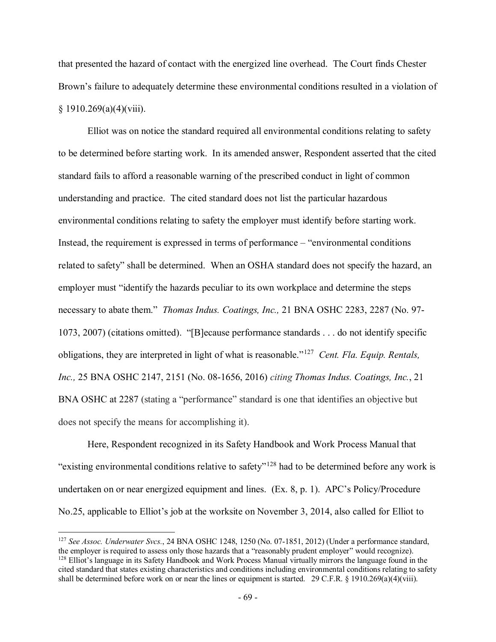that presented the hazard of contact with the energized line overhead. The Court finds Chester Brown's failure to adequately determine these environmental conditions resulted in a violation of  $§ 1910.269(a)(4)(viii).$ 

Elliot was on notice the standard required all environmental conditions relating to safety to be determined before starting work. In its amended answer, Respondent asserted that the cited standard fails to afford a reasonable warning of the prescribed conduct in light of common understanding and practice. The cited standard does not list the particular hazardous environmental conditions relating to safety the employer must identify before starting work. Instead, the requirement is expressed in terms of performance – "environmental conditions related to safety" shall be determined. When an OSHA standard does not specify the hazard, an employer must "identify the hazards peculiar to its own workplace and determine the steps necessary to abate them." *Thomas Indus. Coatings, Inc.,* 21 BNA OSHC 2283, 2287 (No. 97- 1073, 2007) (citations omitted). "[B]ecause performance standards . . . do not identify specific obligations, they are interpreted in light of what is reasonable."[127](#page-68-0) *Cent. Fla. Equip. Rentals, Inc.,* 25 BNA OSHC 2147, 2151 (No. 08-1656, 2016) *citing Thomas Indus. Coatings, Inc.*, 21 BNA OSHC at 2287 (stating a "performance" standard is one that identifies an objective but does not specify the means for accomplishing it).

Here, Respondent recognized in its Safety Handbook and Work Process Manual that "existing environmental conditions relative to safety"[128](#page-68-1) had to be determined before any work is undertaken on or near energized equipment and lines. (Ex. 8, p. 1). APC's Policy/Procedure No.25, applicable to Elliot's job at the worksite on November 3, 2014, also called for Elliot to

<span id="page-68-1"></span><span id="page-68-0"></span><sup>127</sup> *See Assoc. Underwater Svcs.*, 24 BNA OSHC 1248, 1250 (No. 07-1851, 2012) (Under a performance standard, the employer is required to assess only those hazards that a "reasonably prudent employer" would recognize). <sup>128</sup> Elliot's language in its Safety Handbook and Work Process Manual virtually mirrors the language found in the cited standard that states existing characteristics and conditions including environmental conditions relating to safety shall be determined before work on or near the lines or equipment is started. 29 C.F.R. § 1910.269(a)(4)(viii).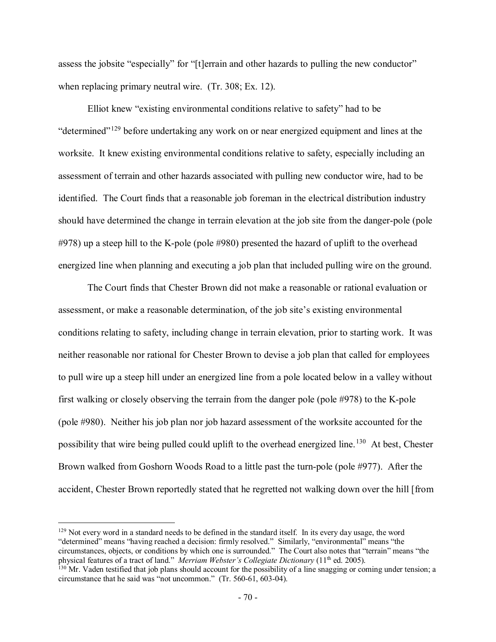assess the jobsite "especially" for "[t]errain and other hazards to pulling the new conductor" when replacing primary neutral wire. (Tr. 308; Ex. 12).

Elliot knew "existing environmental conditions relative to safety" had to be "determined"<sup>[129](#page-69-0)</sup> before undertaking any work on or near energized equipment and lines at the worksite. It knew existing environmental conditions relative to safety, especially including an assessment of terrain and other hazards associated with pulling new conductor wire, had to be identified. The Court finds that a reasonable job foreman in the electrical distribution industry should have determined the change in terrain elevation at the job site from the danger-pole (pole #978) up a steep hill to the K-pole (pole #980) presented the hazard of uplift to the overhead energized line when planning and executing a job plan that included pulling wire on the ground.

The Court finds that Chester Brown did not make a reasonable or rational evaluation or assessment, or make a reasonable determination, of the job site's existing environmental conditions relating to safety, including change in terrain elevation, prior to starting work. It was neither reasonable nor rational for Chester Brown to devise a job plan that called for employees to pull wire up a steep hill under an energized line from a pole located below in a valley without first walking or closely observing the terrain from the danger pole (pole #978) to the K-pole (pole #980). Neither his job plan nor job hazard assessment of the worksite accounted for the possibility that wire being pulled could uplift to the overhead energized line.<sup>130</sup> At best, Chester Brown walked from Goshorn Woods Road to a little past the turn-pole (pole #977). After the accident, Chester Brown reportedly stated that he regretted not walking down over the hill [from

<span id="page-69-0"></span><sup>&</sup>lt;sup>129</sup> Not every word in a standard needs to be defined in the standard itself. In its every day usage, the word "determined" means "having reached a decision: firmly resolved." Similarly, "environmental" means "the circumstances, objects, or conditions by which one is surrounded." The Court also notes that "terrain" means "the physical features of a tract of land." *Merriam Webster's Collegiate Dictionary* (11<sup>th</sup> ed. 2005).

<span id="page-69-1"></span> $\frac{130}{130}$  Mr. Vaden testified that job plans should account for the possibility of a line snagging or coming under tension; a circumstance that he said was "not uncommon." (Tr. 560-61, 603-04).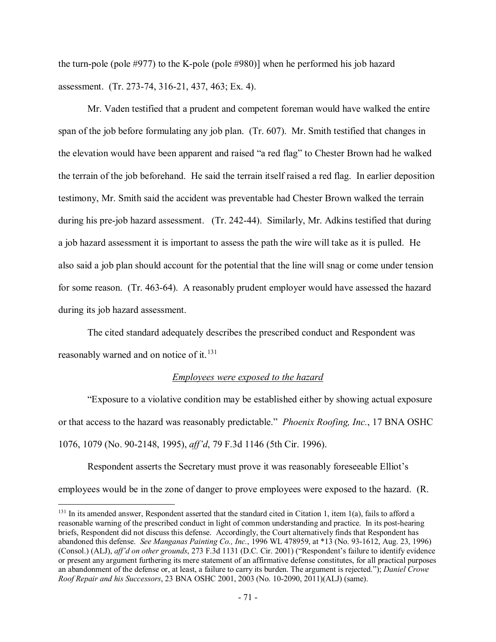the turn-pole (pole #977) to the K-pole (pole #980)] when he performed his job hazard assessment. (Tr. 273-74, 316-21, 437, 463; Ex. 4).

Mr. Vaden testified that a prudent and competent foreman would have walked the entire span of the job before formulating any job plan. (Tr. 607). Mr. Smith testified that changes in the elevation would have been apparent and raised "a red flag" to Chester Brown had he walked the terrain of the job beforehand. He said the terrain itself raised a red flag. In earlier deposition testimony, Mr. Smith said the accident was preventable had Chester Brown walked the terrain during his pre-job hazard assessment. (Tr. 242-44). Similarly, Mr. Adkins testified that during a job hazard assessment it is important to assess the path the wire will take as it is pulled. He also said a job plan should account for the potential that the line will snag or come under tension for some reason. (Tr. 463-64). A reasonably prudent employer would have assessed the hazard during its job hazard assessment.

The cited standard adequately describes the prescribed conduct and Respondent was reasonably warned and on notice of it. $^{131}$  $^{131}$  $^{131}$ 

### *Employees were exposed to the hazard*

 "Exposure to a violative condition may be established either by showing actual exposure or that access to the hazard was reasonably predictable." *Phoenix Roofing, Inc.*, 17 BNA OSHC 1076, 1079 (No. 90-2148, 1995), *aff'd*, 79 F.3d 1146 (5th Cir. 1996).

Respondent asserts the Secretary must prove it was reasonably foreseeable Elliot's employees would be in the zone of danger to prove employees were exposed to the hazard. (R.

<span id="page-70-0"></span><sup>&</sup>lt;sup>131</sup> In its amended answer, Respondent asserted that the standard cited in Citation 1, item 1(a), fails to afford a reasonable warning of the prescribed conduct in light of common understanding and practice. In its post-hearing briefs, Respondent did not discuss this defense. Accordingly, the Court alternatively finds that Respondent has abandoned this defense. *See Manganas Painting Co., Inc.*, 1996 WL 478959, at \*13 (No. 93-1612, Aug. 23, 1996) (Consol.) (ALJ), *aff'd on other grounds*, 273 F.3d 1131 (D.C. Cir. 2001) ("Respondent's failure to identify evidence or present any argument furthering its mere statement of an affirmative defense constitutes, for all practical purposes an abandonment of the defense or, at least, a failure to carry its burden. The argument is rejected."); *Daniel Crowe Roof Repair and his Successors*, 23 BNA OSHC 2001, 2003 (No. 10-2090, 2011)(ALJ) (same).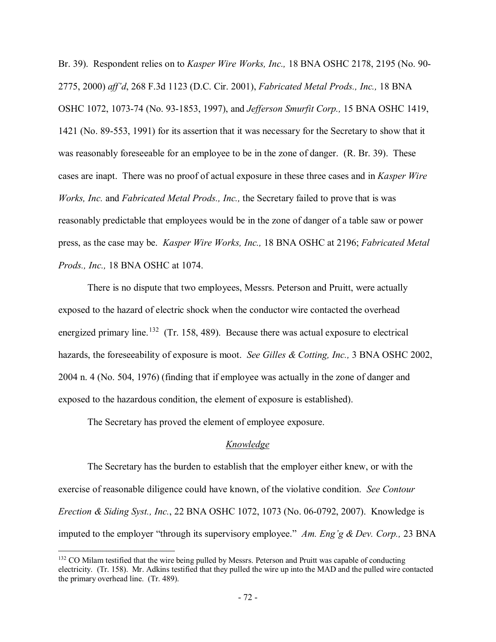Br. 39). Respondent relies on to *Kasper Wire Works, Inc.,* 18 BNA OSHC 2178, 2195 (No. 90- 2775, 2000) *aff'd*, 268 F.3d 1123 (D.C. Cir. 2001), *Fabricated Metal Prods., Inc.,* 18 BNA OSHC 1072, 1073-74 (No. 93-1853, 1997), and *Jefferson Smurfit Corp.,* 15 BNA OSHC 1419, 1421 (No. 89-553, 1991) for its assertion that it was necessary for the Secretary to show that it was reasonably foreseeable for an employee to be in the zone of danger. (R. Br. 39). These cases are inapt. There was no proof of actual exposure in these three cases and in *Kasper Wire Works, Inc.* and *Fabricated Metal Prods., Inc.,* the Secretary failed to prove that is was reasonably predictable that employees would be in the zone of danger of a table saw or power press, as the case may be. *Kasper Wire Works, Inc.,* 18 BNA OSHC at 2196; *Fabricated Metal Prods., Inc.,* 18 BNA OSHC at 1074.

There is no dispute that two employees, Messrs. Peterson and Pruitt, were actually exposed to the hazard of electric shock when the conductor wire contacted the overhead energized primary line.<sup>[132](#page-71-0)</sup> (Tr. 158, 489). Because there was actual exposure to electrical hazards, the foreseeability of exposure is moot. *See Gilles & Cotting, Inc.,* 3 BNA OSHC 2002, 2004 n. 4 (No. 504, 1976) (finding that if employee was actually in the zone of danger and exposed to the hazardous condition, the element of exposure is established).

The Secretary has proved the element of employee exposure.

 $\overline{a}$ 

### *Knowledge*

The Secretary has the burden to establish that the employer either knew, or with the exercise of reasonable diligence could have known, of the violative condition. *See Contour Erection & Siding Syst., Inc.*, 22 BNA OSHC 1072, 1073 (No. 06-0792, 2007). Knowledge is imputed to the employer "through its supervisory employee." *Am. Eng'g & Dev. Corp.,* 23 BNA

<span id="page-71-0"></span><sup>&</sup>lt;sup>132</sup> CO Milam testified that the wire being pulled by Messrs. Peterson and Pruitt was capable of conducting electricity. (Tr. 158). Mr. Adkins testified that they pulled the wire up into the MAD and the pulled wire contacted the primary overhead line. (Tr. 489).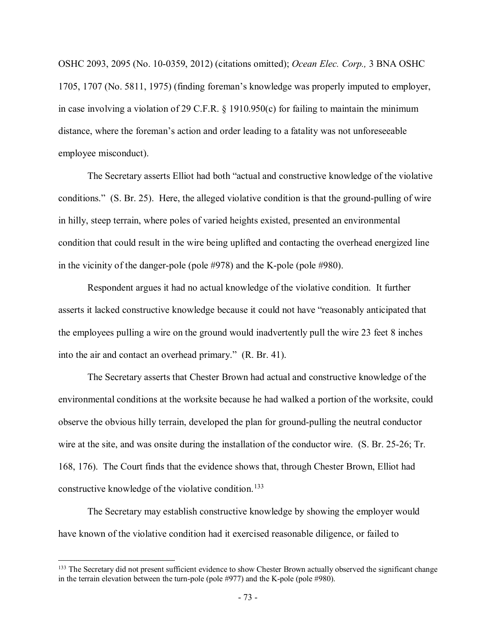OSHC 2093, 2095 (No. 10-0359, 2012) (citations omitted); *Ocean Elec. Corp.,* 3 BNA OSHC 1705, 1707 (No. 5811, 1975) (finding foreman's knowledge was properly imputed to employer, in case involving a violation of 29 C.F.R. § 1910.950(c) for failing to maintain the minimum distance, where the foreman's action and order leading to a fatality was not unforeseeable employee misconduct).

The Secretary asserts Elliot had both "actual and constructive knowledge of the violative conditions." (S. Br. 25). Here, the alleged violative condition is that the ground-pulling of wire in hilly, steep terrain, where poles of varied heights existed, presented an environmental condition that could result in the wire being uplifted and contacting the overhead energized line in the vicinity of the danger-pole (pole #978) and the K-pole (pole #980).

Respondent argues it had no actual knowledge of the violative condition. It further asserts it lacked constructive knowledge because it could not have "reasonably anticipated that the employees pulling a wire on the ground would inadvertently pull the wire 23 feet 8 inches into the air and contact an overhead primary." (R. Br. 41).

The Secretary asserts that Chester Brown had actual and constructive knowledge of the environmental conditions at the worksite because he had walked a portion of the worksite, could observe the obvious hilly terrain, developed the plan for ground-pulling the neutral conductor wire at the site, and was onsite during the installation of the conductor wire. (S. Br. 25-26; Tr. 168, 176). The Court finds that the evidence shows that, through Chester Brown, Elliot had constructive knowledge of the violative condition.<sup>133</sup>

The Secretary may establish constructive knowledge by showing the employer would have known of the violative condition had it exercised reasonable diligence, or failed to

<span id="page-72-0"></span><sup>&</sup>lt;sup>133</sup> The Secretary did not present sufficient evidence to show Chester Brown actually observed the significant change in the terrain elevation between the turn-pole (pole #977) and the K-pole (pole #980).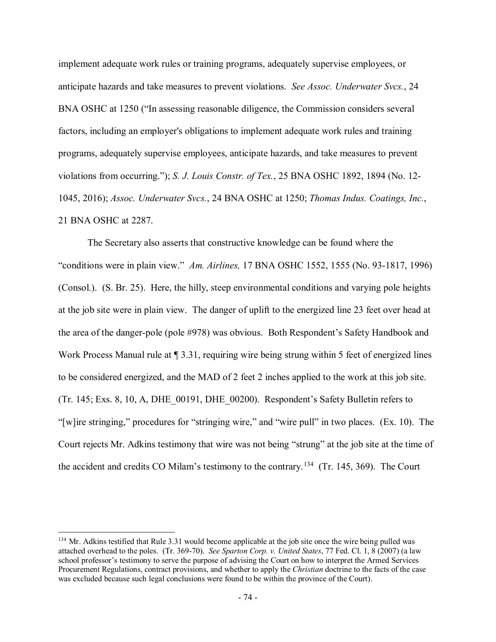implement adequate work rules or training programs, adequately supervise employees, or anticipate hazards and take measures to prevent violations. *See Assoc. Underwater Svcs.*, 24 BNA OSHC at 1250 ("In assessing reasonable diligence, the Commission considers several factors, including an employer's obligations to implement adequate work rules and training programs, adequately supervise employees, anticipate hazards, and take measures to prevent violations from occurring."); *S. J. Louis Constr. of Tex.*, 25 BNA OSHC 1892, 1894 (No. 12- 1045, 2016); *Assoc. Underwater Svcs.*, 24 BNA OSHC at 1250; *Thomas Indus. Coatings, Inc.*, 21 BNA OSHC at 2287.

The Secretary also asserts that constructive knowledge can be found where the "conditions were in plain view." *Am. Airlines,* 17 BNA OSHC 1552, 1555 (No. 93-1817, 1996) (Consol.). (S. Br. 25). Here, the hilly, steep environmental conditions and varying pole heights at the job site were in plain view. The danger of uplift to the energized line 23 feet over head at the area of the danger-pole (pole #978) was obvious. Both Respondent's Safety Handbook and Work Process Manual rule at  $\sqrt{3.31}$ , requiring wire being strung within 5 feet of energized lines to be considered energized, and the MAD of 2 feet 2 inches applied to the work at this job site. (Tr. 145; Exs. 8, 10, A, DHE\_00191, DHE\_00200). Respondent's Safety Bulletin refers to "[w]ire stringing," procedures for "stringing wire," and "wire pull" in two places. (Ex. 10). The Court rejects Mr. Adkins testimony that wire was not being "strung" at the job site at the time of the accident and credits CO Milam's testimony to the contrary.<sup>[134](#page-73-0)</sup> (Tr. 145, 369). The Court

<span id="page-73-0"></span><sup>&</sup>lt;sup>134</sup> Mr. Adkins testified that Rule 3.31 would become applicable at the job site once the wire being pulled was attached overhead to the poles. (Tr. 369-70). *See Sparton Corp. v. United States*, 77 Fed. Cl. 1, 8 (2007) (a law school professor's testimony to serve the purpose of advising the Court on how to interpret the Armed Services Procurement Regulations, contract provisions, and whether to apply the *Christian* doctrine to the facts of the case was excluded because such legal conclusions were found to be within the province of the Court).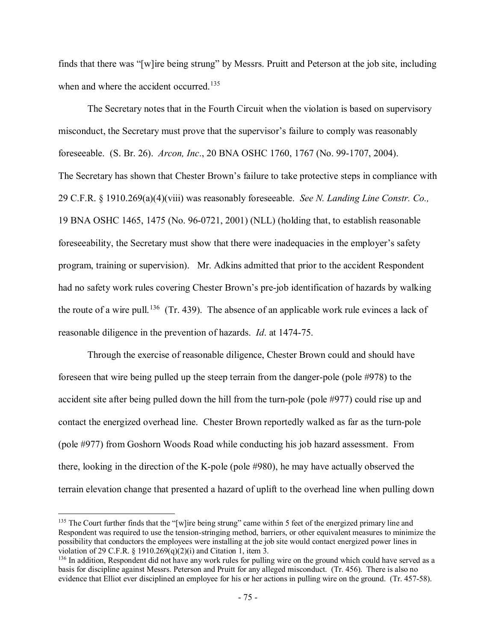finds that there was "[w]ire being strung" by Messrs. Pruitt and Peterson at the job site, including when and where the accident occurred.<sup>135</sup>

The Secretary notes that in the Fourth Circuit when the violation is based on supervisory misconduct, the Secretary must prove that the supervisor's failure to comply was reasonably foreseeable. (S. Br. 26). *Arcon, Inc*., 20 BNA OSHC 1760, 1767 (No. 99-1707, 2004). The Secretary has shown that Chester Brown's failure to take protective steps in compliance with 29 C.F.R. § 1910.269(a)(4)(viii) was reasonably foreseeable. *See N. Landing Line Constr. Co.,*  19 BNA OSHC 1465, 1475 (No. 96-0721, 2001) (NLL) (holding that, to establish reasonable foreseeability, the Secretary must show that there were inadequacies in the employer's safety program, training or supervision). Mr. Adkins admitted that prior to the accident Respondent had no safety work rules covering Chester Brown's pre-job identification of hazards by walking the route of a wire pull.<sup>[136](#page-74-1)</sup> (Tr. 439). The absence of an applicable work rule evinces a lack of reasonable diligence in the prevention of hazards. *Id*. at 1474-75.

Through the exercise of reasonable diligence, Chester Brown could and should have foreseen that wire being pulled up the steep terrain from the danger-pole (pole #978) to the accident site after being pulled down the hill from the turn-pole (pole #977) could rise up and contact the energized overhead line. Chester Brown reportedly walked as far as the turn-pole (pole #977) from Goshorn Woods Road while conducting his job hazard assessment. From there, looking in the direction of the K-pole (pole #980), he may have actually observed the terrain elevation change that presented a hazard of uplift to the overhead line when pulling down

<span id="page-74-0"></span><sup>&</sup>lt;sup>135</sup> The Court further finds that the "[w]ire being strung" came within 5 feet of the energized primary line and Respondent was required to use the tension-stringing method, barriers, or other equivalent measures to minimize the possibility that conductors the employees were installing at the job site would contact energized power lines in violation of 29 C.F.R. § 1910.269(q)(2)(i) and Citation 1, item 3.

<span id="page-74-1"></span><sup>&</sup>lt;sup>136</sup> In addition, Respondent did not have any work rules for pulling wire on the ground which could have served as a basis for discipline against Messrs. Peterson and Pruitt for any alleged misconduct. (Tr. 456). There is also no evidence that Elliot ever disciplined an employee for his or her actions in pulling wire on the ground. (Tr. 457-58).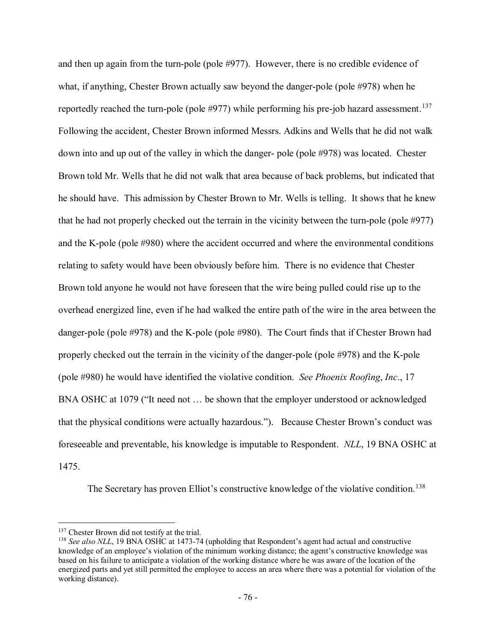and then up again from the turn-pole (pole #977). However, there is no credible evidence of what, if anything, Chester Brown actually saw beyond the danger-pole (pole #978) when he reportedly reached the turn-pole (pole #977) while performing his pre-job hazard assessment.<sup>[137](#page-75-0)</sup> Following the accident, Chester Brown informed Messrs. Adkins and Wells that he did not walk down into and up out of the valley in which the danger- pole (pole #978) was located. Chester Brown told Mr. Wells that he did not walk that area because of back problems, but indicated that he should have. This admission by Chester Brown to Mr. Wells is telling. It shows that he knew that he had not properly checked out the terrain in the vicinity between the turn-pole (pole #977) and the K-pole (pole #980) where the accident occurred and where the environmental conditions relating to safety would have been obviously before him. There is no evidence that Chester Brown told anyone he would not have foreseen that the wire being pulled could rise up to the overhead energized line, even if he had walked the entire path of the wire in the area between the danger-pole (pole #978) and the K-pole (pole #980). The Court finds that if Chester Brown had properly checked out the terrain in the vicinity of the danger-pole (pole #978) and the K-pole (pole #980) he would have identified the violative condition. *See Phoenix Roofing*, *Inc*., 17 BNA OSHC at 1079 ("It need not … be shown that the employer understood or acknowledged that the physical conditions were actually hazardous."). Because Chester Brown's conduct was foreseeable and preventable, his knowledge is imputable to Respondent. *NLL*, 19 BNA OSHC at 1475.

The Secretary has proven Elliot's constructive knowledge of the violative condition.<sup>[138](#page-75-1)</sup>

<sup>&</sup>lt;sup>137</sup> Chester Brown did not testify at the trial.

<span id="page-75-1"></span><span id="page-75-0"></span><sup>138</sup> *See also NLL*, 19 BNA OSHC at 1473-74 (upholding that Respondent's agent had actual and constructive knowledge of an employee's violation of the minimum working distance; the agent's constructive knowledge was based on his failure to anticipate a violation of the working distance where he was aware of the location of the energized parts and yet still permitted the employee to access an area where there was a potential for violation of the working distance).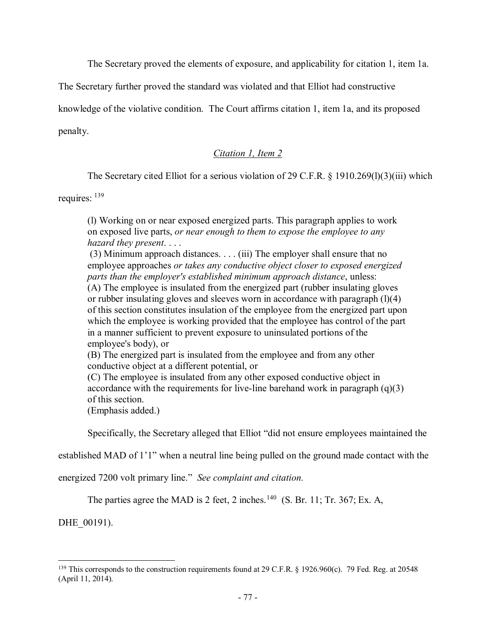The Secretary proved the elements of exposure, and applicability for citation 1, item 1a.

The Secretary further proved the standard was violated and that Elliot had constructive

knowledge of the violative condition. The Court affirms citation 1, item 1a, and its proposed

penalty.

# *Citation 1, Item 2*

The Secretary cited Elliot for a serious violation of 29 C.F.R. § 1910.269(1)(3)(iii) which

requires: [139](#page-76-0)

(l) Working on or near exposed energized parts. This paragraph applies to work on exposed live parts, *or near enough to them to expose the employee to any hazard they present*. . . .

(3) Minimum approach distances. . . . (iii) The employer shall ensure that no employee approaches *or takes any conductive object closer to exposed energized parts than the employer's established minimum approach distance*, unless: (A) The employee is insulated from the energized part (rubber insulating gloves or rubber insulating gloves and sleeves worn in accordance with paragraph  $(1)(4)$ of this section constitutes insulation of the employee from the energized part upon which the employee is working provided that the employee has control of the part in a manner sufficient to prevent exposure to uninsulated portions of the employee's body), or

(B) The energized part is insulated from the employee and from any other conductive object at a different potential, or

(C) The employee is insulated from any other exposed conductive object in accordance with the requirements for live-line barehand work in paragraph  $(q)(3)$ of this section.

(Emphasis added.)

Specifically, the Secretary alleged that Elliot "did not ensure employees maintained the

established MAD of 1'1" when a neutral line being pulled on the ground made contact with the

energized 7200 volt primary line." *See complaint and citation.* 

The parties agree the MAD is 2 feet, 2 inches.<sup>140</sup> (S. Br. 11; Tr. 367; Ex. A,

DHE 00191).

<span id="page-76-0"></span> $\overline{a}$ <sup>139</sup> This corresponds to the construction requirements found at 29 C.F.R. § 1926.960(c). 79 Fed. Reg. at 20548 (April 11, 2014).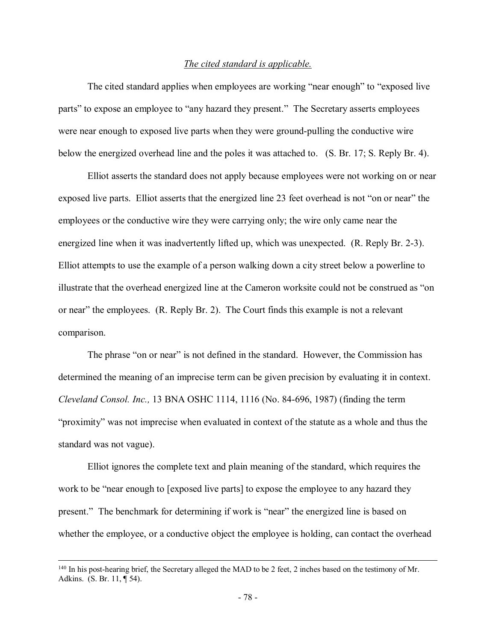### *The cited standard is applicable.*

The cited standard applies when employees are working "near enough" to "exposed live parts" to expose an employee to "any hazard they present." The Secretary asserts employees were near enough to exposed live parts when they were ground-pulling the conductive wire below the energized overhead line and the poles it was attached to. (S. Br. 17; S. Reply Br. 4).

Elliot asserts the standard does not apply because employees were not working on or near exposed live parts. Elliot asserts that the energized line 23 feet overhead is not "on or near" the employees or the conductive wire they were carrying only; the wire only came near the energized line when it was inadvertently lifted up, which was unexpected. (R. Reply Br. 2-3). Elliot attempts to use the example of a person walking down a city street below a powerline to illustrate that the overhead energized line at the Cameron worksite could not be construed as "on or near" the employees. (R. Reply Br. 2). The Court finds this example is not a relevant comparison.

The phrase "on or near" is not defined in the standard. However, the Commission has determined the meaning of an imprecise term can be given precision by evaluating it in context. *Cleveland Consol. Inc.,* 13 BNA OSHC 1114, 1116 (No. 84-696, 1987) (finding the term "proximity" was not imprecise when evaluated in context of the statute as a whole and thus the standard was not vague).

Elliot ignores the complete text and plain meaning of the standard, which requires the work to be "near enough to [exposed live parts] to expose the employee to any hazard they present." The benchmark for determining if work is "near" the energized line is based on whether the employee, or a conductive object the employee is holding, can contact the overhead

<sup>&</sup>lt;sup>140</sup> In his post-hearing brief, the Secretary alleged the MAD to be 2 feet, 2 inches based on the testimony of Mr. Adkins. (S. Br. 11, ¶ 54).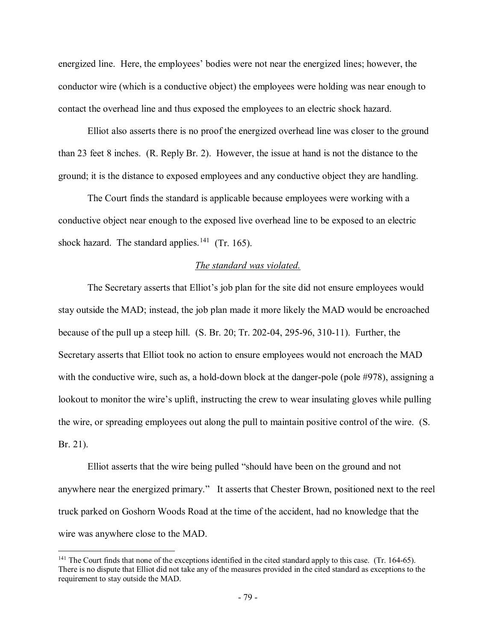energized line. Here, the employees' bodies were not near the energized lines; however, the conductor wire (which is a conductive object) the employees were holding was near enough to contact the overhead line and thus exposed the employees to an electric shock hazard.

Elliot also asserts there is no proof the energized overhead line was closer to the ground than 23 feet 8 inches. (R. Reply Br. 2). However, the issue at hand is not the distance to the ground; it is the distance to exposed employees and any conductive object they are handling.

The Court finds the standard is applicable because employees were working with a conductive object near enough to the exposed live overhead line to be exposed to an electric shock hazard. The standard applies.<sup>141</sup> (Tr. 165).

### *The standard was violated.*

The Secretary asserts that Elliot's job plan for the site did not ensure employees would stay outside the MAD; instead, the job plan made it more likely the MAD would be encroached because of the pull up a steep hill. (S. Br. 20; Tr. 202-04, 295-96, 310-11). Further, the Secretary asserts that Elliot took no action to ensure employees would not encroach the MAD with the conductive wire, such as, a hold-down block at the danger-pole (pole #978), assigning a lookout to monitor the wire's uplift, instructing the crew to wear insulating gloves while pulling the wire, or spreading employees out along the pull to maintain positive control of the wire. (S. Br. 21).

Elliot asserts that the wire being pulled "should have been on the ground and not anywhere near the energized primary." It asserts that Chester Brown, positioned next to the reel truck parked on Goshorn Woods Road at the time of the accident, had no knowledge that the wire was anywhere close to the MAD.

<span id="page-78-0"></span><sup>&</sup>lt;sup>141</sup> The Court finds that none of the exceptions identified in the cited standard apply to this case. (Tr. 164-65). There is no dispute that Elliot did not take any of the measures provided in the cited standard as exceptions to the requirement to stay outside the MAD.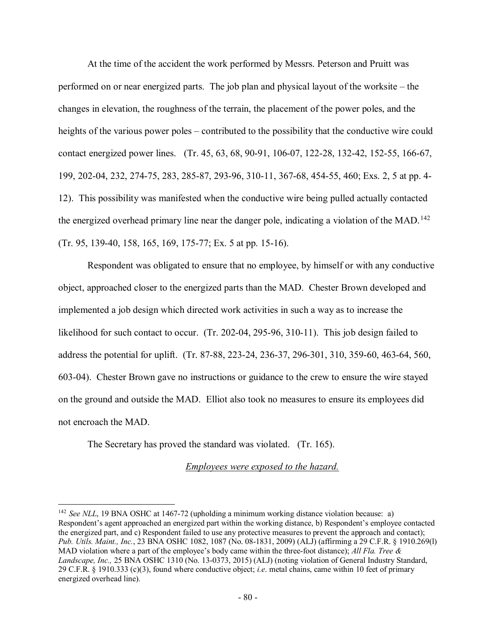At the time of the accident the work performed by Messrs. Peterson and Pruitt was performed on or near energized parts. The job plan and physical layout of the worksite – the changes in elevation, the roughness of the terrain, the placement of the power poles, and the heights of the various power poles – contributed to the possibility that the conductive wire could contact energized power lines. (Tr. 45, 63, 68, 90-91, 106-07, 122-28, 132-42, 152-55, 166-67, 199, 202-04, 232, 274-75, 283, 285-87, 293-96, 310-11, 367-68, 454-55, 460; Exs. 2, 5 at pp. 4- 12). This possibility was manifested when the conductive wire being pulled actually contacted the energized overhead primary line near the danger pole, indicating a violation of the MAD.<sup>[142](#page-79-0)</sup> (Tr. 95, 139-40, 158, 165, 169, 175-77; Ex. 5 at pp. 15-16).

Respondent was obligated to ensure that no employee, by himself or with any conductive object, approached closer to the energized parts than the MAD. Chester Brown developed and implemented a job design which directed work activities in such a way as to increase the likelihood for such contact to occur. (Tr. 202-04, 295-96, 310-11). This job design failed to address the potential for uplift. (Tr. 87-88, 223-24, 236-37, 296-301, 310, 359-60, 463-64, 560, 603-04). Chester Brown gave no instructions or guidance to the crew to ensure the wire stayed on the ground and outside the MAD. Elliot also took no measures to ensure its employees did not encroach the MAD.

The Secretary has proved the standard was violated. (Tr. 165).

 $\overline{a}$ 

*Employees were exposed to the hazard.*

<span id="page-79-0"></span><sup>142</sup> *See NLL*, 19 BNA OSHC at 1467-72 (upholding a minimum working distance violation because: a) Respondent's agent approached an energized part within the working distance, b) Respondent's employee contacted the energized part, and c) Respondent failed to use any protective measures to prevent the approach and contact); *Pub. Utils. Maint., Inc.*, 23 BNA OSHC 1082, 1087 (No. 08-1831, 2009) (ALJ) (affirming a 29 C.F.R. § 1910.269(l) MAD violation where a part of the employee's body came within the three-foot distance); *All Fla. Tree & Landscape, Inc.,* 25 BNA OSHC 1310 (No. 13-0373, 2015) (ALJ) (noting violation of General Industry Standard, 29 C.F.R. § 1910.333 (c)(3), found where conductive object; *i.e*. metal chains, came within 10 feet of primary energized overhead line).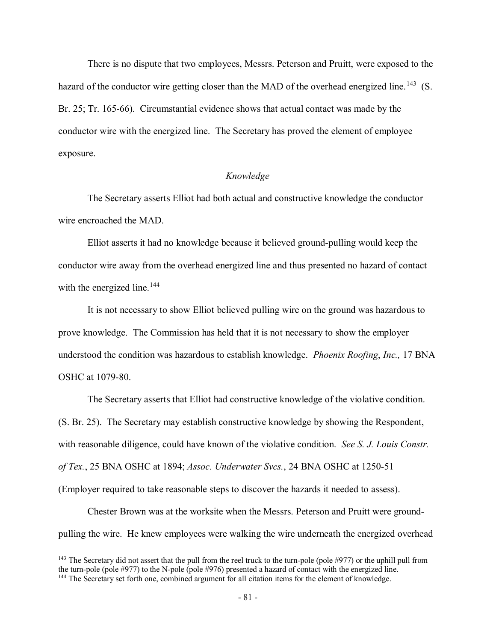There is no dispute that two employees, Messrs. Peterson and Pruitt, were exposed to the hazard of the conductor wire getting closer than the MAD of the overhead energized line.<sup>[143](#page-80-0)</sup> (S. Br. 25; Tr. 165-66). Circumstantial evidence shows that actual contact was made by the conductor wire with the energized line. The Secretary has proved the element of employee exposure.

## *Knowledge*

The Secretary asserts Elliot had both actual and constructive knowledge the conductor wire encroached the MAD.

Elliot asserts it had no knowledge because it believed ground-pulling would keep the conductor wire away from the overhead energized line and thus presented no hazard of contact with the energized line.<sup>[144](#page-80-1)</sup>

It is not necessary to show Elliot believed pulling wire on the ground was hazardous to prove knowledge. The Commission has held that it is not necessary to show the employer understood the condition was hazardous to establish knowledge. *Phoenix Roofing*, *Inc.,* 17 BNA OSHC at 1079-80.

The Secretary asserts that Elliot had constructive knowledge of the violative condition. (S. Br. 25). The Secretary may establish constructive knowledge by showing the Respondent, with reasonable diligence, could have known of the violative condition. *See S. J. Louis Constr. of Tex.*, 25 BNA OSHC at 1894; *Assoc. Underwater Svcs.*, 24 BNA OSHC at 1250-51 (Employer required to take reasonable steps to discover the hazards it needed to assess).

Chester Brown was at the worksite when the Messrs. Peterson and Pruitt were groundpulling the wire. He knew employees were walking the wire underneath the energized overhead

<span id="page-80-1"></span><span id="page-80-0"></span><sup>&</sup>lt;sup>143</sup> The Secretary did not assert that the pull from the reel truck to the turn-pole (pole #977) or the uphill pull from the turn-pole (pole #977) to the N-pole (pole #976) presented a hazard of contact with the energize  $144$  The Secretary set forth one, combined argument for all citation items for the element of knowledge.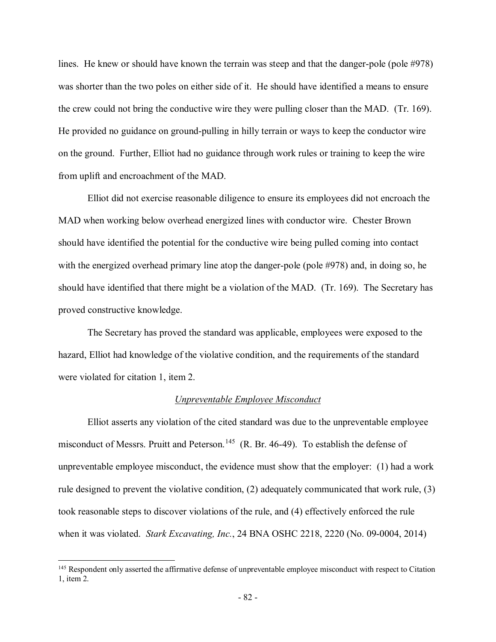lines. He knew or should have known the terrain was steep and that the danger-pole (pole #978) was shorter than the two poles on either side of it. He should have identified a means to ensure the crew could not bring the conductive wire they were pulling closer than the MAD. (Tr. 169). He provided no guidance on ground-pulling in hilly terrain or ways to keep the conductor wire on the ground. Further, Elliot had no guidance through work rules or training to keep the wire from uplift and encroachment of the MAD.

Elliot did not exercise reasonable diligence to ensure its employees did not encroach the MAD when working below overhead energized lines with conductor wire. Chester Brown should have identified the potential for the conductive wire being pulled coming into contact with the energized overhead primary line atop the danger-pole (pole #978) and, in doing so, he should have identified that there might be a violation of the MAD. (Tr. 169). The Secretary has proved constructive knowledge.

The Secretary has proved the standard was applicable, employees were exposed to the hazard, Elliot had knowledge of the violative condition, and the requirements of the standard were violated for citation 1, item 2.

## *Unpreventable Employee Misconduct*

Elliot asserts any violation of the cited standard was due to the unpreventable employee misconduct of Messrs. Pruitt and Peterson.<sup>[145](#page-81-0)</sup> (R. Br. 46-49). To establish the defense of unpreventable employee misconduct, the evidence must show that the employer: (1) had a work rule designed to prevent the violative condition, (2) adequately communicated that work rule, (3) took reasonable steps to discover violations of the rule, and (4) effectively enforced the rule when it was violated. *Stark Excavating, Inc.*, 24 BNA OSHC 2218, 2220 (No. 09-0004, 2014)

<span id="page-81-0"></span><sup>&</sup>lt;sup>145</sup> Respondent only asserted the affirmative defense of unpreventable employee misconduct with respect to Citation 1, item 2.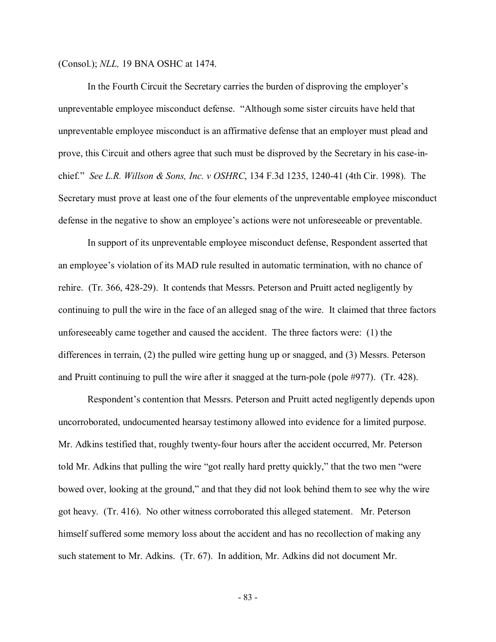(Consol.); *NLL,* 19 BNA OSHC at 1474.

In the Fourth Circuit the Secretary carries the burden of disproving the employer's unpreventable employee misconduct defense. "Although some sister circuits have held that unpreventable employee misconduct is an affirmative defense that an employer must plead and prove, this Circuit and others agree that such must be disproved by the Secretary in his case-inchief." *See L.R. Willson & Sons, Inc. v OSHRC*, 134 F.3d 1235, 1240-41 (4th Cir. 1998). The Secretary must prove at least one of the four elements of the unpreventable employee misconduct defense in the negative to show an employee's actions were not unforeseeable or preventable.

In support of its unpreventable employee misconduct defense, Respondent asserted that an employee's violation of its MAD rule resulted in automatic termination, with no chance of rehire. (Tr. 366, 428-29). It contends that Messrs. Peterson and Pruitt acted negligently by continuing to pull the wire in the face of an alleged snag of the wire. It claimed that three factors unforeseeably came together and caused the accident. The three factors were: (1) the differences in terrain, (2) the pulled wire getting hung up or snagged, and (3) Messrs. Peterson and Pruitt continuing to pull the wire after it snagged at the turn-pole (pole #977). (Tr. 428).

Respondent's contention that Messrs. Peterson and Pruitt acted negligently depends upon uncorroborated, undocumented hearsay testimony allowed into evidence for a limited purpose. Mr. Adkins testified that, roughly twenty-four hours after the accident occurred, Mr. Peterson told Mr. Adkins that pulling the wire "got really hard pretty quickly," that the two men "were bowed over, looking at the ground," and that they did not look behind them to see why the wire got heavy. (Tr. 416). No other witness corroborated this alleged statement. Mr. Peterson himself suffered some memory loss about the accident and has no recollection of making any such statement to Mr. Adkins. (Tr. 67). In addition, Mr. Adkins did not document Mr.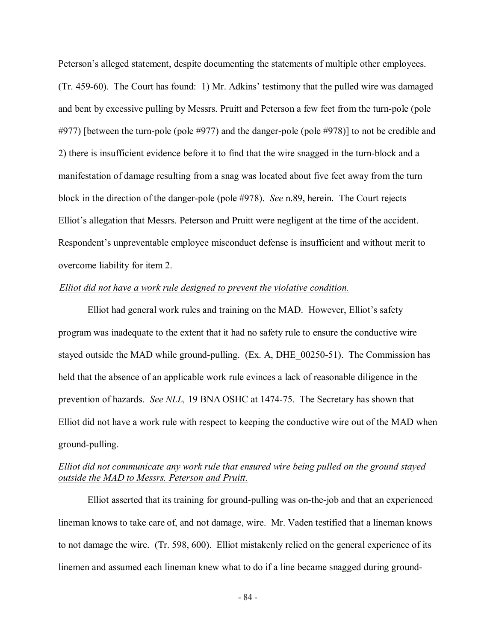Peterson's alleged statement, despite documenting the statements of multiple other employees. (Tr. 459-60). The Court has found: 1) Mr. Adkins' testimony that the pulled wire was damaged and bent by excessive pulling by Messrs. Pruitt and Peterson a few feet from the turn-pole (pole #977) [between the turn-pole (pole #977) and the danger-pole (pole #978)] to not be credible and 2) there is insufficient evidence before it to find that the wire snagged in the turn-block and a manifestation of damage resulting from a snag was located about five feet away from the turn block in the direction of the danger-pole (pole #978). *See* n.89, herein. The Court rejects Elliot's allegation that Messrs. Peterson and Pruitt were negligent at the time of the accident. Respondent's unpreventable employee misconduct defense is insufficient and without merit to overcome liability for item 2.

## *Elliot did not have a work rule designed to prevent the violative condition.*

Elliot had general work rules and training on the MAD. However, Elliot's safety program was inadequate to the extent that it had no safety rule to ensure the conductive wire stayed outside the MAD while ground-pulling. (Ex. A, DHE\_00250-51).The Commission has held that the absence of an applicable work rule evinces a lack of reasonable diligence in the prevention of hazards. *See NLL,* 19 BNA OSHC at 1474-75. The Secretary has shown that Elliot did not have a work rule with respect to keeping the conductive wire out of the MAD when ground-pulling.

# *Elliot did not communicate any work rule that ensured wire being pulled on the ground stayed outside the MAD to Messrs. Peterson and Pruitt.*

Elliot asserted that its training for ground-pulling was on-the-job and that an experienced lineman knows to take care of, and not damage, wire. Mr. Vaden testified that a lineman knows to not damage the wire. (Tr. 598, 600). Elliot mistakenly relied on the general experience of its linemen and assumed each lineman knew what to do if a line became snagged during ground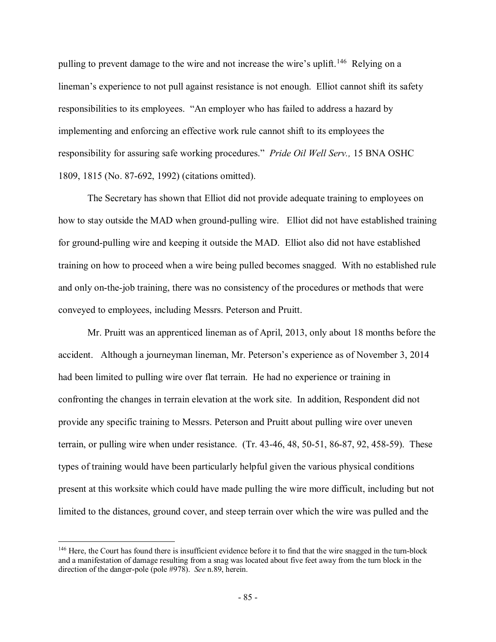pulling to prevent damage to the wire and not increase the wire's uplift.<sup>[146](#page-84-0)</sup> Relying on a lineman's experience to not pull against resistance is not enough. Elliot cannot shift its safety responsibilities to its employees. "An employer who has failed to address a hazard by implementing and enforcing an effective work rule cannot shift to its employees the responsibility for assuring safe working procedures." *Pride Oil Well Serv.,* 15 BNA OSHC 1809, 1815 (No. 87-692, 1992) (citations omitted).

The Secretary has shown that Elliot did not provide adequate training to employees on how to stay outside the MAD when ground-pulling wire. Elliot did not have established training for ground-pulling wire and keeping it outside the MAD. Elliot also did not have established training on how to proceed when a wire being pulled becomes snagged. With no established rule and only on-the-job training, there was no consistency of the procedures or methods that were conveyed to employees, including Messrs. Peterson and Pruitt.

Mr. Pruitt was an apprenticed lineman as of April, 2013, only about 18 months before the accident. Although a journeyman lineman, Mr. Peterson's experience as of November 3, 2014 had been limited to pulling wire over flat terrain. He had no experience or training in confronting the changes in terrain elevation at the work site. In addition, Respondent did not provide any specific training to Messrs. Peterson and Pruitt about pulling wire over uneven terrain, or pulling wire when under resistance. (Tr. 43-46, 48, 50-51, 86-87, 92, 458-59). These types of training would have been particularly helpful given the various physical conditions present at this worksite which could have made pulling the wire more difficult, including but not limited to the distances, ground cover, and steep terrain over which the wire was pulled and the

<span id="page-84-0"></span><sup>&</sup>lt;sup>146</sup> Here, the Court has found there is insufficient evidence before it to find that the wire snagged in the turn-block and a manifestation of damage resulting from a snag was located about five feet away from the turn block in the direction of the danger-pole (pole #978). *See* n.89, herein.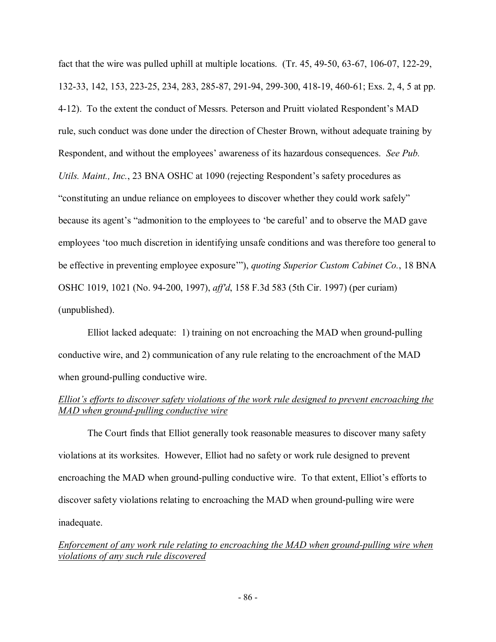fact that the wire was pulled uphill at multiple locations. (Tr. 45, 49-50, 63-67, 106-07, 122-29, 132-33, 142, 153, 223-25, 234, 283, 285-87, 291-94, 299-300, 418-19, 460-61; Exs. 2, 4, 5 at pp. 4-12). To the extent the conduct of Messrs. Peterson and Pruitt violated Respondent's MAD rule, such conduct was done under the direction of Chester Brown, without adequate training by Respondent, and without the employees' awareness of its hazardous consequences. *See Pub. Utils. Maint., Inc.*, 23 BNA OSHC at 1090 (rejecting Respondent's safety procedures as "constituting an undue reliance on employees to discover whether they could work safely" because its agent's "admonition to the employees to 'be careful' and to observe the MAD gave employees 'too much discretion in identifying unsafe conditions and was therefore too general to be effective in preventing employee exposure'"), *quoting Superior Custom Cabinet Co.*, 18 BNA OSHC 1019, 1021 (No. 94-200, 1997), *aff'd*, 158 F.3d 583 (5th Cir. 1997) (per curiam) (unpublished).

Elliot lacked adequate: 1) training on not encroaching the MAD when ground-pulling conductive wire, and 2) communication of any rule relating to the encroachment of the MAD when ground-pulling conductive wire.

# *Elliot's efforts to discover safety violations of the work rule designed to prevent encroaching the MAD when ground-pulling conductive wire*

The Court finds that Elliot generally took reasonable measures to discover many safety violations at its worksites. However, Elliot had no safety or work rule designed to prevent encroaching the MAD when ground-pulling conductive wire. To that extent, Elliot's efforts to discover safety violations relating to encroaching the MAD when ground-pulling wire were inadequate.

*Enforcement of any work rule relating to encroaching the MAD when ground-pulling wire when violations of any such rule discovered*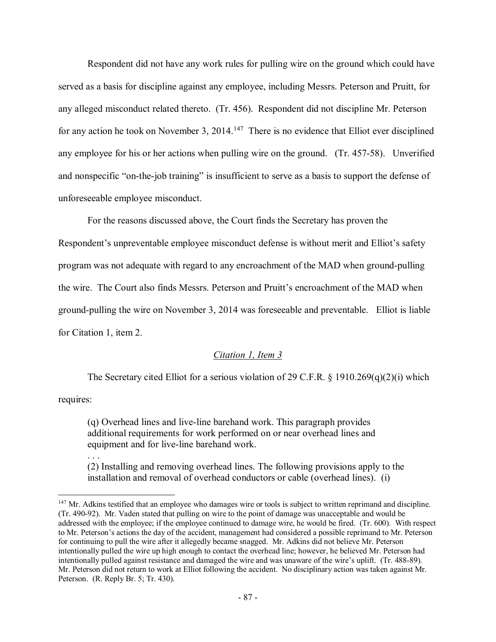Respondent did not have any work rules for pulling wire on the ground which could have served as a basis for discipline against any employee, including Messrs. Peterson and Pruitt, for any alleged misconduct related thereto. (Tr. 456). Respondent did not discipline Mr. Peterson for any action he took on November 3, 2014.<sup>147</sup> There is no evidence that Elliot ever disciplined any employee for his or her actions when pulling wire on the ground. (Tr. 457-58). Unverified and nonspecific "on-the-job training" is insufficient to serve as a basis to support the defense of unforeseeable employee misconduct.

For the reasons discussed above, the Court finds the Secretary has proven the Respondent's unpreventable employee misconduct defense is without merit and Elliot's safety program was not adequate with regard to any encroachment of the MAD when ground-pulling the wire. The Court also finds Messrs. Peterson and Pruitt's encroachment of the MAD when ground-pulling the wire on November 3, 2014 was foreseeable and preventable. Elliot is liable for Citation 1, item 2.

# *Citation 1, Item 3*

The Secretary cited Elliot for a serious violation of 29 C.F.R. § 1910.269(q)(2)(i) which requires:

(q) Overhead lines and live-line barehand work. This paragraph provides additional requirements for work performed on or near overhead lines and equipment and for live-line barehand work.

. . .

 $\overline{a}$ 

(2) Installing and removing overhead lines. The following provisions apply to the installation and removal of overhead conductors or cable (overhead lines). (i)

<span id="page-86-0"></span><sup>&</sup>lt;sup>147</sup> Mr. Adkins testified that an employee who damages wire or tools is subject to written reprimand and discipline. (Tr. 490-92). Mr. Vaden stated that pulling on wire to the point of damage was unacceptable and would be addressed with the employee; if the employee continued to damage wire, he would be fired. (Tr. 600). With respect to Mr. Peterson's actions the day of the accident, management had considered a possible reprimand to Mr. Peterson for continuing to pull the wire after it allegedly became snagged. Mr. Adkins did not believe Mr. Peterson intentionally pulled the wire up high enough to contact the overhead line; however, he believed Mr. Peterson had intentionally pulled against resistance and damaged the wire and was unaware of the wire's uplift. (Tr. 488-89). Mr. Peterson did not return to work at Elliot following the accident. No disciplinary action was taken against Mr. Peterson. (R. Reply Br. 5; Tr. 430).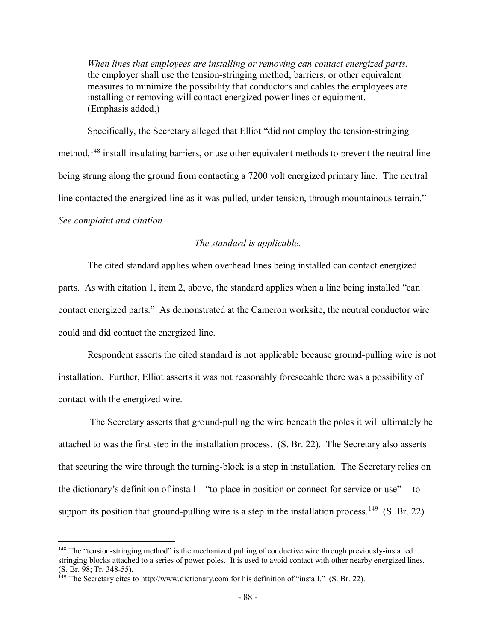*When lines that employees are installing or removing can contact energized parts*, the employer shall use the tension-stringing method, barriers, or other equivalent measures to minimize the possibility that conductors and cables the employees are installing or removing will contact energized power lines or equipment. (Emphasis added.)

Specifically, the Secretary alleged that Elliot "did not employ the tension-stringing method,<sup>[148](#page-87-0)</sup> install insulating barriers, or use other equivalent methods to prevent the neutral line being strung along the ground from contacting a 7200 volt energized primary line. The neutral line contacted the energized line as it was pulled, under tension, through mountainous terrain." *See complaint and citation.*

# *The standard is applicable.*

The cited standard applies when overhead lines being installed can contact energized parts. As with citation 1, item 2, above, the standard applies when a line being installed "can contact energized parts." As demonstrated at the Cameron worksite, the neutral conductor wire could and did contact the energized line.

Respondent asserts the cited standard is not applicable because ground-pulling wire is not installation. Further, Elliot asserts it was not reasonably foreseeable there was a possibility of contact with the energized wire.

The Secretary asserts that ground-pulling the wire beneath the poles it will ultimately be attached to was the first step in the installation process. (S. Br. 22). The Secretary also asserts that securing the wire through the turning-block is a step in installation. The Secretary relies on the dictionary's definition of install – "to place in position or connect for service or use" -- to support its position that ground-pulling wire is a step in the installation process.<sup>[149](#page-87-1)</sup> (S. Br. 22).

<span id="page-87-0"></span><sup>&</sup>lt;sup>148</sup> The "tension-stringing method" is the mechanized pulling of conductive wire through previously-installed stringing blocks attached to a series of power poles. It is used to avoid contact with other nearby energized lines. (S. Br. 98; Tr. 348-55).

<span id="page-87-1"></span><sup>149</sup> The Secretary cites to http://www.dictionary.com for his definition of "install." (S. Br. 22).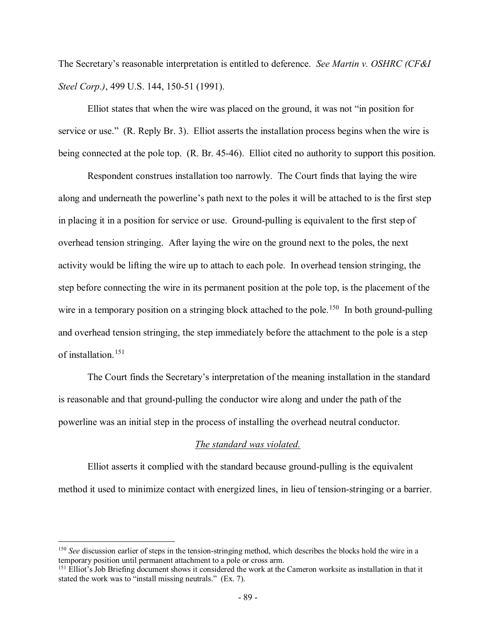The Secretary's reasonable interpretation is entitled to deference. *See Martin v. OSHRC (CF&I Steel Corp*.*)*, 499 U.S. 144, 150-51 (1991).

Elliot states that when the wire was placed on the ground, it was not "in position for service or use." (R. Reply Br. 3). Elliot asserts the installation process begins when the wire is being connected at the pole top. (R. Br. 45-46). Elliot cited no authority to support this position.

Respondent construes installation too narrowly. The Court finds that laying the wire along and underneath the powerline's path next to the poles it will be attached to is the first step in placing it in a position for service or use. Ground-pulling is equivalent to the first step of overhead tension stringing. After laying the wire on the ground next to the poles, the next activity would be lifting the wire up to attach to each pole. In overhead tension stringing, the step before connecting the wire in its permanent position at the pole top, is the placement of the wire in a temporary position on a stringing block attached to the pole.<sup>150</sup> In both ground-pulling and overhead tension stringing, the step immediately before the attachment to the pole is a step of installation.[151](#page-88-1)

The Court finds the Secretary's interpretation of the meaning installation in the standard is reasonable and that ground-pulling the conductor wire along and under the path of the powerline was an initial step in the process of installing the overhead neutral conductor.

### *The standard was violated.*

Elliot asserts it complied with the standard because ground-pulling is the equivalent method it used to minimize contact with energized lines, in lieu of tension-stringing or a barrier.

<span id="page-88-0"></span><sup>150</sup> *See* discussion earlier of steps in the tension-stringing method, which describes the blocks hold the wire in a temporary position until permanent attachment to a pole or cross arm.

<span id="page-88-1"></span><sup>&</sup>lt;sup>151</sup> Elliot's Job Briefing document shows it considered the work at the Cameron worksite as installation in that it stated the work was to "install missing neutrals." (Ex. 7).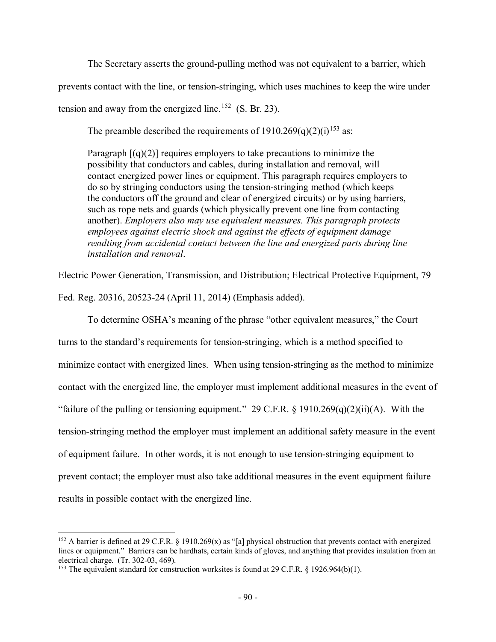The Secretary asserts the ground-pulling method was not equivalent to a barrier, which

prevents contact with the line, or tension-stringing, which uses machines to keep the wire under

tension and away from the energized line.<sup>152</sup> (S. Br. 23).

The preamble described the requirements of  $1910.269(q)(2)(i)^{153}$  $1910.269(q)(2)(i)^{153}$  $1910.269(q)(2)(i)^{153}$  as:

Paragraph  $[(q)(2)]$  requires employers to take precautions to minimize the possibility that conductors and cables, during installation and removal, will contact energized power lines or equipment. This paragraph requires employers to do so by stringing conductors using the tension-stringing method (which keeps the conductors off the ground and clear of energized circuits) or by using barriers, such as rope nets and guards (which physically prevent one line from contacting another). *Employers also may use equivalent measures. This paragraph protects employees against electric shock and against the effects of equipment damage resulting from accidental contact between the line and energized parts during line installation and removal*.

Electric Power Generation, Transmission, and Distribution; Electrical Protective Equipment, 79 Fed. Reg. 20316, 20523-24 (April 11, 2014) (Emphasis added).

To determine OSHA's meaning of the phrase "other equivalent measures," the Court turns to the standard's requirements for tension-stringing, which is a method specified to minimize contact with energized lines. When using tension-stringing as the method to minimize contact with the energized line, the employer must implement additional measures in the event of "failure of the pulling or tensioning equipment." 29 C.F.R.  $\S$  1910.269(q)(2)(ii)(A). With the tension-stringing method the employer must implement an additional safety measure in the event of equipment failure. In other words, it is not enough to use tension-stringing equipment to prevent contact; the employer must also take additional measures in the event equipment failure results in possible contact with the energized line.

<span id="page-89-0"></span> $\overline{a}$ <sup>152</sup> A barrier is defined at 29 C.F.R. § 1910.269(x) as "[a] physical obstruction that prevents contact with energized lines or equipment." Barriers can be hardhats, certain kinds of gloves, and anything that provides insulation from an electrical charge. (Tr. 302-03, 469).

<span id="page-89-1"></span><sup>&</sup>lt;sup>153</sup> The equivalent standard for construction worksites is found at 29 C.F.R. § 1926.964(b)(1).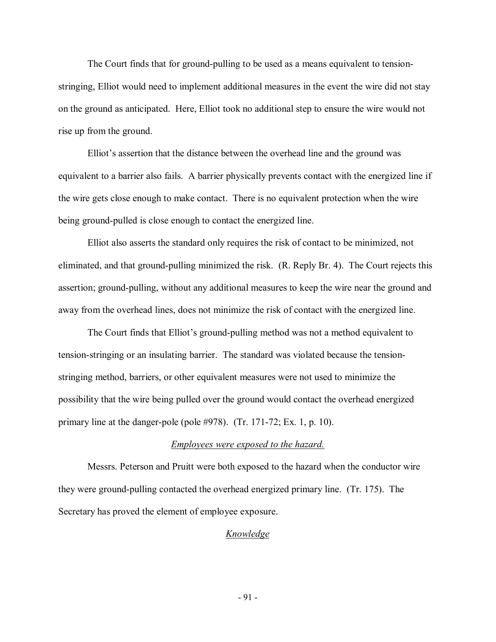The Court finds that for ground-pulling to be used as a means equivalent to tensionstringing, Elliot would need to implement additional measures in the event the wire did not stay on the ground as anticipated. Here, Elliot took no additional step to ensure the wire would not rise up from the ground.

Elliot's assertion that the distance between the overhead line and the ground was equivalent to a barrier also fails. A barrier physically prevents contact with the energized line if the wire gets close enough to make contact. There is no equivalent protection when the wire being ground-pulled is close enough to contact the energized line.

Elliot also asserts the standard only requires the risk of contact to be minimized, not eliminated, and that ground-pulling minimized the risk. (R. Reply Br. 4). The Court rejects this assertion; ground-pulling, without any additional measures to keep the wire near the ground and away from the overhead lines, does not minimize the risk of contact with the energized line.

The Court finds that Elliot's ground-pulling method was not a method equivalent to tension-stringing or an insulating barrier. The standard was violated because the tensionstringing method, barriers, or other equivalent measures were not used to minimize the possibility that the wire being pulled over the ground would contact the overhead energized primary line at the danger-pole (pole #978). (Tr. 171-72; Ex. 1, p. 10).

#### *Employees were exposed to the hazard.*

Messrs. Peterson and Pruitt were both exposed to the hazard when the conductor wire they were ground-pulling contacted the overhead energized primary line. (Tr. 175). The Secretary has proved the element of employee exposure.

### *Knowledge*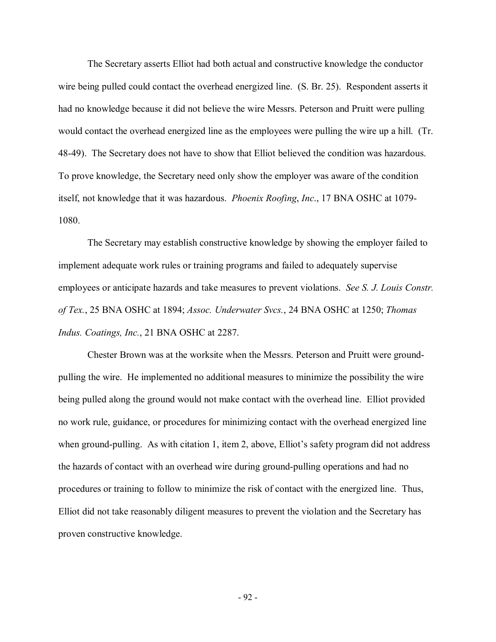The Secretary asserts Elliot had both actual and constructive knowledge the conductor wire being pulled could contact the overhead energized line. (S. Br. 25). Respondent asserts it had no knowledge because it did not believe the wire Messrs. Peterson and Pruitt were pulling would contact the overhead energized line as the employees were pulling the wire up a hill. (Tr. 48-49). The Secretary does not have to show that Elliot believed the condition was hazardous. To prove knowledge, the Secretary need only show the employer was aware of the condition itself, not knowledge that it was hazardous. *Phoenix Roofing*, *Inc*., 17 BNA OSHC at 1079- 1080.

The Secretary may establish constructive knowledge by showing the employer failed to implement adequate work rules or training programs and failed to adequately supervise employees or anticipate hazards and take measures to prevent violations. *See S. J. Louis Constr. of Tex.*, 25 BNA OSHC at 1894; *Assoc. Underwater Svcs.*, 24 BNA OSHC at 1250; *Thomas Indus. Coatings, Inc.*, 21 BNA OSHC at 2287.

Chester Brown was at the worksite when the Messrs. Peterson and Pruitt were groundpulling the wire. He implemented no additional measures to minimize the possibility the wire being pulled along the ground would not make contact with the overhead line. Elliot provided no work rule, guidance, or procedures for minimizing contact with the overhead energized line when ground-pulling. As with citation 1, item 2, above, Elliot's safety program did not address the hazards of contact with an overhead wire during ground-pulling operations and had no procedures or training to follow to minimize the risk of contact with the energized line. Thus, Elliot did not take reasonably diligent measures to prevent the violation and the Secretary has proven constructive knowledge.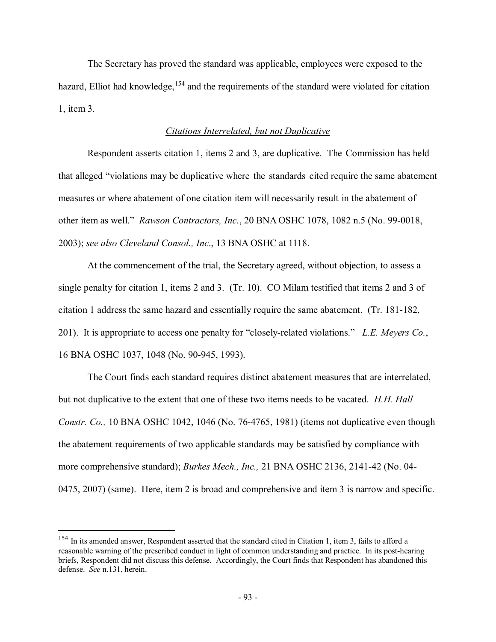The Secretary has proved the standard was applicable, employees were exposed to the hazard, Elliot had knowledge,  $154$  and the requirements of the standard were violated for citation 1, item 3.

## *Citations Interrelated, but not Duplicative*

Respondent asserts citation 1, items 2 and 3, are duplicative. The Commission has held that alleged "violations may be duplicative where the standards cited require the same abatement measures or where abatement of one citation item will necessarily result in the abatement of other item as well." *Rawson Contractors, Inc.*, 20 BNA OSHC 1078, 1082 n.5 (No. 99-0018, 2003); *see also Cleveland Consol., Inc*., 13 BNA OSHC at 1118.

At the commencement of the trial, the Secretary agreed, without objection, to assess a single penalty for citation 1, items 2 and 3. (Tr. 10). CO Milam testified that items 2 and 3 of citation 1 address the same hazard and essentially require the same abatement. (Tr. 181-182, 201). It is appropriate to access one penalty for "closely-related violations." *L.E. Meyers Co.*, 16 BNA OSHC 1037, 1048 (No. 90-945, 1993).

The Court finds each standard requires distinct abatement measures that are interrelated, but not duplicative to the extent that one of these two items needs to be vacated. *H.H. Hall Constr. Co.,* 10 BNA OSHC 1042, 1046 (No. 76-4765, 1981) (items not duplicative even though the abatement requirements of two applicable standards may be satisfied by compliance with more comprehensive standard); *Burkes Mech., Inc.,* 21 BNA OSHC 2136, 2141-42 (No. 04- 0475, 2007) (same). Here, item 2 is broad and comprehensive and item 3 is narrow and specific.

<span id="page-92-0"></span><sup>&</sup>lt;sup>154</sup> In its amended answer, Respondent asserted that the standard cited in Citation 1, item 3, fails to afford a reasonable warning of the prescribed conduct in light of common understanding and practice. In its post-hearing briefs, Respondent did not discuss this defense. Accordingly, the Court finds that Respondent has abandoned this defense. *See* n.131, herein.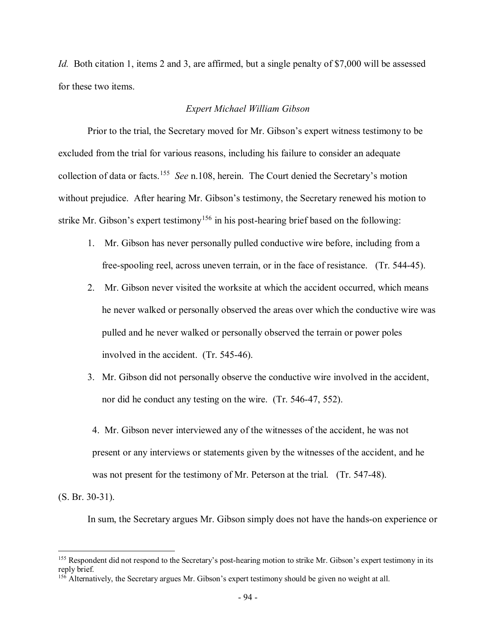*Id.* Both citation 1, items 2 and 3, are affirmed, but a single penalty of \$7,000 will be assessed for these two items.

## *Expert Michael William Gibson*

Prior to the trial, the Secretary moved for Mr. Gibson's expert witness testimony to be excluded from the trial for various reasons, including his failure to consider an adequate collection of data or facts.[155](#page-93-0) *See* n.108, herein.The Court denied the Secretary's motion without prejudice. After hearing Mr. Gibson's testimony, the Secretary renewed his motion to strike Mr. Gibson's expert testimony<sup>[156](#page-93-1)</sup> in his post-hearing brief based on the following:

- 1. Mr. Gibson has never personally pulled conductive wire before, including from a free-spooling reel, across uneven terrain, or in the face of resistance. (Tr. 544-45).
- 2. Mr. Gibson never visited the worksite at which the accident occurred, which means he never walked or personally observed the areas over which the conductive wire was pulled and he never walked or personally observed the terrain or power poles involved in the accident. (Tr. 545-46).
- 3. Mr. Gibson did not personally observe the conductive wire involved in the accident, nor did he conduct any testing on the wire. (Tr. 546-47, 552).
- 4. Mr. Gibson never interviewed any of the witnesses of the accident, he was not present or any interviews or statements given by the witnesses of the accident, and he was not present for the testimony of Mr. Peterson at the trial. (Tr. 547-48).

(S. Br. 30-31).

 $\overline{a}$ 

In sum, the Secretary argues Mr. Gibson simply does not have the hands-on experience or

<span id="page-93-0"></span><sup>&</sup>lt;sup>155</sup> Respondent did not respond to the Secretary's post-hearing motion to strike Mr. Gibson's expert testimony in its reply brief.

<span id="page-93-1"></span><sup>&</sup>lt;sup>156</sup> Alternatively, the Secretary argues Mr. Gibson's expert testimony should be given no weight at all.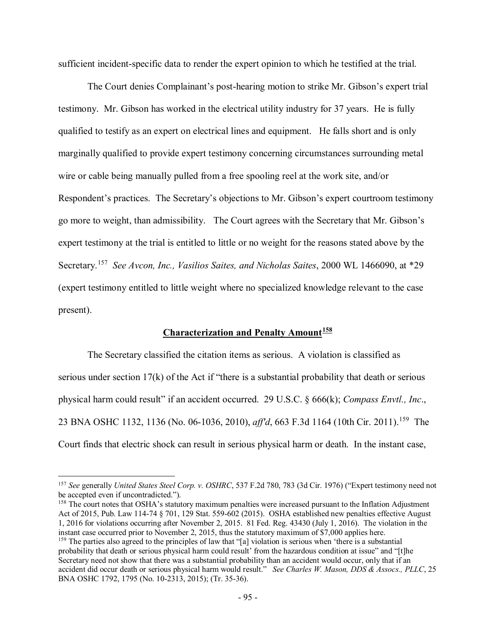sufficient incident-specific data to render the expert opinion to which he testified at the trial.

The Court denies Complainant's post-hearing motion to strike Mr. Gibson's expert trial testimony. Mr. Gibson has worked in the electrical utility industry for 37 years. He is fully qualified to testify as an expert on electrical lines and equipment. He falls short and is only marginally qualified to provide expert testimony concerning circumstances surrounding metal wire or cable being manually pulled from a free spooling reel at the work site, and/or Respondent's practices. The Secretary's objections to Mr. Gibson's expert courtroom testimony go more to weight, than admissibility. The Court agrees with the Secretary that Mr. Gibson's expert testimony at the trial is entitled to little or no weight for the reasons stated above by the Secretary.[157](#page-94-0) *See Avcon, Inc., Vasilios Saites, and Nicholas Saites*, 2000 WL 1466090, at \*29 (expert testimony entitled to little weight where no specialized knowledge relevant to the case present).

# **Characterization and Penalty Amount[158](#page-94-1)**

The Secretary classified the citation items as serious. A violation is classified as serious under section 17(k) of the Act if "there is a substantial probability that death or serious physical harm could result" if an accident occurred. 29 U.S.C. § 666(k); *Compass Envtl., Inc*., 23 BNA OSHC 1132, 1136 (No. 06-1036, 2010), *aff'd*, 663 F.3d 1164 (10th Cir. 2011).<sup>[159](#page-94-2)</sup> The Court finds that electric shock can result in serious physical harm or death. In the instant case,

 $\overline{a}$ 

<span id="page-94-2"></span><span id="page-94-1"></span><sup>158</sup> The court notes that OSHA's statutory maximum penalties were increased pursuant to the Inflation Adjustment Act of 2015, Pub. Law 114-74 § 701, 129 Stat. 559-602 (2015). OSHA established new penalties effective August 1, 2016 for violations occurring after November 2, 2015. 81 Fed. Reg. 43430 (July 1, 2016). The violation in the instant case occurred prior to November 2, 2015, thus the statutory maximum of \$7,000 applies here. <sup>159</sup> The parties also agreed to the principles of law that "[a] violation is serious when 'there is a substantial probability that death or serious physical harm could result' from the hazardous condition at issue" and "[t]he Secretary need not show that there was a substantial probability than an accident would occur, only that if an accident did occur death or serious physical harm would result." *See Charles W. Mason, DDS & Assocs., PLLC*, 25 BNA OSHC 1792, 1795 (No. 10-2313, 2015); (Tr. 35-36).

<span id="page-94-0"></span><sup>157</sup> *See* generally *United States Steel Corp. v. OSHRC*, 537 F.2d 780, 783 (3d Cir. 1976) ("Expert testimony need not be accepted even if uncontradicted.").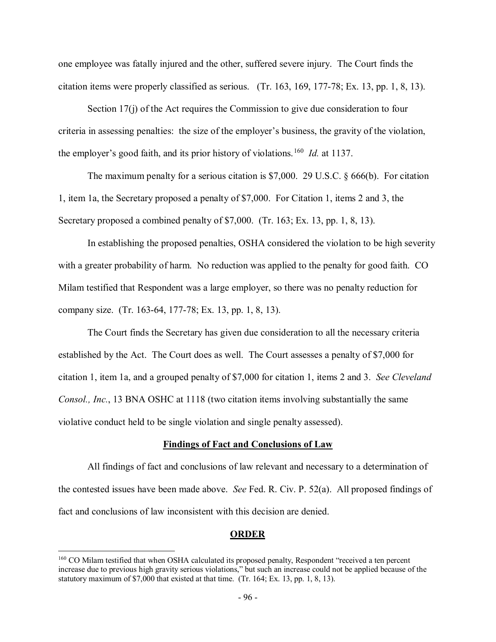one employee was fatally injured and the other, suffered severe injury. The Court finds the citation items were properly classified as serious. (Tr. 163, 169, 177-78; Ex. 13, pp. 1, 8, 13).

Section 17(j) of the Act requires the Commission to give due consideration to four criteria in assessing penalties: the size of the employer's business, the gravity of the violation, the employer's good faith, and its prior history of violations.[160](#page-95-0) *Id.* at 1137.

The maximum penalty for a serious citation is \$7,000. 29 U.S.C. § 666(b). For citation 1, item 1a, the Secretary proposed a penalty of \$7,000. For Citation 1, items 2 and 3, the Secretary proposed a combined penalty of \$7,000. (Tr. 163; Ex. 13, pp. 1, 8, 13).

In establishing the proposed penalties, OSHA considered the violation to be high severity with a greater probability of harm. No reduction was applied to the penalty for good faith. CO Milam testified that Respondent was a large employer, so there was no penalty reduction for company size. (Tr. 163-64, 177-78; Ex. 13, pp. 1, 8, 13).

The Court finds the Secretary has given due consideration to all the necessary criteria established by the Act. The Court does as well. The Court assesses a penalty of \$7,000 for citation 1, item 1a, and a grouped penalty of \$7,000 for citation 1, items 2 and 3. *See Cleveland Consol., Inc.*, 13 BNA OSHC at 1118 (two citation items involving substantially the same violative conduct held to be single violation and single penalty assessed).

### **Findings of Fact and Conclusions of Law**

All findings of fact and conclusions of law relevant and necessary to a determination of the contested issues have been made above. *See* Fed. R. Civ. P. 52(a). All proposed findings of fact and conclusions of law inconsistent with this decision are denied.

#### **ORDER**

<span id="page-95-0"></span><sup>&</sup>lt;sup>160</sup> CO Milam testified that when OSHA calculated its proposed penalty, Respondent "received a ten percent" increase due to previous high gravity serious violations," but such an increase could not be applied because of the statutory maximum of \$7,000 that existed at that time. (Tr. 164; Ex. 13, pp. 1, 8, 13).